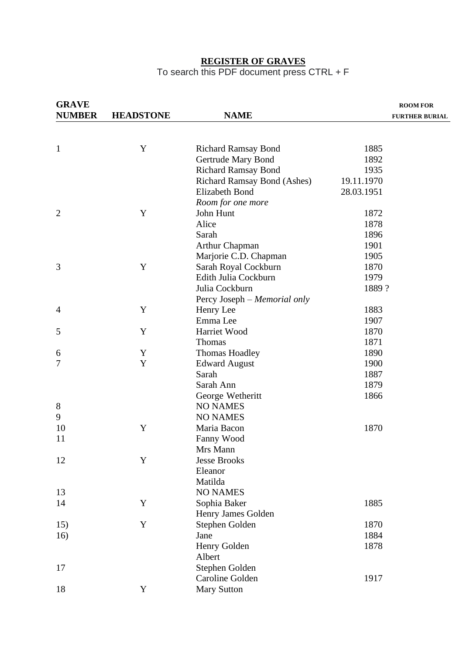#### **REGISTER OF GRAVES**

#### To search this PDF document press CTRL + F

| <b>GRAVE</b><br><b>NUMBER</b> |                  | <b>NAME</b>                        | <b>ROOM FOR</b>       |
|-------------------------------|------------------|------------------------------------|-----------------------|
|                               | <b>HEADSTONE</b> |                                    | <b>FURTHER BURIAL</b> |
|                               |                  |                                    |                       |
| $\mathbf{1}$                  | Y                | <b>Richard Ramsay Bond</b>         | 1885                  |
|                               |                  | Gertrude Mary Bond                 | 1892                  |
|                               |                  | <b>Richard Ramsay Bond</b>         | 1935                  |
|                               |                  | <b>Richard Ramsay Bond (Ashes)</b> | 19.11.1970            |
|                               |                  | <b>Elizabeth Bond</b>              | 28.03.1951            |
|                               |                  | Room for one more                  |                       |
| $\overline{2}$                | Y                | John Hunt                          | 1872                  |
|                               |                  | Alice                              | 1878                  |
|                               |                  | Sarah                              | 1896                  |
|                               |                  | <b>Arthur Chapman</b>              | 1901                  |
|                               |                  | Marjorie C.D. Chapman              | 1905                  |
| 3                             | Y                | Sarah Royal Cockburn               | 1870                  |
|                               |                  | Edith Julia Cockburn               | 1979                  |
|                               |                  | Julia Cockburn                     | 1889?                 |
|                               |                  | Percy Joseph - Memorial only       |                       |
| 4                             | Y                | Henry Lee                          | 1883                  |
|                               |                  | Emma Lee                           | 1907                  |
| 5                             | Y                | Harriet Wood                       | 1870                  |
|                               |                  | Thomas                             | 1871                  |
| 6                             | Y                | Thomas Hoadley                     | 1890                  |
| 7                             | Y                | <b>Edward August</b>               | 1900                  |
|                               |                  | Sarah                              | 1887                  |
|                               |                  | Sarah Ann                          | 1879                  |
|                               |                  | George Wetheritt                   | 1866                  |
|                               |                  | <b>NO NAMES</b>                    |                       |
| 8                             |                  |                                    |                       |
| 9                             |                  | <b>NO NAMES</b>                    |                       |
| 10                            | Y                | Maria Bacon                        | 1870                  |
| 11                            |                  | Fanny Wood                         |                       |
|                               |                  | Mrs Mann                           |                       |
| 12                            | Y                | <b>Jesse Brooks</b>                |                       |
|                               |                  | Eleanor                            |                       |
|                               |                  | Matilda                            |                       |
| 13                            |                  | <b>NO NAMES</b>                    |                       |
| 14                            | Y                | Sophia Baker                       | 1885                  |
|                               |                  | Henry James Golden                 |                       |
| 15)                           | Y                | Stephen Golden                     | 1870                  |
| 16)                           |                  | Jane                               | 1884                  |
|                               |                  | Henry Golden                       | 1878                  |
|                               |                  | Albert                             |                       |
| 17                            |                  | Stephen Golden                     |                       |
|                               |                  | Caroline Golden                    | 1917                  |
| 18                            | Y                | <b>Mary Sutton</b>                 |                       |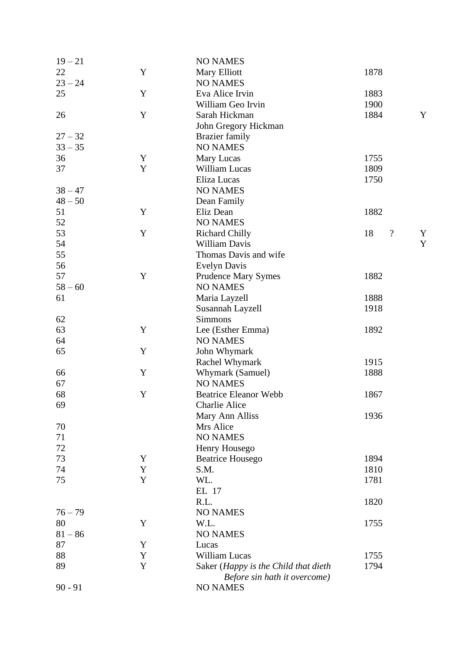| $19 - 21$ |             | <b>NO NAMES</b>                      |                        |   |
|-----------|-------------|--------------------------------------|------------------------|---|
| 22        | Y           | Mary Elliott                         | 1878                   |   |
| $23 - 24$ |             | <b>NO NAMES</b>                      |                        |   |
| 25        | Y           | Eva Alice Irvin                      | 1883                   |   |
|           |             | William Geo Irvin                    | 1900                   |   |
| 26        | Y           | Sarah Hickman                        | 1884                   | Y |
|           |             | John Gregory Hickman                 |                        |   |
|           |             |                                      |                        |   |
| $27 - 32$ |             | <b>Brazier</b> family                |                        |   |
| $33 - 35$ |             | <b>NO NAMES</b>                      |                        |   |
| 36        | Y           | Mary Lucas                           | 1755                   |   |
| 37        | Y           | William Lucas                        | 1809                   |   |
|           |             | Eliza Lucas                          | 1750                   |   |
| $38 - 47$ |             | <b>NO NAMES</b>                      |                        |   |
| $48 - 50$ |             | Dean Family                          |                        |   |
| 51        | Y           | Eliz Dean                            | 1882                   |   |
| 52        |             | <b>NO NAMES</b>                      |                        |   |
| 53        | $\mathbf Y$ | <b>Richard Chilly</b>                | $\boldsymbol{?}$<br>18 | Y |
| 54        |             | William Davis                        |                        | Y |
| 55        |             | Thomas Davis and wife                |                        |   |
| 56        |             | <b>Evelyn Davis</b>                  |                        |   |
| 57        | $\mathbf Y$ |                                      | 1882                   |   |
|           |             | <b>Prudence Mary Symes</b>           |                        |   |
| $58 - 60$ |             | <b>NO NAMES</b>                      |                        |   |
| 61        |             | Maria Layzell                        | 1888                   |   |
|           |             | Susannah Layzell                     | 1918                   |   |
| 62        |             | <b>Simmons</b>                       |                        |   |
| 63        | $\mathbf Y$ | Lee (Esther Emma)                    | 1892                   |   |
| 64        |             | <b>NO NAMES</b>                      |                        |   |
| 65        | Y           | John Whymark                         |                        |   |
|           |             | Rachel Whymark                       | 1915                   |   |
| 66        | Y           | Whymark (Samuel)                     | 1888                   |   |
| 67        |             | <b>NO NAMES</b>                      |                        |   |
| 68        | Y           | <b>Beatrice Eleanor Webb</b>         | 1867                   |   |
| 69        |             | <b>Charlie Alice</b>                 |                        |   |
|           |             | Mary Ann Alliss                      | 1936                   |   |
| 70        |             | Mrs Alice                            |                        |   |
| 71        |             | <b>NO NAMES</b>                      |                        |   |
| 72        |             |                                      |                        |   |
|           |             | Henry Housego                        |                        |   |
| 73        | Y           | <b>Beatrice Housego</b>              | 1894                   |   |
| 74        | Y           | S.M.                                 | 1810                   |   |
| 75        | Y           | WL.                                  | 1781                   |   |
|           |             | EL 17                                |                        |   |
|           |             | R.L.                                 | 1820                   |   |
| $76 - 79$ |             | <b>NO NAMES</b>                      |                        |   |
| 80        | Y           | W.L.                                 | 1755                   |   |
| $81 - 86$ |             | <b>NO NAMES</b>                      |                        |   |
| 87        | Y           | Lucas                                |                        |   |
| 88        | Y           | William Lucas                        | 1755                   |   |
| 89        | Y           | Saker (Happy is the Child that dieth | 1794                   |   |
|           |             | Before sin hath it overcome)         |                        |   |
| $90 - 91$ |             | <b>NO NAMES</b>                      |                        |   |
|           |             |                                      |                        |   |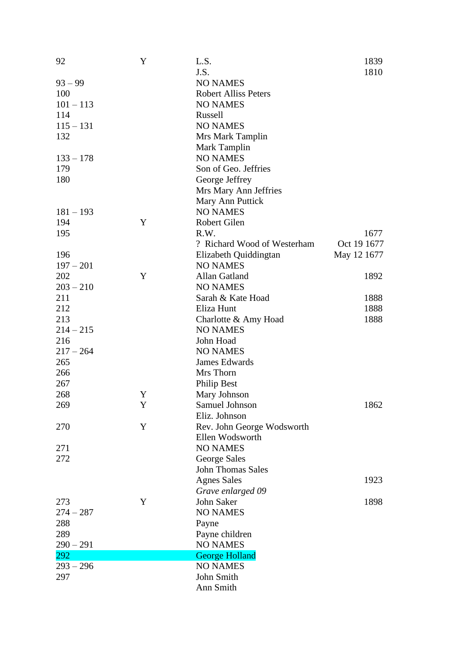| 92          | Y | L.S.                        | 1839        |
|-------------|---|-----------------------------|-------------|
|             |   | J.S.                        | 1810        |
| $93 - 99$   |   | <b>NO NAMES</b>             |             |
| 100         |   | <b>Robert Alliss Peters</b> |             |
| $101 - 113$ |   | <b>NO NAMES</b>             |             |
| 114         |   | Russell                     |             |
| $115 - 131$ |   | <b>NO NAMES</b>             |             |
| 132         |   | Mrs Mark Tamplin            |             |
|             |   | Mark Tamplin                |             |
| $133 - 178$ |   | <b>NO NAMES</b>             |             |
| 179         |   | Son of Geo. Jeffries        |             |
| 180         |   | George Jeffrey              |             |
|             |   | Mrs Mary Ann Jeffries       |             |
|             |   | Mary Ann Puttick            |             |
| $181 - 193$ |   | <b>NO NAMES</b>             |             |
| 194         | Y | Robert Gilen                |             |
| 195         |   | R.W.                        | 1677        |
|             |   | ? Richard Wood of Westerham | Oct 19 1677 |
| 196         |   | Elizabeth Quiddingtan       | May 12 1677 |
| $197 - 201$ |   | <b>NO NAMES</b>             |             |
| 202         | Y | Allan Gatland               | 1892        |
| $203 - 210$ |   | <b>NO NAMES</b>             |             |
| 211         |   | Sarah & Kate Hoad           | 1888        |
| 212         |   | Eliza Hunt                  | 1888        |
| 213         |   | Charlotte & Amy Hoad        | 1888        |
| $214 - 215$ |   | <b>NO NAMES</b>             |             |
| 216         |   | John Hoad                   |             |
| $217 - 264$ |   | <b>NO NAMES</b>             |             |
| 265         |   | James Edwards               |             |
| 266         |   | Mrs Thorn                   |             |
| 267         |   | <b>Philip Best</b>          |             |
| 268         | Y | Mary Johnson                |             |
| 269         | Y | Samuel Johnson              | 1862        |
|             |   | Eliz. Johnson               |             |
| 270         | Y | Rev. John George Wodsworth  |             |
|             |   | Ellen Wodsworth             |             |
| 271         |   | <b>NO NAMES</b>             |             |
| 272         |   | George Sales                |             |
|             |   | <b>John Thomas Sales</b>    |             |
|             |   | <b>Agnes Sales</b>          | 1923        |
|             |   | Grave enlarged 09           |             |
| 273         | Y | John Saker                  | 1898        |
| $274 - 287$ |   | <b>NO NAMES</b>             |             |
| 288         |   | Payne                       |             |
| 289         |   | Payne children              |             |
| $290 - 291$ |   | <b>NO NAMES</b>             |             |
| 292         |   | <b>George Holland</b>       |             |
| $293 - 296$ |   | <b>NO NAMES</b>             |             |
| 297         |   | John Smith                  |             |
|             |   | Ann Smith                   |             |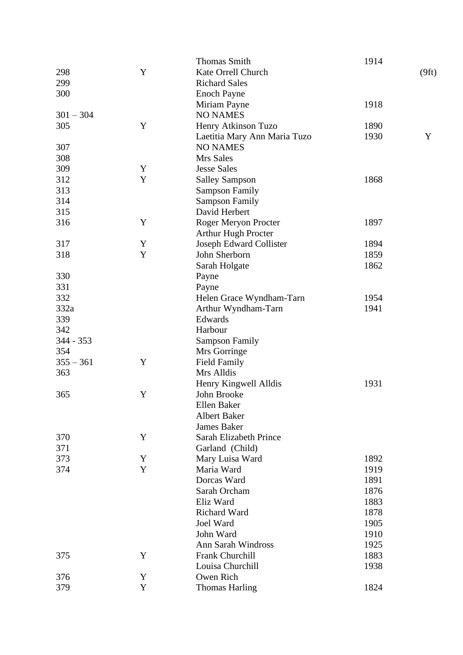|             |             | <b>Thomas Smith</b>          | 1914 |       |
|-------------|-------------|------------------------------|------|-------|
| 298         | Y           | Kate Orrell Church           |      | (9ft) |
| 299         |             | <b>Richard Sales</b>         |      |       |
| 300         |             | <b>Enoch Payne</b>           |      |       |
|             |             | Miriam Payne                 | 1918 |       |
| $301 - 304$ |             | <b>NO NAMES</b>              |      |       |
| 305         | $\mathbf Y$ | Henry Atkinson Tuzo          | 1890 |       |
|             |             | Laetitia Mary Ann Maria Tuzo | 1930 | Y     |
| 307         |             | <b>NO NAMES</b>              |      |       |
| 308         |             | Mrs Sales                    |      |       |
| 309         | Y           | <b>Jesse Sales</b>           |      |       |
| 312         | Y           | <b>Salley Sampson</b>        | 1868 |       |
| 313         |             | <b>Sampson Family</b>        |      |       |
| 314         |             | <b>Sampson Family</b>        |      |       |
| 315         |             | David Herbert                |      |       |
|             |             |                              |      |       |
| 316         | $\mathbf Y$ | Roger Meryon Procter         | 1897 |       |
|             |             | <b>Arthur Hugh Procter</b>   |      |       |
| 317         | Y           | Joseph Edward Collister      | 1894 |       |
| 318         | $\mathbf Y$ | John Sherborn                | 1859 |       |
|             |             | Sarah Holgate                | 1862 |       |
| 330         |             | Payne                        |      |       |
| 331         |             | Payne                        |      |       |
| 332         |             | Helen Grace Wyndham-Tarn     | 1954 |       |
| 332a        |             | Arthur Wyndham-Tarn          | 1941 |       |
| 339         |             | Edwards                      |      |       |
| 342         |             | Harbour                      |      |       |
| 344 - 353   |             | <b>Sampson Family</b>        |      |       |
| 354         |             | Mrs Gorringe                 |      |       |
| $355 - 361$ | Y           | <b>Field Family</b>          |      |       |
| 363         |             | Mrs Alldis                   |      |       |
|             |             | Henry Kingwell Alldis        | 1931 |       |
| 365         | Y           | John Brooke                  |      |       |
|             |             | Ellen Baker                  |      |       |
|             |             | <b>Albert Baker</b>          |      |       |
|             |             | <b>James Baker</b>           |      |       |
| 370         | $\mathbf Y$ | Sarah Elizabeth Prince       |      |       |
| 371         |             | Garland (Child)              |      |       |
| 373         | Y           | Mary Luisa Ward              | 1892 |       |
| 374         | $\mathbf Y$ | Maria Ward                   | 1919 |       |
|             |             | Dorcas Ward                  | 1891 |       |
|             |             | Sarah Orcham                 | 1876 |       |
|             |             | Eliz Ward                    | 1883 |       |
|             |             | <b>Richard Ward</b>          | 1878 |       |
|             |             | Joel Ward                    | 1905 |       |
|             |             | John Ward                    | 1910 |       |
|             |             | <b>Ann Sarah Windross</b>    | 1925 |       |
| 375         | Y           | Frank Churchill              | 1883 |       |
|             |             | Louisa Churchill             | 1938 |       |
| 376         | Y           | Owen Rich                    |      |       |
| 379         | Y           |                              | 1824 |       |
|             |             | <b>Thomas Harling</b>        |      |       |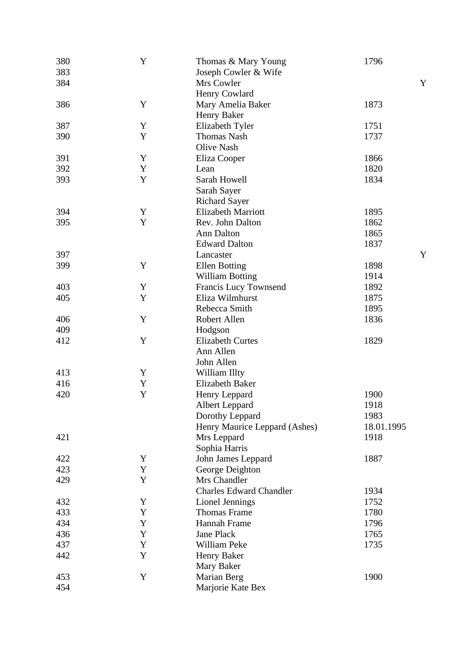| 380 | Y           | Thomas & Mary Young            | 1796         |
|-----|-------------|--------------------------------|--------------|
| 383 |             | Joseph Cowler & Wife           |              |
| 384 |             | Mrs Cowler                     |              |
|     |             | Henry Cowlard                  |              |
| 386 | Y           | Mary Amelia Baker              | 1873         |
|     |             | Henry Baker                    |              |
| 387 | Y           | Elizabeth Tyler                | 1751         |
| 390 | Y           | <b>Thomas Nash</b>             | 1737         |
|     |             |                                |              |
|     |             | Olive Nash                     |              |
| 391 | Y           | Eliza Cooper                   | 1866         |
| 392 | Y           | Lean                           | 1820         |
| 393 | Y           | Sarah Howell                   | 1834         |
|     |             | Sarah Sayer                    |              |
|     |             | <b>Richard Sayer</b>           |              |
| 394 | Y           | <b>Elizabeth Marriott</b>      | 1895         |
| 395 | $\mathbf Y$ | Rev. John Dalton               | 1862         |
|     |             | Ann Dalton                     | 1865         |
|     |             | <b>Edward Dalton</b>           | 1837         |
| 397 |             | Lancaster                      |              |
| 399 | Y           | <b>Ellen Botting</b>           | 1898         |
|     |             | <b>William Botting</b>         | 1914         |
| 403 | Y           | Francis Lucy Townsend          | 1892         |
| 405 | Y           | Eliza Wilmhurst                | 1875         |
|     |             | Rebecca Smith                  | 1895         |
| 406 | Y           | Robert Allen                   | 1836         |
| 409 |             | Hodgson                        |              |
| 412 | $\mathbf Y$ | <b>Elizabeth Curtes</b>        | 1829         |
|     |             | Ann Allen                      |              |
|     |             | John Allen                     |              |
| 413 | Y           | William Illty                  |              |
| 416 | Y           | <b>Elizabeth Baker</b>         |              |
| 420 | Y           | Henry Leppard                  | 1900         |
|     |             |                                |              |
|     |             | <b>Albert Leppard</b>          | 1918<br>1983 |
|     |             | Dorothy Leppard                |              |
|     |             | Henry Maurice Leppard (Ashes)  | 18.01.1995   |
| 421 |             | Mrs Leppard                    | 1918         |
|     |             | Sophia Harris                  |              |
| 422 | Y           | John James Leppard             | 1887         |
| 423 | Y           | George Deighton                |              |
| 429 | Y           | Mrs Chandler                   |              |
|     |             | <b>Charles Edward Chandler</b> | 1934         |
| 432 | Y           | Lionel Jennings                | 1752         |
| 433 | Y           | <b>Thomas Frame</b>            | 1780         |
| 434 | Y           | Hannah Frame                   | 1796         |
| 436 | Y           | Jane Plack                     | 1765         |
| 437 | Y           | William Peke                   | 1735         |
| 442 | Y           | Henry Baker                    |              |
|     |             | Mary Baker                     |              |
| 453 | Y           | Marian Berg                    | 1900         |
| 454 |             | Marjorie Kate Bex              |              |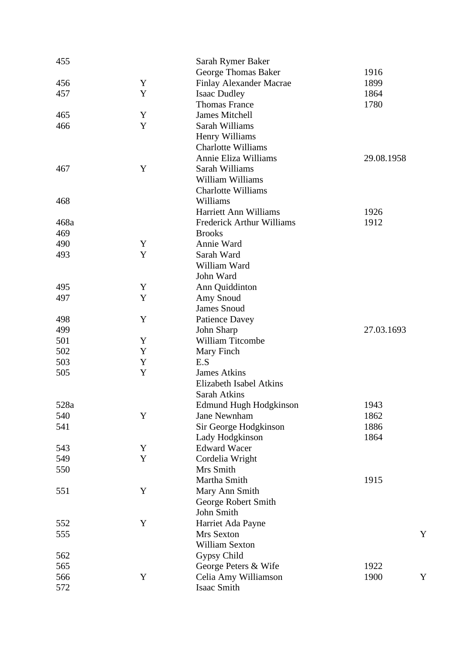| 455  |   | Sarah Rymer Baker                |            |
|------|---|----------------------------------|------------|
|      |   | George Thomas Baker              | 1916       |
| 456  | Y | <b>Finlay Alexander Macrae</b>   | 1899       |
| 457  | Y | <b>Isaac Dudley</b>              | 1864       |
|      |   | <b>Thomas France</b>             | 1780       |
| 465  | Y | James Mitchell                   |            |
| 466  | Y | Sarah Williams                   |            |
|      |   | Henry Williams                   |            |
|      |   | <b>Charlotte Williams</b>        |            |
|      |   | Annie Eliza Williams             | 29.08.1958 |
| 467  | Y | Sarah Williams                   |            |
|      |   | William Williams                 |            |
|      |   | <b>Charlotte Williams</b>        |            |
| 468  |   | Williams                         |            |
|      |   | Harriett Ann Williams            | 1926       |
| 468a |   | <b>Frederick Arthur Williams</b> | 1912       |
| 469  |   | <b>Brooks</b>                    |            |
| 490  | Y | Annie Ward                       |            |
| 493  | Y | Sarah Ward                       |            |
|      |   | William Ward                     |            |
|      |   | John Ward                        |            |
| 495  | Y | Ann Quiddinton                   |            |
| 497  | Y | Amy Snoud                        |            |
|      |   | <b>James Snoud</b>               |            |
| 498  | Y | <b>Patience Davey</b>            |            |
| 499  |   | John Sharp                       | 27.03.1693 |
| 501  | Y | William Titcombe                 |            |
| 502  | Y | Mary Finch                       |            |
| 503  | Y | E.S                              |            |
| 505  | Y | <b>James Atkins</b>              |            |
|      |   | Elizabeth Isabel Atkins          |            |
|      |   | Sarah Atkins                     |            |
| 528a |   | <b>Edmund Hugh Hodgkinson</b>    | 1943       |
| 540  | Y | Jane Newnham                     | 1862       |
| 541  |   | Sir George Hodgkinson            | 1886       |
|      |   | Lady Hodgkinson                  | 1864       |
| 543  | Y | <b>Edward Wacer</b>              |            |
| 549  | Y | Cordelia Wright                  |            |
| 550  |   | Mrs Smith                        |            |
|      |   | Martha Smith                     | 1915       |
| 551  | Y | Mary Ann Smith                   |            |
|      |   | George Robert Smith              |            |
|      |   | John Smith                       |            |
| 552  | Y | Harriet Ada Payne                |            |
| 555  |   | Mrs Sexton                       |            |
|      |   | William Sexton                   |            |
| 562  |   | Gypsy Child                      |            |
| 565  |   | George Peters & Wife             | 1922       |
| 566  | Y | Celia Amy Williamson             | 1900       |
| 572  |   | Isaac Smith                      |            |
|      |   |                                  |            |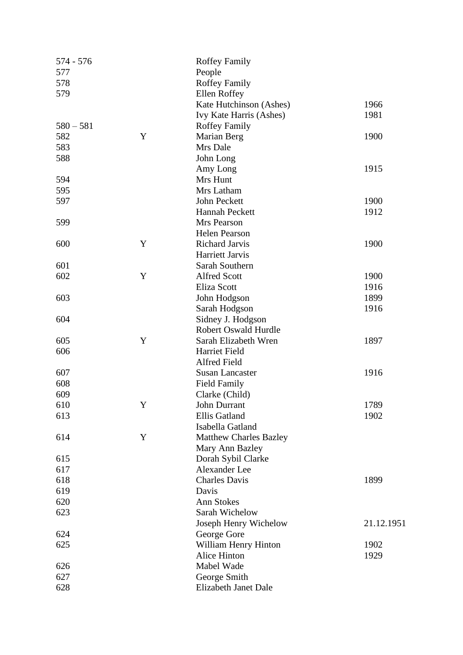| 574 - 576   |   | <b>Roffey Family</b>          |            |
|-------------|---|-------------------------------|------------|
| 577         |   | People                        |            |
| 578         |   | <b>Roffey Family</b>          |            |
| 579         |   | Ellen Roffey                  |            |
|             |   | Kate Hutchinson (Ashes)       | 1966       |
|             |   | Ivy Kate Harris (Ashes)       | 1981       |
| $580 - 581$ |   | <b>Roffey Family</b>          |            |
| 582         | Y | Marian Berg                   | 1900       |
| 583         |   | Mrs Dale                      |            |
| 588         |   | John Long                     |            |
|             |   | Amy Long                      | 1915       |
| 594         |   | Mrs Hunt                      |            |
| 595         |   | Mrs Latham                    |            |
| 597         |   | John Peckett                  | 1900       |
|             |   | Hannah Peckett                | 1912       |
| 599         |   | Mrs Pearson                   |            |
|             |   | Helen Pearson                 |            |
| 600         | Y | Richard Jarvis                | 1900       |
|             |   | Harriett Jarvis               |            |
| 601         |   | Sarah Southern                |            |
| 602         | Y | <b>Alfred Scott</b>           | 1900       |
|             |   | <b>Eliza Scott</b>            | 1916       |
| 603         |   | John Hodgson                  | 1899       |
|             |   | Sarah Hodgson                 | 1916       |
| 604         |   | Sidney J. Hodgson             |            |
|             |   | <b>Robert Oswald Hurdle</b>   |            |
| 605         | Y | Sarah Elizabeth Wren          | 1897       |
| 606         |   | Harriet Field                 |            |
|             |   | Alfred Field                  |            |
| 607         |   | <b>Susan Lancaster</b>        | 1916       |
| 608         |   | <b>Field Family</b>           |            |
| 609         |   | Clarke (Child)                |            |
| 610         | Y | John Durrant                  | 1789       |
| 613         |   | Ellis Gatland                 | 1902       |
|             |   | Isabella Gatland              |            |
| 614         | Y | <b>Matthew Charles Bazley</b> |            |
|             |   | Mary Ann Bazley               |            |
| 615         |   | Dorah Sybil Clarke            |            |
| 617         |   | Alexander Lee                 |            |
| 618         |   | <b>Charles Davis</b>          | 1899       |
| 619         |   | Davis                         |            |
| 620         |   | <b>Ann Stokes</b>             |            |
| 623         |   | Sarah Wichelow                |            |
|             |   | Joseph Henry Wichelow         | 21.12.1951 |
| 624         |   | George Gore                   |            |
| 625         |   | William Henry Hinton          | 1902       |
|             |   | Alice Hinton                  | 1929       |
| 626         |   | Mabel Wade                    |            |
| 627         |   | George Smith                  |            |
| 628         |   | Elizabeth Janet Dale          |            |
|             |   |                               |            |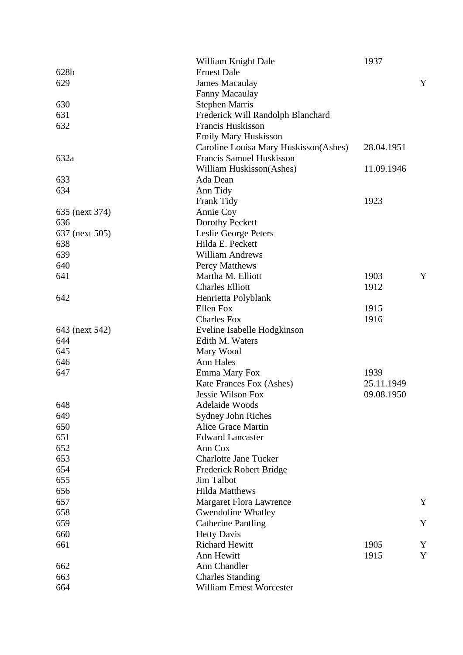|                | William Knight Dale                      | 1937       |   |
|----------------|------------------------------------------|------------|---|
| 628b           | <b>Ernest Dale</b>                       |            |   |
| 629            | <b>James Macaulay</b>                    |            | Y |
|                | Fanny Macaulay                           |            |   |
| 630            | <b>Stephen Marris</b>                    |            |   |
| 631            | Frederick Will Randolph Blanchard        |            |   |
| 632            | Francis Huskisson                        |            |   |
|                | <b>Emily Mary Huskisson</b>              |            |   |
|                | Caroline Louisa Mary Huskisson (Ashes)   | 28.04.1951 |   |
| 632a           | <b>Francis Samuel Huskisson</b>          |            |   |
|                | William Huskisson(Ashes)                 | 11.09.1946 |   |
| 633            | Ada Dean                                 |            |   |
| 634            | Ann Tidy                                 |            |   |
|                | Frank Tidy                               | 1923       |   |
| 635 (next 374) | Annie Coy                                |            |   |
| 636            | Dorothy Peckett                          |            |   |
| 637 (next 505) | Leslie George Peters                     |            |   |
| 638            | Hilda E. Peckett                         |            |   |
| 639            | <b>William Andrews</b>                   |            |   |
| 640            | Percy Matthews                           |            |   |
| 641            | Martha M. Elliott                        | 1903       | Y |
|                | <b>Charles Elliott</b>                   | 1912       |   |
| 642            | Henrietta Polyblank                      |            |   |
|                | Ellen Fox                                | 1915       |   |
|                | <b>Charles Fox</b>                       | 1916       |   |
| 643 (next 542) | Eveline Isabelle Hodgkinson              |            |   |
| 644            | Edith M. Waters                          |            |   |
| 645            | Mary Wood                                |            |   |
| 646            | Ann Hales                                |            |   |
| 647            | Emma Mary Fox                            | 1939       |   |
|                | Kate Frances Fox (Ashes)                 | 25.11.1949 |   |
|                | <b>Jessie Wilson Fox</b>                 | 09.08.1950 |   |
| 648            | Adelaide Woods                           |            |   |
| 649            |                                          |            |   |
| 650            | Sydney John Riches<br>Alice Grace Martin |            |   |
| 651            | <b>Edward Lancaster</b>                  |            |   |
|                | Ann Cox                                  |            |   |
| 652            |                                          |            |   |
| 653            | <b>Charlotte Jane Tucker</b>             |            |   |
| 654            | Frederick Robert Bridge                  |            |   |
| 655            | Jim Talbot                               |            |   |
| 656            | <b>Hilda Matthews</b>                    |            |   |
| 657            | Margaret Flora Lawrence                  |            | Y |
| 658            | Gwendoline Whatley                       |            |   |
| 659            | <b>Catherine Pantling</b>                |            | Y |
| 660            | <b>Hetty Davis</b>                       |            |   |
| 661            | <b>Richard Hewitt</b>                    | 1905       | Y |
|                | Ann Hewitt                               | 1915       | Y |
| 662            | Ann Chandler                             |            |   |
| 663            | <b>Charles Standing</b>                  |            |   |
| 664            | William Ernest Worcester                 |            |   |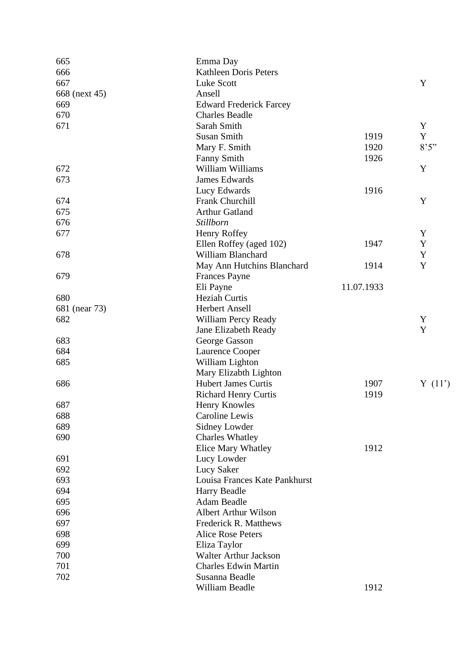| 665           | Emma Day                       |            |             |
|---------------|--------------------------------|------------|-------------|
| 666           | Kathleen Doris Peters          |            |             |
| 667           | Luke Scott                     |            | Y           |
| 668 (next 45) | Ansell                         |            |             |
| 669           | <b>Edward Frederick Farcey</b> |            |             |
| 670           | <b>Charles Beadle</b>          |            |             |
| 671           | Sarah Smith                    |            | Y           |
|               | <b>Susan Smith</b>             | 1919       | Y           |
|               | Mary F. Smith                  | 1920       | 8'5''       |
|               | <b>Fanny Smith</b>             | 1926       |             |
| 672           | William Williams               |            | Y           |
| 673           | <b>James Edwards</b>           |            |             |
|               | Lucy Edwards                   | 1916       |             |
| 674           | Frank Churchill                |            | Y           |
| 675           | <b>Arthur Gatland</b>          |            |             |
| 676           | Stillborn                      |            |             |
| 677           | Henry Roffey                   |            | Y           |
|               | Ellen Roffey (aged 102)        | 1947       | $\mathbf Y$ |
| 678           | William Blanchard              |            | $\mathbf Y$ |
|               | May Ann Hutchins Blanchard     | 1914       | Y           |
| 679           | <b>Frances Payne</b>           |            |             |
|               | Eli Payne                      | 11.07.1933 |             |
| 680           | <b>Heziah Curtis</b>           |            |             |
| 681 (near 73) | <b>Herbert Ansell</b>          |            |             |
| 682           | William Percy Ready            |            | Y           |
|               | Jane Elizabeth Ready           |            | Y           |
| 683           | George Gasson                  |            |             |
| 684           | Laurence Cooper                |            |             |
| 685           | William Lighton                |            |             |
|               | Mary Elizabth Lighton          |            |             |
| 686           | <b>Hubert James Curtis</b>     | 1907       | Y(11)       |
|               | <b>Richard Henry Curtis</b>    | 1919       |             |
| 687           | <b>Henry Knowles</b>           |            |             |
| 688           | Caroline Lewis                 |            |             |
|               |                                |            |             |
| 689           | Sidney Lowder                  |            |             |
| 690           | <b>Charles Whatley</b>         |            |             |
|               | <b>Elice Mary Whatley</b>      | 1912       |             |
| 691           | Lucy Lowder                    |            |             |
| 692           | Lucy Saker                     |            |             |
| 693           | Louisa Frances Kate Pankhurst  |            |             |
| 694           | Harry Beadle                   |            |             |
| 695           | Adam Beadle                    |            |             |
| 696           | <b>Albert Arthur Wilson</b>    |            |             |
| 697           | <b>Frederick R. Matthews</b>   |            |             |
| 698           | <b>Alice Rose Peters</b>       |            |             |
| 699           | Eliza Taylor                   |            |             |
| 700           | <b>Walter Arthur Jackson</b>   |            |             |
| 701           | <b>Charles Edwin Martin</b>    |            |             |
| 702           | Susanna Beadle                 |            |             |
|               | William Beadle                 | 1912       |             |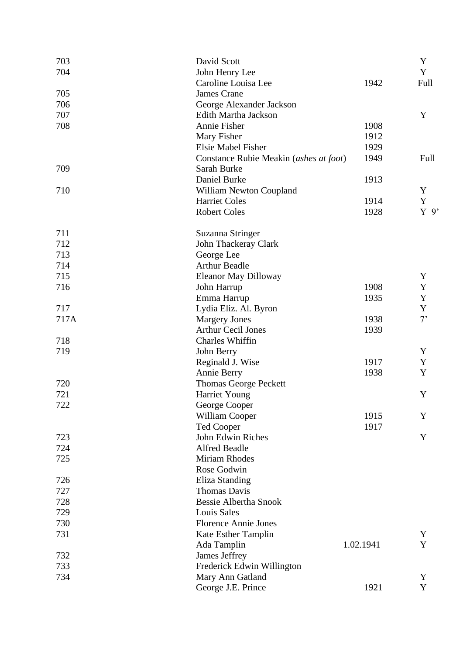| 703  | David Scott                                      |           | Y              |
|------|--------------------------------------------------|-----------|----------------|
| 704  | John Henry Lee                                   |           | Y              |
| 705  | Caroline Louisa Lee<br><b>James Crane</b>        | 1942      | Full           |
| 706  |                                                  |           |                |
| 707  | George Alexander Jackson<br>Edith Martha Jackson |           | Y              |
|      |                                                  |           |                |
| 708  | Annie Fisher                                     | 1908      |                |
|      | Mary Fisher                                      | 1912      |                |
|      | Elsie Mabel Fisher                               | 1929      |                |
|      | Constance Rubie Meakin (ashes at foot)           | 1949      | Full           |
| 709  | Sarah Burke                                      |           |                |
|      | Daniel Burke                                     | 1913      |                |
| 710  | William Newton Coupland                          |           | Y              |
|      | <b>Harriet Coles</b>                             | 1914      | $\mathbf Y$    |
|      | <b>Robert Coles</b>                              | 1928      | $Y$ 9'         |
| 711  | Suzanna Stringer                                 |           |                |
| 712  | John Thackeray Clark                             |           |                |
| 713  | George Lee                                       |           |                |
| 714  | <b>Arthur Beadle</b>                             |           |                |
| 715  | <b>Eleanor May Dilloway</b>                      |           | Y              |
| 716  | John Harrup                                      | 1908      | $\mathbf Y$    |
|      | Emma Harrup                                      | 1935      | $\mathbf Y$    |
| 717  | Lydia Eliz. Al. Byron                            |           | Y              |
| 717A | <b>Margery Jones</b>                             | 1938      | 7 <sup>5</sup> |
|      | <b>Arthur Cecil Jones</b>                        | 1939      |                |
| 718  | Charles Whiffin                                  |           |                |
| 719  | John Berry                                       |           | Y              |
|      | Reginald J. Wise                                 | 1917      | $\mathbf Y$    |
|      | Annie Berry                                      | 1938      | Y              |
| 720  | Thomas George Peckett                            |           |                |
| 721  | <b>Harriet Young</b>                             |           | Y              |
| 722  | George Cooper                                    |           |                |
|      | William Cooper                                   | 1915      | Y              |
|      | <b>Ted Cooper</b>                                | 1917      |                |
| 723  | John Edwin Riches                                |           | Y              |
| 724  | <b>Alfred Beadle</b>                             |           |                |
| 725  | Miriam Rhodes                                    |           |                |
|      | Rose Godwin                                      |           |                |
| 726  | Eliza Standing                                   |           |                |
| 727  | <b>Thomas Davis</b>                              |           |                |
| 728  | <b>Bessie Albertha Snook</b>                     |           |                |
| 729  | <b>Louis Sales</b>                               |           |                |
| 730  | <b>Florence Annie Jones</b>                      |           |                |
| 731  | Kate Esther Tamplin                              |           | Y              |
|      | Ada Tamplin                                      | 1.02.1941 | Y              |
| 732  | James Jeffrey                                    |           |                |
| 733  | Frederick Edwin Willington                       |           |                |
| 734  | Mary Ann Gatland                                 |           | Y              |
|      | George J.E. Prince                               | 1921      | Y              |
|      |                                                  |           |                |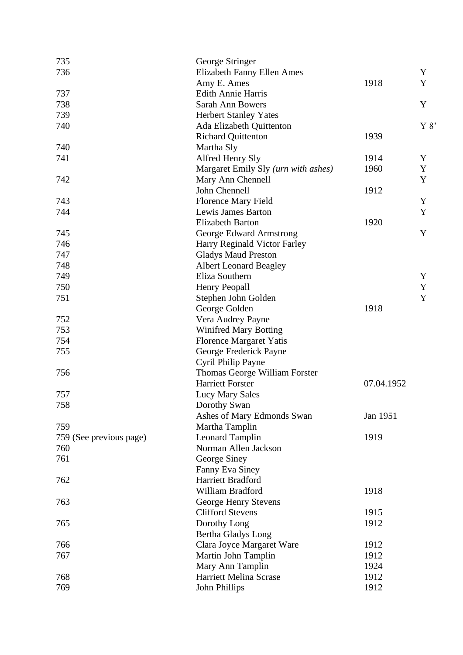| 735                     | George Stringer                     |            |      |
|-------------------------|-------------------------------------|------------|------|
| 736                     | <b>Elizabeth Fanny Ellen Ames</b>   |            | Y    |
|                         | Amy E. Ames                         | 1918       | Y    |
| 737                     | <b>Edith Annie Harris</b>           |            |      |
| 738                     | <b>Sarah Ann Bowers</b>             |            | Y    |
| 739                     | <b>Herbert Stanley Yates</b>        |            |      |
| 740                     | Ada Elizabeth Quittenton            |            | Y 8' |
|                         | <b>Richard Quittenton</b>           | 1939       |      |
| 740                     | Martha Sly                          |            |      |
| 741                     | Alfred Henry Sly                    | 1914       | Y    |
|                         | Margaret Emily Sly (urn with ashes) | 1960       | Y    |
| 742                     | Mary Ann Chennell                   |            | Y    |
|                         | John Chennell                       | 1912       |      |
| 743                     | <b>Florence Mary Field</b>          |            | Y    |
| 744                     | Lewis James Barton                  |            | Y    |
|                         | <b>Elizabeth Barton</b>             | 1920       |      |
| 745                     | George Edward Armstrong             |            | Y    |
| 746                     | Harry Reginald Victor Farley        |            |      |
| 747                     | <b>Gladys Maud Preston</b>          |            |      |
| 748                     | <b>Albert Leonard Beagley</b>       |            |      |
| 749                     | Eliza Southern                      |            | Y    |
| 750                     | Henry Peopall                       |            | Y    |
| 751                     |                                     |            | Y    |
|                         | Stephen John Golden                 | 1918       |      |
|                         | George Golden                       |            |      |
| 752                     | Vera Audrey Payne                   |            |      |
| 753                     | <b>Winifred Mary Botting</b>        |            |      |
| 754                     | <b>Florence Margaret Yatis</b>      |            |      |
| 755                     | George Frederick Payne              |            |      |
|                         | Cyril Philip Payne                  |            |      |
| 756                     | Thomas George William Forster       |            |      |
|                         | <b>Harriett Forster</b>             | 07.04.1952 |      |
| 757                     | <b>Lucy Mary Sales</b>              |            |      |
| 758                     | Dorothy Swan                        |            |      |
|                         | Ashes of Mary Edmonds Swan          | Jan 1951   |      |
| 759                     | Martha Tamplin                      |            |      |
| 759 (See previous page) | <b>Leonard Tamplin</b>              | 1919       |      |
| 760                     | Norman Allen Jackson                |            |      |
| 761                     | George Siney                        |            |      |
|                         | Fanny Eva Siney                     |            |      |
| 762                     | Harriett Bradford                   |            |      |
|                         | William Bradford                    | 1918       |      |
| 763                     | George Henry Stevens                |            |      |
|                         | <b>Clifford Stevens</b>             | 1915       |      |
| 765                     | Dorothy Long                        | 1912       |      |
|                         | Bertha Gladys Long                  |            |      |
| 766                     | Clara Joyce Margaret Ware           | 1912       |      |
| 767                     | Martin John Tamplin                 | 1912       |      |
|                         | Mary Ann Tamplin                    | 1924       |      |
| 768                     | Harriett Melina Scrase              | 1912       |      |
| 769                     | John Phillips                       | 1912       |      |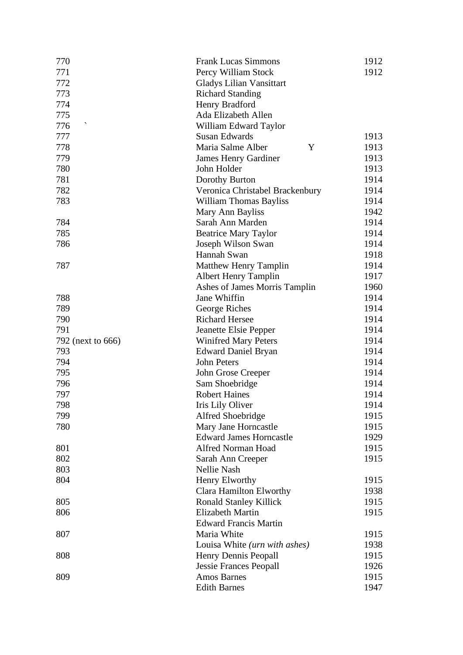| 770               | <b>Frank Lucas Simmons</b>       | 1912 |
|-------------------|----------------------------------|------|
| 771               | Percy William Stock              | 1912 |
| 772               | Gladys Lilian Vansittart         |      |
| 773               | <b>Richard Standing</b>          |      |
| 774               | Henry Bradford                   |      |
| 775               | Ada Elizabeth Allen              |      |
| 776               | William Edward Taylor            |      |
| 777               | <b>Susan Edwards</b>             | 1913 |
| 778               | Maria Salme Alber<br>Y           | 1913 |
| 779               | <b>James Henry Gardiner</b>      | 1913 |
| 780               | John Holder                      | 1913 |
| 781               | Dorothy Burton                   | 1914 |
| 782               | Veronica Christabel Brackenbury  | 1914 |
| 783               | <b>William Thomas Bayliss</b>    | 1914 |
|                   | Mary Ann Bayliss                 | 1942 |
| 784               | Sarah Ann Marden                 | 1914 |
| 785               | <b>Beatrice Mary Taylor</b>      | 1914 |
| 786               | Joseph Wilson Swan               | 1914 |
|                   | Hannah Swan                      | 1918 |
| 787               | <b>Matthew Henry Tamplin</b>     | 1914 |
|                   | <b>Albert Henry Tamplin</b>      | 1917 |
|                   | Ashes of James Morris Tamplin    | 1960 |
| 788               | Jane Whiffin                     | 1914 |
| 789               | George Riches                    | 1914 |
| 790               | <b>Richard Hersee</b>            | 1914 |
| 791               | Jeanette Elsie Pepper            | 1914 |
| 792 (next to 666) | <b>Winifred Mary Peters</b>      | 1914 |
| 793               | <b>Edward Daniel Bryan</b>       | 1914 |
| 794               | John Peters                      | 1914 |
| 795               | John Grose Creeper               | 1914 |
| 796               | Sam Shoebridge                   | 1914 |
| 797               | <b>Robert Haines</b>             | 1914 |
| 798               | Iris Lily Oliver                 | 1914 |
| 799               | Alfred Shoebridge                | 1915 |
| 780               | Mary Jane Horncastle             | 1915 |
|                   | <b>Edward James Horncastle</b>   | 1929 |
| 801               | <b>Alfred Norman Hoad</b>        | 1915 |
| 802               |                                  | 1915 |
| 803               | Sarah Ann Creeper<br>Nellie Nash |      |
| 804               |                                  | 1915 |
|                   | Henry Elworthy                   |      |
|                   | Clara Hamilton Elworthy          | 1938 |
| 805               | <b>Ronald Stanley Killick</b>    | 1915 |
| 806               | <b>Elizabeth Martin</b>          | 1915 |
|                   | <b>Edward Francis Martin</b>     |      |
| 807               | Maria White                      | 1915 |
|                   | Louisa White (urn with ashes)    | 1938 |
| 808               | Henry Dennis Peopall             | 1915 |
|                   | <b>Jessie Frances Peopall</b>    | 1926 |
| 809               | <b>Amos Barnes</b>               | 1915 |
|                   | <b>Edith Barnes</b>              | 1947 |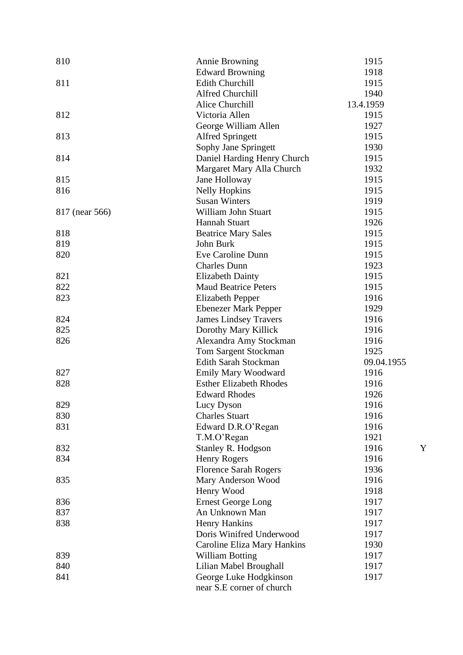| 810            | Annie Browning                              | 1915         |
|----------------|---------------------------------------------|--------------|
|                | <b>Edward Browning</b>                      | 1918         |
| 811            | <b>Edith Churchill</b>                      | 1915         |
|                | Alfred Churchill                            | 1940         |
|                | Alice Churchill                             | 13.4.1959    |
| 812            | Victoria Allen                              | 1915         |
|                | George William Allen                        | 1927         |
| 813            | <b>Alfred Springett</b>                     | 1915         |
|                | Sophy Jane Springett                        | 1930         |
| 814            | Daniel Harding Henry Church                 | 1915         |
|                | Margaret Mary Alla Church                   | 1932         |
| 815            | Jane Holloway                               | 1915         |
| 816            | <b>Nelly Hopkins</b>                        | 1915         |
|                | <b>Susan Winters</b>                        | 1919         |
| 817 (near 566) | William John Stuart                         | 1915         |
|                | Hannah Stuart                               | 1926         |
| 818            | <b>Beatrice Mary Sales</b>                  | 1915         |
| 819            | John Burk                                   | 1915         |
| 820            | Eve Caroline Dunn                           | 1915         |
|                | <b>Charles Dunn</b>                         | 1923         |
| 821            | <b>Elizabeth Dainty</b>                     | 1915         |
| 822            | <b>Maud Beatrice Peters</b>                 | 1915         |
| 823            | <b>Elizabeth Pepper</b>                     | 1916         |
|                | <b>Ebenezer Mark Pepper</b>                 | 1929         |
| 824            | <b>James Lindsey Travers</b>                | 1916         |
| 825            | Dorothy Mary Killick                        | 1916         |
| 826            | Alexandra Amy Stockman                      | 1916         |
|                | Tom Sargent Stockman                        | 1925         |
|                | Edith Sarah Stockman                        | 09.04.1955   |
| 827            | <b>Emily Mary Woodward</b>                  | 1916         |
| 828            | <b>Esther Elizabeth Rhodes</b>              | 1916         |
|                | <b>Edward Rhodes</b>                        | 1926         |
| 829            | Lucy Dyson                                  | 1916         |
| 830            | <b>Charles Stuart</b>                       | 1916         |
| 831            | Edward D.R.O'Regan                          | 1916         |
|                | T.M.O'Regan                                 | 1921         |
| 832            | Stanley R. Hodgson                          | 1916         |
| 834            | Henry Rogers                                | 1916         |
|                | <b>Florence Sarah Rogers</b>                | 1936         |
| 835            | Mary Anderson Wood                          | 1916         |
|                |                                             |              |
| 836            | Henry Wood                                  | 1918<br>1917 |
|                | <b>Ernest George Long</b><br>An Unknown Man |              |
| 837            |                                             | 1917         |
| 838            | <b>Henry Hankins</b>                        | 1917         |
|                | Doris Winifred Underwood                    | 1917         |
|                | Caroline Eliza Mary Hankins                 | 1930         |
| 839            | <b>William Botting</b>                      | 1917         |
| 840            | Lilian Mabel Broughall                      | 1917         |
| 841            | George Luke Hodgkinson                      | 1917         |
|                | near S.E corner of church                   |              |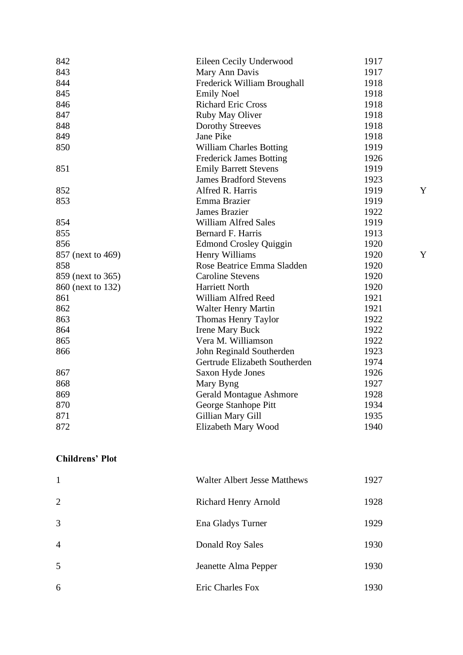| 842               | Eileen Cecily Underwood        | 1917 |
|-------------------|--------------------------------|------|
| 843               | Mary Ann Davis                 | 1917 |
| 844               | Frederick William Broughall    | 1918 |
| 845               | <b>Emily Noel</b>              | 1918 |
| 846               | <b>Richard Eric Cross</b>      | 1918 |
| 847               | Ruby May Oliver                | 1918 |
| 848               | <b>Dorothy Streeves</b>        | 1918 |
| 849               | Jane Pike                      | 1918 |
| 850               | William Charles Botting        | 1919 |
|                   | <b>Frederick James Botting</b> | 1926 |
| 851               | <b>Emily Barrett Stevens</b>   | 1919 |
|                   | <b>James Bradford Stevens</b>  | 1923 |
| 852               | Alfred R. Harris               | 1919 |
| 853               | Emma Brazier                   | 1919 |
|                   | <b>James Brazier</b>           | 1922 |
| 854               | <b>William Alfred Sales</b>    | 1919 |
| 855               | Bernard F. Harris              | 1913 |
| 856               | <b>Edmond Crosley Quiggin</b>  | 1920 |
| 857 (next to 469) | Henry Williams                 | 1920 |
| 858               | Rose Beatrice Emma Sladden     | 1920 |
| 859 (next to 365) | <b>Caroline Stevens</b>        | 1920 |
| 860 (next to 132) | Harriett North                 | 1920 |
| 861               | William Alfred Reed            | 1921 |
| 862               | <b>Walter Henry Martin</b>     | 1921 |
| 863               | Thomas Henry Taylor            | 1922 |
| 864               | <b>Irene Mary Buck</b>         | 1922 |
| 865               | Vera M. Williamson             | 1922 |
| 866               | John Reginald Southerden       | 1923 |
|                   | Gertrude Elizabeth Southerden  | 1974 |
| 867               | Saxon Hyde Jones               | 1926 |
| 868               | Mary Byng                      | 1927 |
| 869               | <b>Gerald Montague Ashmore</b> | 1928 |
| 870               | George Stanhope Pitt           | 1934 |
| 871               | Gillian Mary Gill              | 1935 |
| 872               | Elizabeth Mary Wood            | 1940 |
|                   |                                |      |

# **Childrens' Plot**

| $\mathbf{1}$   | <b>Walter Albert Jesse Matthews</b> | 1927 |
|----------------|-------------------------------------|------|
| 2              | Richard Henry Arnold                | 1928 |
| 3              | Ena Gladys Turner                   | 1929 |
| $\overline{4}$ | Donald Roy Sales                    | 1930 |
| 5              | Jeanette Alma Pepper                | 1930 |
| 6              | Eric Charles Fox                    | 1930 |

Y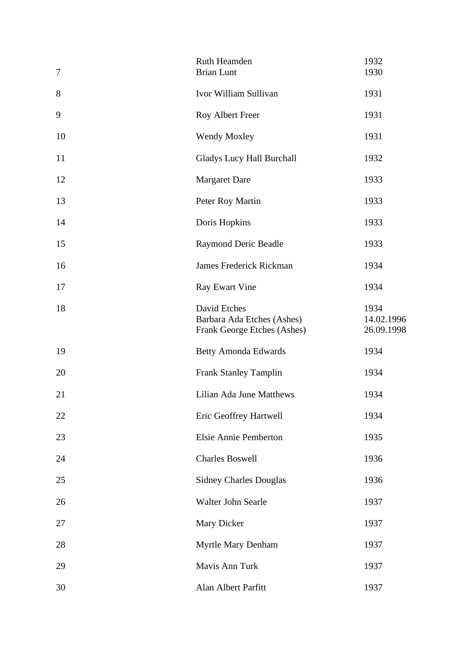| $\boldsymbol{7}$ | Ruth Heamden<br><b>Brian Lunt</b>                                         | 1932<br>1930                     |
|------------------|---------------------------------------------------------------------------|----------------------------------|
| 8                | Ivor William Sullivan                                                     | 1931                             |
| 9                | Roy Albert Freer                                                          | 1931                             |
| 10               | Wendy Moxley                                                              | 1931                             |
| 11               | <b>Gladys Lucy Hall Burchall</b>                                          | 1932                             |
| 12               | <b>Margaret Dare</b>                                                      | 1933                             |
| 13               | Peter Roy Martin                                                          | 1933                             |
| 14               | Doris Hopkins                                                             | 1933                             |
| 15               | Raymond Deric Beadle                                                      | 1933                             |
| 16               | James Frederick Rickman                                                   | 1934                             |
| 17               | <b>Ray Ewart Vine</b>                                                     | 1934                             |
| 18               | David Etches<br>Barbara Ada Etches (Ashes)<br>Frank George Etches (Ashes) | 1934<br>14.02.1996<br>26.09.1998 |
| 19               | <b>Betty Amonda Edwards</b>                                               | 1934                             |
| 20               | <b>Frank Stanley Tamplin</b>                                              | 1934                             |
| 21               | Lilian Ada June Matthews                                                  | 1934                             |
| 22               | Eric Geoffrey Hartwell                                                    | 1934                             |
| 23               | Elsie Annie Pemberton                                                     | 1935                             |
| 24               | <b>Charles Boswell</b>                                                    | 1936                             |
| 25               | <b>Sidney Charles Douglas</b>                                             | 1936                             |
| 26               | Walter John Searle                                                        | 1937                             |
| 27               | Mary Dicker                                                               | 1937                             |
| 28               | Myrtle Mary Denham                                                        | 1937                             |
| 29               | Mavis Ann Turk                                                            | 1937                             |
| 30               | Alan Albert Parfitt                                                       | 1937                             |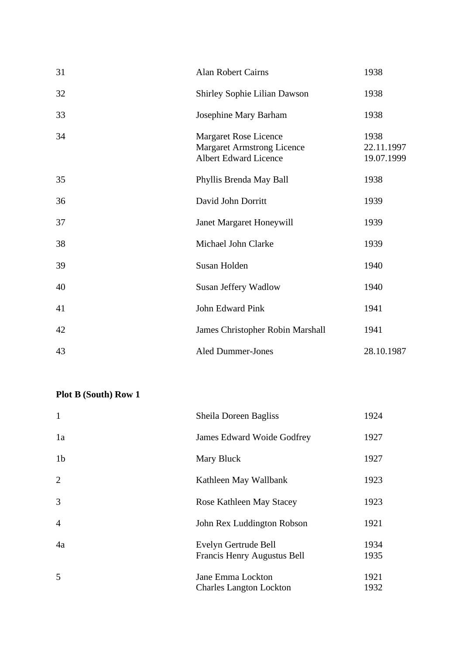| 31 | <b>Alan Robert Cairns</b>                                                                  | 1938                             |
|----|--------------------------------------------------------------------------------------------|----------------------------------|
| 32 | Shirley Sophie Lilian Dawson                                                               | 1938                             |
| 33 | Josephine Mary Barham                                                                      | 1938                             |
| 34 | <b>Margaret Rose Licence</b><br><b>Margaret Armstrong Licence</b><br>Albert Edward Licence | 1938<br>22.11.1997<br>19.07.1999 |
| 35 | Phyllis Brenda May Ball                                                                    | 1938                             |
| 36 | David John Dorritt                                                                         | 1939                             |
| 37 | Janet Margaret Honeywill                                                                   | 1939                             |
| 38 | Michael John Clarke                                                                        | 1939                             |
| 39 | Susan Holden                                                                               | 1940                             |
| 40 | Susan Jeffery Wadlow                                                                       | 1940                             |
| 41 | John Edward Pink                                                                           | 1941                             |
| 42 | James Christopher Robin Marshall                                                           | 1941                             |
| 43 | <b>Aled Dummer-Jones</b>                                                                   | 28.10.1987                       |

| $\mathbf{1}$   | Sheila Doreen Bagliss                               | 1924         |
|----------------|-----------------------------------------------------|--------------|
| 1a             | James Edward Woide Godfrey                          | 1927         |
| 1 <sub>b</sub> | Mary Bluck                                          | 1927         |
| $\overline{2}$ | Kathleen May Wallbank                               | 1923         |
| 3              | Rose Kathleen May Stacey                            | 1923         |
| $\overline{4}$ | John Rex Luddington Robson                          | 1921         |
| 4a             | Evelyn Gertrude Bell<br>Francis Henry Augustus Bell | 1934<br>1935 |
| 5              | Jane Emma Lockton                                   | 1921         |
|                | <b>Charles Langton Lockton</b>                      | 1932         |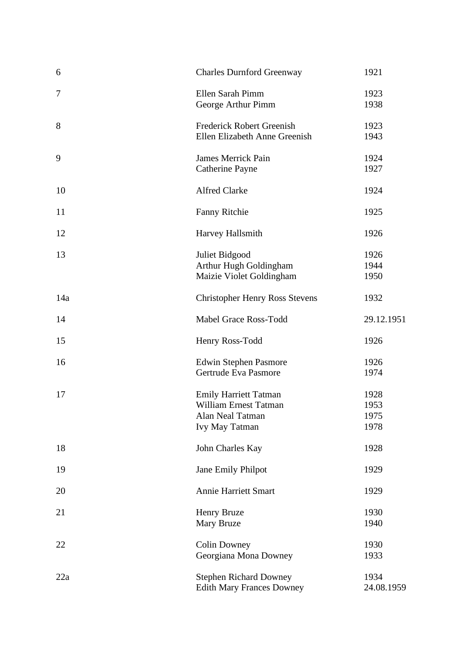| 6   | <b>Charles Durnford Greenway</b>                                                                          | 1921                         |
|-----|-----------------------------------------------------------------------------------------------------------|------------------------------|
| 7   | Ellen Sarah Pimm<br>George Arthur Pimm                                                                    | 1923<br>1938                 |
| 8   | Frederick Robert Greenish<br>Ellen Elizabeth Anne Greenish                                                | 1923<br>1943                 |
| 9   | <b>James Merrick Pain</b><br><b>Catherine Payne</b>                                                       | 1924<br>1927                 |
| 10  | <b>Alfred Clarke</b>                                                                                      | 1924                         |
| 11  | <b>Fanny Ritchie</b>                                                                                      | 1925                         |
| 12  | Harvey Hallsmith                                                                                          | 1926                         |
| 13  | Juliet Bidgood<br>Arthur Hugh Goldingham<br>Maizie Violet Goldingham                                      | 1926<br>1944<br>1950         |
| 14a | <b>Christopher Henry Ross Stevens</b>                                                                     | 1932                         |
| 14  | Mabel Grace Ross-Todd                                                                                     | 29.12.1951                   |
| 15  | Henry Ross-Todd                                                                                           | 1926                         |
| 16  | <b>Edwin Stephen Pasmore</b><br>Gertrude Eva Pasmore                                                      | 1926<br>1974                 |
| 17  | <b>Emily Harriett Tatman</b><br><b>William Ernest Tatman</b><br>Alan Neal Tatman<br><b>Ivy May Tatman</b> | 1928<br>1953<br>1975<br>1978 |
| 18  | John Charles Kay                                                                                          | 1928                         |
| 19  | Jane Emily Philpot                                                                                        | 1929                         |
| 20  | <b>Annie Harriett Smart</b>                                                                               | 1929                         |
| 21  | Henry Bruze<br>Mary Bruze                                                                                 | 1930<br>1940                 |
| 22  | <b>Colin Downey</b><br>Georgiana Mona Downey                                                              | 1930<br>1933                 |
| 22a | <b>Stephen Richard Downey</b><br><b>Edith Mary Frances Downey</b>                                         | 1934<br>24.08.1959           |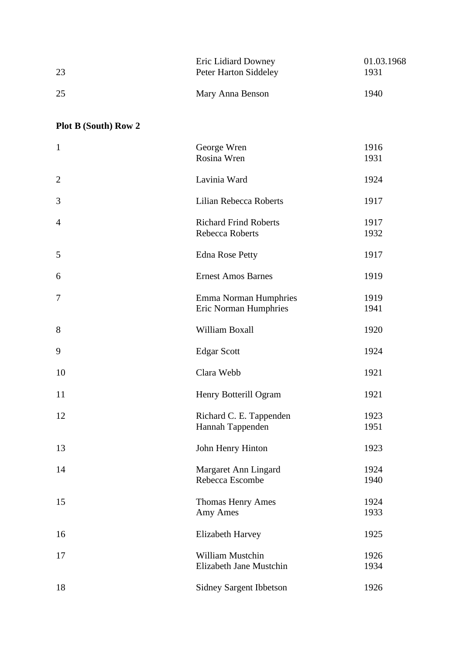| 23 | Eric Lidiard Downey<br>Peter Harton Siddeley | 01.03.1968<br>1931 |
|----|----------------------------------------------|--------------------|
| 25 | Mary Anna Benson                             | 1940               |

| $\mathbf{1}$   | George Wren                                                  | 1916         |
|----------------|--------------------------------------------------------------|--------------|
|                | Rosina Wren                                                  | 1931         |
| $\overline{2}$ | Lavinia Ward                                                 | 1924         |
| 3              | Lilian Rebecca Roberts                                       | 1917         |
| $\overline{4}$ | <b>Richard Frind Roberts</b><br>Rebecca Roberts              | 1917<br>1932 |
| 5              | <b>Edna Rose Petty</b>                                       | 1917         |
| 6              | <b>Ernest Amos Barnes</b>                                    | 1919         |
| $\tau$         | <b>Emma Norman Humphries</b><br><b>Eric Norman Humphries</b> | 1919<br>1941 |
| 8              | William Boxall                                               | 1920         |
| 9              | <b>Edgar Scott</b>                                           | 1924         |
| 10             | Clara Webb                                                   | 1921         |
| 11             | Henry Botterill Ogram                                        | 1921         |
| 12             | Richard C. E. Tappenden<br>Hannah Tappenden                  | 1923<br>1951 |
| 13             | John Henry Hinton                                            | 1923         |
| 14             | Margaret Ann Lingard<br>Rebecca Escombe                      | 1924<br>1940 |
| 15             | <b>Thomas Henry Ames</b><br>Amy Ames                         | 1924<br>1933 |
| 16             | <b>Elizabeth Harvey</b>                                      | 1925         |
| 17             | William Mustchin<br>Elizabeth Jane Mustchin                  | 1926<br>1934 |
| 18             | <b>Sidney Sargent Ibbetson</b>                               | 1926         |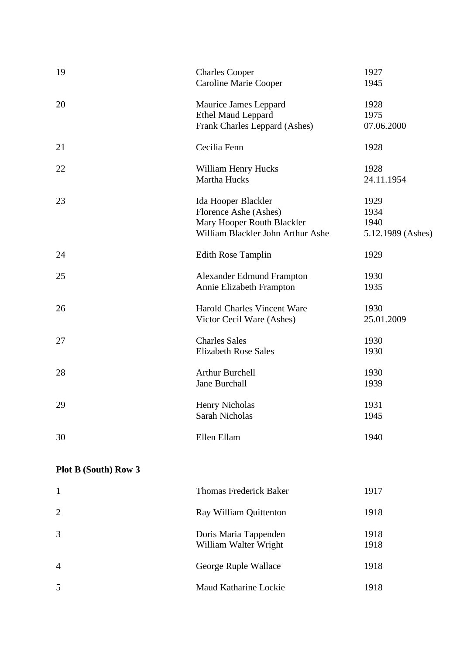| 19 | <b>Charles Cooper</b><br><b>Caroline Marie Cooper</b>                                                           | 1927<br>1945                              |
|----|-----------------------------------------------------------------------------------------------------------------|-------------------------------------------|
| 20 | Maurice James Leppard<br><b>Ethel Maud Leppard</b><br>Frank Charles Leppard (Ashes)                             | 1928<br>1975<br>07.06.2000                |
| 21 | Cecilia Fenn                                                                                                    | 1928                                      |
| 22 | William Henry Hucks<br>Martha Hucks                                                                             | 1928<br>24.11.1954                        |
| 23 | Ida Hooper Blackler<br>Florence Ashe (Ashes)<br>Mary Hooper Routh Blackler<br>William Blackler John Arthur Ashe | 1929<br>1934<br>1940<br>5.12.1989 (Ashes) |
| 24 | <b>Edith Rose Tamplin</b>                                                                                       | 1929                                      |
| 25 | Alexander Edmund Frampton<br>Annie Elizabeth Frampton                                                           | 1930<br>1935                              |
| 26 | Harold Charles Vincent Ware<br>Victor Cecil Ware (Ashes)                                                        | 1930<br>25.01.2009                        |
| 27 | <b>Charles Sales</b><br><b>Elizabeth Rose Sales</b>                                                             | 1930<br>1930                              |
| 28 | <b>Arthur Burchell</b><br><b>Jane Burchall</b>                                                                  | 1930<br>1939                              |
| 29 | <b>Henry Nicholas</b><br><b>Sarah Nicholas</b>                                                                  | 1931<br>1945                              |
| 30 | Ellen Ellam                                                                                                     | 1940                                      |

|                | <b>Thomas Frederick Baker</b>                  | 1917         |
|----------------|------------------------------------------------|--------------|
| 2              | Ray William Quittenton                         | 1918         |
| $\overline{3}$ | Doris Maria Tappenden<br>William Walter Wright | 1918<br>1918 |
| $\overline{4}$ | George Ruple Wallace                           | 1918         |
| 5              | Maud Katharine Lockie                          | 1918         |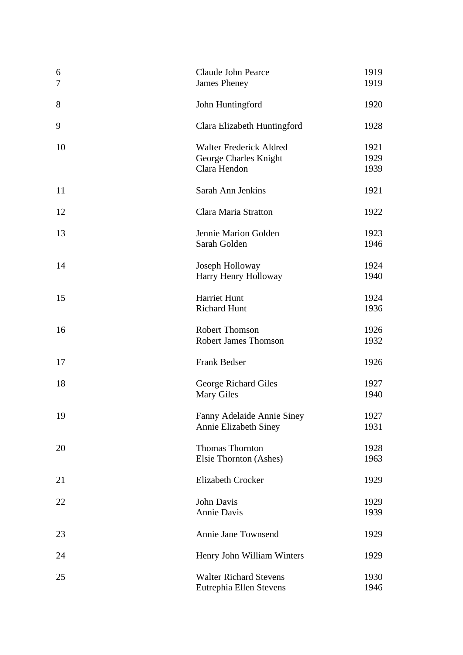| 6<br>7 | Claude John Pearce<br><b>James Pheney</b>                               | 1919<br>1919         |
|--------|-------------------------------------------------------------------------|----------------------|
| 8      | John Huntingford                                                        | 1920                 |
| 9      | Clara Elizabeth Huntingford                                             | 1928                 |
| 10     | <b>Walter Frederick Aldred</b><br>George Charles Knight<br>Clara Hendon | 1921<br>1929<br>1939 |
| 11     | Sarah Ann Jenkins                                                       | 1921                 |
| 12     | Clara Maria Stratton                                                    | 1922                 |
| 13     | Jennie Marion Golden<br>Sarah Golden                                    | 1923<br>1946         |
| 14     | Joseph Holloway<br>Harry Henry Holloway                                 | 1924<br>1940         |
| 15     | Harriet Hunt<br><b>Richard Hunt</b>                                     | 1924<br>1936         |
| 16     | <b>Robert Thomson</b><br><b>Robert James Thomson</b>                    | 1926<br>1932         |
| 17     | <b>Frank Bedser</b>                                                     | 1926                 |
| 18     | George Richard Giles<br><b>Mary Giles</b>                               | 1927<br>1940         |
| 19     | Fanny Adelaide Annie Siney<br>Annie Elizabeth Siney                     | 1927<br>1931         |
| 20     | <b>Thomas Thornton</b><br>Elsie Thornton (Ashes)                        | 1928<br>1963         |
| 21     | <b>Elizabeth Crocker</b>                                                | 1929                 |
| 22     | John Davis<br>Annie Davis                                               | 1929<br>1939         |
| 23     | Annie Jane Townsend                                                     | 1929                 |
| 24     | Henry John William Winters                                              | 1929                 |
| 25     | <b>Walter Richard Stevens</b><br>Eutrephia Ellen Stevens                | 1930<br>1946         |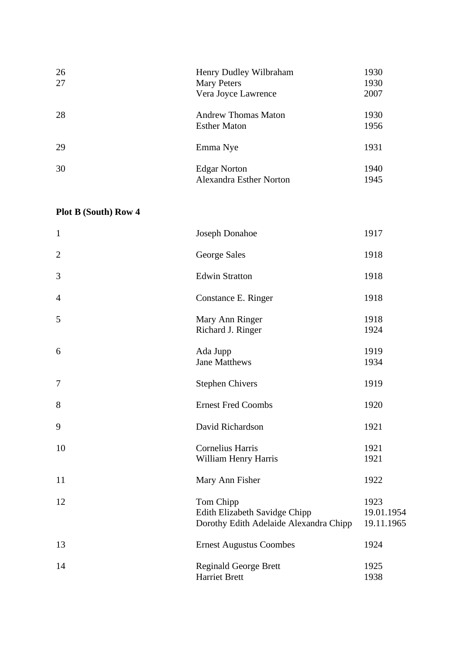| 26<br>27 | Henry Dudley Wilbraham<br><b>Mary Peters</b><br>Vera Joyce Lawrence | 1930<br>1930<br>2007 |
|----------|---------------------------------------------------------------------|----------------------|
| 28       | <b>Andrew Thomas Maton</b><br><b>Esther Maton</b>                   | 1930<br>1956         |
| 29       | Emma Nye                                                            | 1931                 |
| 30       | <b>Edgar Norton</b><br>Alexandra Esther Norton                      | 1940<br>1945         |

| $\mathbf{1}$   | <b>Joseph Donahoe</b>                                                                | 1917                             |
|----------------|--------------------------------------------------------------------------------------|----------------------------------|
| $\overline{2}$ | George Sales                                                                         | 1918                             |
| 3              | <b>Edwin Stratton</b>                                                                | 1918                             |
| $\overline{4}$ | Constance E. Ringer                                                                  | 1918                             |
| 5              | Mary Ann Ringer<br>Richard J. Ringer                                                 | 1918<br>1924                     |
| 6              | Ada Jupp<br><b>Jane Matthews</b>                                                     | 1919<br>1934                     |
| $\tau$         | <b>Stephen Chivers</b>                                                               | 1919                             |
| 8              | <b>Ernest Fred Coombs</b>                                                            | 1920                             |
| 9              | David Richardson                                                                     | 1921                             |
| 10             | <b>Cornelius Harris</b><br>William Henry Harris                                      | 1921<br>1921                     |
| 11             | Mary Ann Fisher                                                                      | 1922                             |
| 12             | Tom Chipp<br>Edith Elizabeth Savidge Chipp<br>Dorothy Edith Adelaide Alexandra Chipp | 1923<br>19.01.1954<br>19.11.1965 |
| 13             | <b>Ernest Augustus Coombes</b>                                                       | 1924                             |
| 14             | <b>Reginald George Brett</b><br><b>Harriet Brett</b>                                 | 1925<br>1938                     |
|                |                                                                                      |                                  |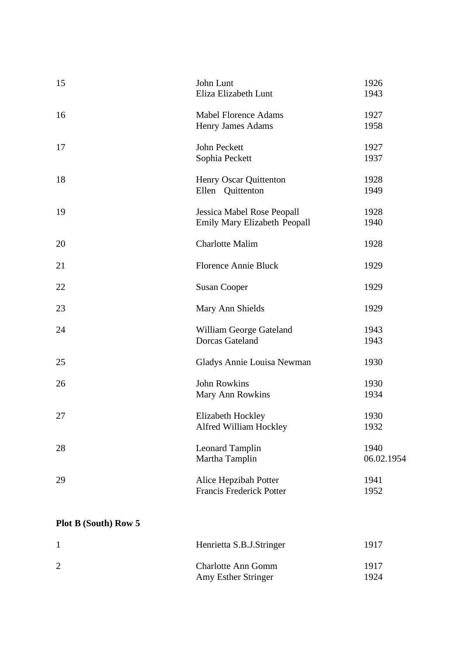| 15                          | John Lunt<br>Eliza Elizabeth Lunt | 1926<br>1943 |
|-----------------------------|-----------------------------------|--------------|
|                             |                                   |              |
| 16                          | <b>Mabel Florence Adams</b>       | 1927         |
|                             | Henry James Adams                 | 1958         |
| 17                          | John Peckett                      | 1927         |
|                             | Sophia Peckett                    | 1937         |
| 18                          | Henry Oscar Quittenton            | 1928         |
|                             | Ellen Quittenton                  | 1949         |
| 19                          | Jessica Mabel Rose Peopall        | 1928         |
|                             | Emily Mary Elizabeth Peopall      | 1940         |
| 20                          | <b>Charlotte Malim</b>            | 1928         |
| 21                          | <b>Florence Annie Bluck</b>       | 1929         |
| 22                          | <b>Susan Cooper</b>               | 1929         |
| 23                          | Mary Ann Shields                  | 1929         |
| 24                          | William George Gateland           | 1943         |
|                             | <b>Dorcas Gateland</b>            | 1943         |
| 25                          | Gladys Annie Louisa Newman        | 1930         |
| 26                          | <b>John Rowkins</b>               | 1930         |
|                             | Mary Ann Rowkins                  | 1934         |
| 27                          | Elizabeth Hockley                 | 1930         |
|                             | Alfred William Hockley            | 1932         |
| 28                          | <b>Leonard Tamplin</b>            | 1940         |
|                             | Martha Tamplin                    | 06.02.1954   |
| 29                          | Alice Hepzibah Potter             | 1941         |
|                             | <b>Francis Frederick Potter</b>   | 1952         |
| <b>Plot B (South) Row 5</b> |                                   |              |
| $\mathbf 1$                 | Henrietta S.B.J.Stringer          | 1917         |
|                             |                                   |              |

| 2 | <b>Charlotte Ann Gomm</b> | 1917 |
|---|---------------------------|------|
|   | Amy Esther Stringer       | 1924 |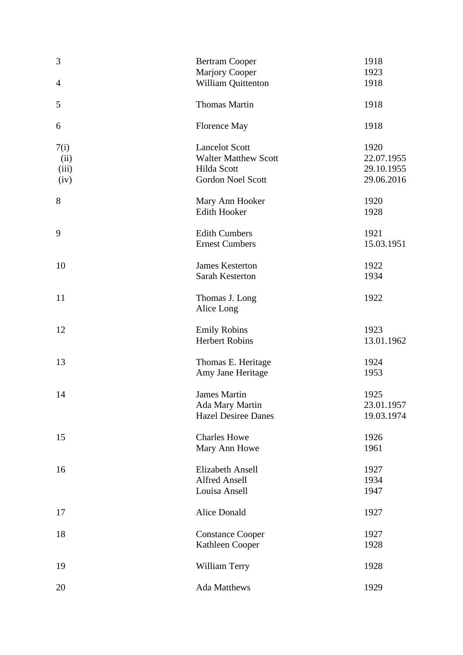| 3                             | <b>Bertram Cooper</b>                                                                           | 1918                                           |
|-------------------------------|-------------------------------------------------------------------------------------------------|------------------------------------------------|
| $\overline{4}$                | Marjory Cooper<br>William Quittenton                                                            | 1923<br>1918                                   |
| 5                             | <b>Thomas Martin</b>                                                                            | 1918                                           |
| 6                             | <b>Florence May</b>                                                                             | 1918                                           |
|                               |                                                                                                 |                                                |
| 7(i)<br>(ii)<br>(iii)<br>(iv) | <b>Lancelot Scott</b><br><b>Walter Matthew Scott</b><br>Hilda Scott<br><b>Gordon Noel Scott</b> | 1920<br>22.07.1955<br>29.10.1955<br>29.06.2016 |
| 8                             | Mary Ann Hooker<br><b>Edith Hooker</b>                                                          | 1920<br>1928                                   |
| 9                             | <b>Edith Cumbers</b><br><b>Ernest Cumbers</b>                                                   | 1921<br>15.03.1951                             |
| 10                            | <b>James Kesterton</b><br>Sarah Kesterton                                                       | 1922<br>1934                                   |
| 11                            | Thomas J. Long<br>Alice Long                                                                    | 1922                                           |
| 12                            | <b>Emily Robins</b><br><b>Herbert Robins</b>                                                    | 1923<br>13.01.1962                             |
| 13                            | Thomas E. Heritage<br>Amy Jane Heritage                                                         | 1924<br>1953                                   |
| 14                            | <b>James Martin</b><br>Ada Mary Martin<br><b>Hazel Desiree Danes</b>                            | 1925<br>23.01.1957<br>19.03.1974               |
| 15                            | <b>Charles Howe</b><br>Mary Ann Howe                                                            | 1926<br>1961                                   |
| 16                            | <b>Elizabeth Ansell</b><br><b>Alfred Ansell</b><br>Louisa Ansell                                | 1927<br>1934<br>1947                           |
| 17                            | <b>Alice Donald</b>                                                                             | 1927                                           |
| 18                            | <b>Constance Cooper</b><br>Kathleen Cooper                                                      | 1927<br>1928                                   |
| 19                            | William Terry                                                                                   | 1928                                           |
| 20                            | Ada Matthews                                                                                    | 1929                                           |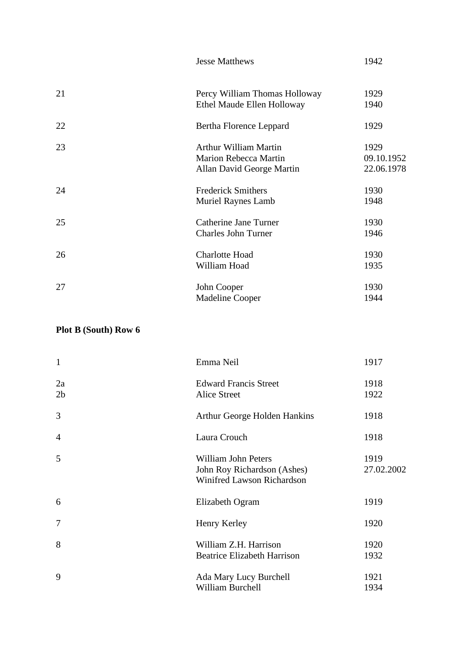|    | <b>Jesse Matthews</b>         | 1942       |
|----|-------------------------------|------------|
| 21 | Percy William Thomas Holloway | 1929       |
|    | Ethel Maude Ellen Holloway    | 1940       |
| 22 | Bertha Florence Leppard       | 1929       |
| 23 | Arthur William Martin         | 1929       |
|    | <b>Marion Rebecca Martin</b>  | 09.10.1952 |
|    | Allan David George Martin     | 22.06.1978 |
| 24 | <b>Frederick Smithers</b>     | 1930       |
|    | <b>Muriel Raynes Lamb</b>     | 1948       |
| 25 | Catherine Jane Turner         | 1930       |
|    | <b>Charles John Turner</b>    | 1946       |
| 26 | <b>Charlotte Hoad</b>         | 1930       |
|    | William Hoad                  | 1935       |
| 27 | John Cooper                   | 1930       |
|    | <b>Madeline Cooper</b>        | 1944       |

| $\mathbf{1}$         | Emma Neil                                                                               | 1917               |
|----------------------|-----------------------------------------------------------------------------------------|--------------------|
| 2a<br>2 <sub>b</sub> | <b>Edward Francis Street</b><br>Alice Street                                            | 1918<br>1922       |
| 3                    | Arthur George Holden Hankins                                                            | 1918               |
| $\overline{4}$       | Laura Crouch                                                                            | 1918               |
| 5                    | <b>William John Peters</b><br>John Roy Richardson (Ashes)<br>Winifred Lawson Richardson | 1919<br>27.02.2002 |
| 6                    | Elizabeth Ogram                                                                         | 1919               |
| $\tau$               | Henry Kerley                                                                            | 1920               |
| 8                    | William Z.H. Harrison<br><b>Beatrice Elizabeth Harrison</b>                             | 1920<br>1932       |
| 9                    | Ada Mary Lucy Burchell<br>William Burchell                                              | 1921<br>1934       |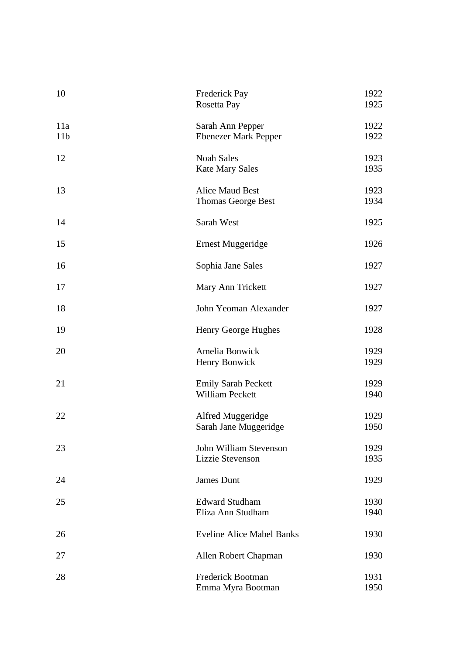| 10                     | <b>Frederick Pay</b><br>Rosetta Pay                 | 1922<br>1925 |
|------------------------|-----------------------------------------------------|--------------|
| 11a<br>11 <sub>b</sub> | Sarah Ann Pepper<br><b>Ebenezer Mark Pepper</b>     | 1922<br>1922 |
| 12                     | <b>Noah Sales</b><br><b>Kate Mary Sales</b>         | 1923<br>1935 |
| 13                     | <b>Alice Maud Best</b><br><b>Thomas George Best</b> | 1923<br>1934 |
| 14                     | Sarah West                                          | 1925         |
| 15                     | Ernest Muggeridge                                   | 1926         |
| 16                     | Sophia Jane Sales                                   | 1927         |
| 17                     | Mary Ann Trickett                                   | 1927         |
| 18                     | John Yeoman Alexander                               | 1927         |
| 19                     | Henry George Hughes                                 | 1928         |
| 20                     | Amelia Bonwick<br>Henry Bonwick                     | 1929<br>1929 |
| 21                     | <b>Emily Sarah Peckett</b><br>William Peckett       | 1929<br>1940 |
| 22                     | Alfred Muggeridge<br>Sarah Jane Muggeridge          | 1929<br>1950 |
| 23                     | John William Stevenson<br>Lizzie Stevenson          | 1929<br>1935 |
| 24                     | James Dunt                                          | 1929         |
| 25                     | <b>Edward Studham</b><br>Eliza Ann Studham          | 1930<br>1940 |
| 26                     | <b>Eveline Alice Mabel Banks</b>                    | 1930         |
| 27                     | Allen Robert Chapman                                | 1930         |
| 28                     | <b>Frederick Bootman</b><br>Emma Myra Bootman       | 1931<br>1950 |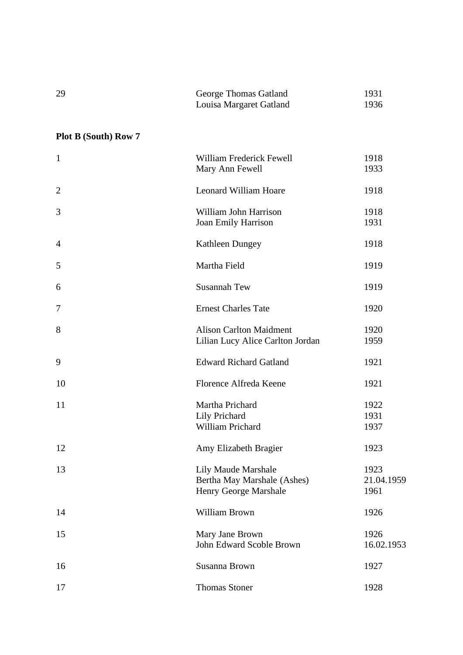| 29 | George Thomas Gatland   | 1931 |
|----|-------------------------|------|
|    | Louisa Margaret Gatland | 1936 |

| $\mathbf{1}$   | William Frederick Fewell<br>Mary Ann Fewell                                 | 1918<br>1933               |
|----------------|-----------------------------------------------------------------------------|----------------------------|
| $\overline{2}$ | Leonard William Hoare                                                       | 1918                       |
| 3              | William John Harrison<br>Joan Emily Harrison                                | 1918<br>1931               |
| $\overline{4}$ | Kathleen Dungey                                                             | 1918                       |
| 5              | Martha Field                                                                | 1919                       |
| 6              | <b>Susannah Tew</b>                                                         | 1919                       |
| $\tau$         | <b>Ernest Charles Tate</b>                                                  | 1920                       |
| 8              | <b>Alison Carlton Maidment</b><br>Lilian Lucy Alice Carlton Jordan          | 1920<br>1959               |
| 9              | <b>Edward Richard Gatland</b>                                               | 1921                       |
| 10             | Florence Alfreda Keene                                                      | 1921                       |
| 11             | Martha Prichard<br>Lily Prichard<br>William Prichard                        | 1922<br>1931<br>1937       |
| 12             | Amy Elizabeth Bragier                                                       | 1923                       |
| 13             | Lily Maude Marshale<br>Bertha May Marshale (Ashes)<br>Henry George Marshale | 1923<br>21.04.1959<br>1961 |
| 14             | William Brown                                                               | 1926                       |
| 15             | Mary Jane Brown<br>John Edward Scoble Brown                                 | 1926<br>16.02.1953         |
| 16             | Susanna Brown                                                               | 1927                       |
| 17             | <b>Thomas Stoner</b>                                                        | 1928                       |
|                |                                                                             |                            |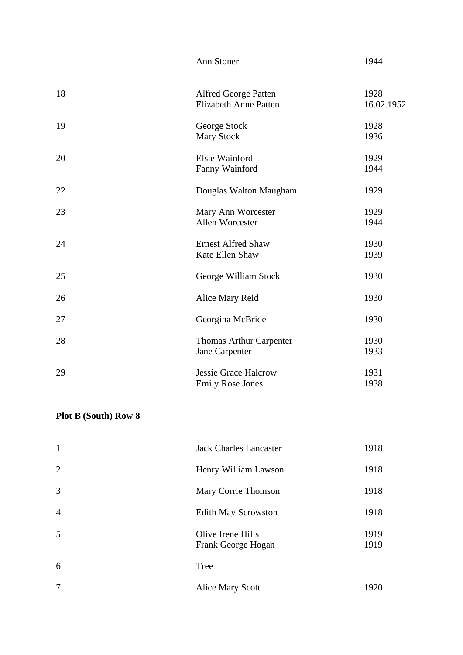|    | Ann Stoner                                                  | 1944               |
|----|-------------------------------------------------------------|--------------------|
| 18 | <b>Alfred George Patten</b><br><b>Elizabeth Anne Patten</b> | 1928<br>16.02.1952 |
| 19 | George Stock<br><b>Mary Stock</b>                           | 1928<br>1936       |
| 20 | Elsie Wainford<br>Fanny Wainford                            | 1929<br>1944       |
| 22 | Douglas Walton Maugham                                      | 1929               |
| 23 | Mary Ann Worcester<br>Allen Worcester                       | 1929<br>1944       |
| 24 | <b>Ernest Alfred Shaw</b><br>Kate Ellen Shaw                | 1930<br>1939       |
| 25 | George William Stock                                        | 1930               |
| 26 | Alice Mary Reid                                             | 1930               |
| 27 | Georgina McBride                                            | 1930               |
| 28 | Thomas Arthur Carpenter<br>Jane Carpenter                   | 1930<br>1933       |
| 29 | <b>Jessie Grace Halcrow</b><br><b>Emily Rose Jones</b>      | 1931<br>1938       |

| $\mathbf{1}$   | <b>Jack Charles Lancaster</b>           | 1918         |
|----------------|-----------------------------------------|--------------|
| 2              | Henry William Lawson                    | 1918         |
| 3              | Mary Corrie Thomson                     | 1918         |
| $\overline{4}$ | <b>Edith May Scrowston</b>              | 1918         |
| 5              | Olive Irene Hills<br>Frank George Hogan | 1919<br>1919 |
| 6              | Tree                                    |              |
| 7              | Alice Mary Scott                        | 1920         |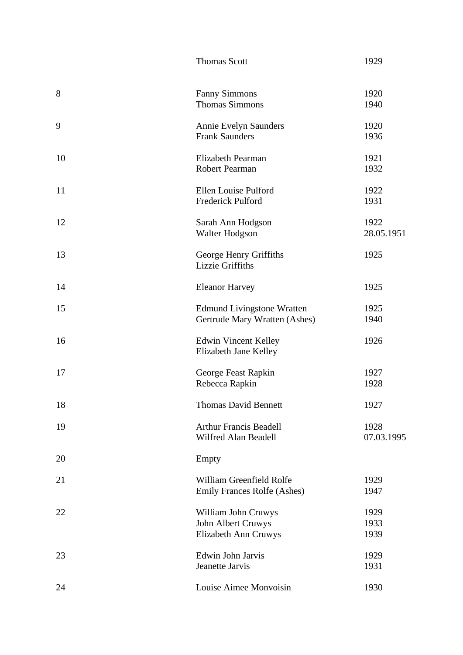|    | <b>Thomas Scott</b>                                                | 1929                 |
|----|--------------------------------------------------------------------|----------------------|
| 8  | <b>Fanny Simmons</b><br><b>Thomas Simmons</b>                      | 1920<br>1940         |
| 9  | <b>Annie Evelyn Saunders</b><br><b>Frank Saunders</b>              | 1920<br>1936         |
| 10 | Elizabeth Pearman<br>Robert Pearman                                | 1921<br>1932         |
| 11 | Ellen Louise Pulford<br>Frederick Pulford                          | 1922<br>1931         |
| 12 | Sarah Ann Hodgson<br>Walter Hodgson                                | 1922<br>28.05.1951   |
| 13 | George Henry Griffiths<br>Lizzie Griffiths                         | 1925                 |
| 14 | <b>Eleanor Harvey</b>                                              | 1925                 |
| 15 | <b>Edmund Livingstone Wratten</b><br>Gertrude Mary Wratten (Ashes) | 1925<br>1940         |
| 16 | <b>Edwin Vincent Kelley</b><br>Elizabeth Jane Kelley               | 1926                 |
| 17 | George Feast Rapkin<br>Rebecca Rapkin                              | 1927<br>1928         |
| 18 | <b>Thomas David Bennett</b>                                        | 1927                 |
| 19 | <b>Arthur Francis Beadell</b><br>Wilfred Alan Beadell              | 1928<br>07.03.1995   |
| 20 | Empty                                                              |                      |
| 21 | William Greenfield Rolfe<br><b>Emily Frances Rolfe (Ashes)</b>     | 1929<br>1947         |
| 22 | William John Cruwys<br>John Albert Cruwys<br>Elizabeth Ann Cruwys  | 1929<br>1933<br>1939 |
| 23 | Edwin John Jarvis<br>Jeanette Jarvis                               | 1929<br>1931         |
| 24 | Louise Aimee Monvoisin                                             | 1930                 |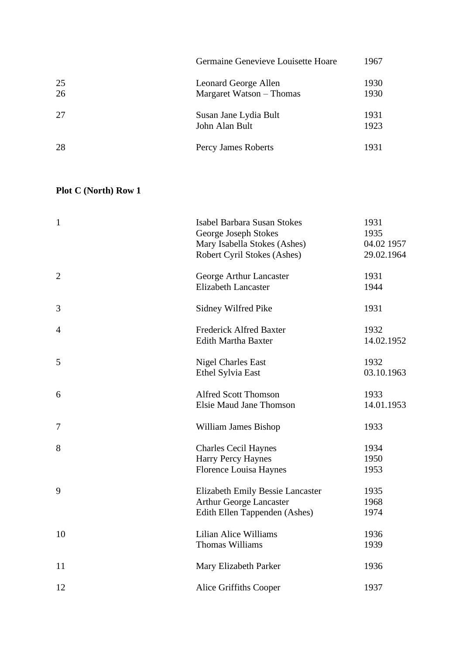|          | Germaine Genevieve Louisette Hoare               | 1967         |
|----------|--------------------------------------------------|--------------|
| 25<br>26 | Leonard George Allen<br>Margaret Watson – Thomas | 1930<br>1930 |
| 27       | Susan Jane Lydia Bult<br>John Alan Bult          | 1931<br>1923 |
| 28       | Percy James Roberts                              | 1931         |

| $\mathbf{1}$   | <b>Isabel Barbara Susan Stokes</b><br>George Joseph Stokes<br>Mary Isabella Stokes (Ashes)<br>Robert Cyril Stokes (Ashes) | 1931<br>1935<br>04.02 1957<br>29.02.1964 |
|----------------|---------------------------------------------------------------------------------------------------------------------------|------------------------------------------|
| $\overline{2}$ | George Arthur Lancaster<br><b>Elizabeth Lancaster</b>                                                                     | 1931<br>1944                             |
| 3              | Sidney Wilfred Pike                                                                                                       | 1931                                     |
| $\overline{4}$ | <b>Frederick Alfred Baxter</b><br>Edith Martha Baxter                                                                     | 1932<br>14.02.1952                       |
| 5              | <b>Nigel Charles East</b><br>Ethel Sylvia East                                                                            | 1932<br>03.10.1963                       |
| 6              | <b>Alfred Scott Thomson</b><br><b>Elsie Maud Jane Thomson</b>                                                             | 1933<br>14.01.1953                       |
| 7              | William James Bishop                                                                                                      | 1933                                     |
| 8              | <b>Charles Cecil Haynes</b><br>Harry Percy Haynes<br>Florence Louisa Haynes                                               | 1934<br>1950<br>1953                     |
| 9              | <b>Elizabeth Emily Bessie Lancaster</b><br><b>Arthur George Lancaster</b><br>Edith Ellen Tappenden (Ashes)                | 1935<br>1968<br>1974                     |
| 10             | <b>Lilian Alice Williams</b><br><b>Thomas Williams</b>                                                                    | 1936<br>1939                             |
| 11             | Mary Elizabeth Parker                                                                                                     | 1936                                     |
| 12             | Alice Griffiths Cooper                                                                                                    | 1937                                     |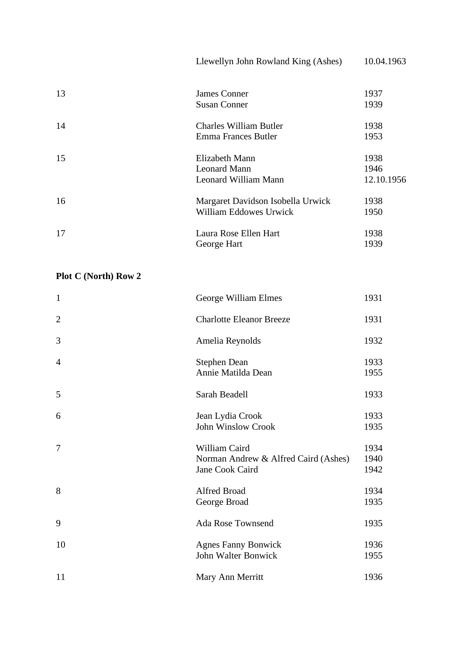|    | Llewellyn John Rowland King (Ashes) | 10.04.1963 |
|----|-------------------------------------|------------|
| 13 | <b>James Conner</b>                 | 1937       |
|    | <b>Susan Conner</b>                 | 1939       |
| 14 | <b>Charles William Butler</b>       | 1938       |
|    | <b>Emma Frances Butler</b>          | 1953       |
| 15 | Elizabeth Mann                      | 1938       |
|    | <b>Leonard Mann</b>                 | 1946       |
|    | Leonard William Mann                | 12.10.1956 |
| 16 | Margaret Davidson Isobella Urwick   | 1938       |
|    | <b>William Eddowes Urwick</b>       | 1950       |
| 17 | Laura Rose Ellen Hart               | 1938       |
|    | George Hart                         | 1939       |

| $\mathbf{1}$   | George William Elmes                                                     | 1931                 |
|----------------|--------------------------------------------------------------------------|----------------------|
| $\overline{2}$ | <b>Charlotte Eleanor Breeze</b>                                          | 1931                 |
| 3              | Amelia Reynolds                                                          | 1932                 |
| $\overline{4}$ | <b>Stephen Dean</b><br>Annie Matilda Dean                                | 1933<br>1955         |
| 5              | Sarah Beadell                                                            | 1933                 |
| 6              | Jean Lydia Crook<br><b>John Winslow Crook</b>                            | 1933<br>1935         |
| $\overline{7}$ | William Caird<br>Norman Andrew & Alfred Caird (Ashes)<br>Jane Cook Caird | 1934<br>1940<br>1942 |
| 8              | Alfred Broad<br>George Broad                                             | 1934<br>1935         |
| 9              | Ada Rose Townsend                                                        | 1935                 |
| 10             | <b>Agnes Fanny Bonwick</b><br>John Walter Bonwick                        | 1936<br>1955         |
| 11             | Mary Ann Merritt                                                         | 1936                 |
|                |                                                                          |                      |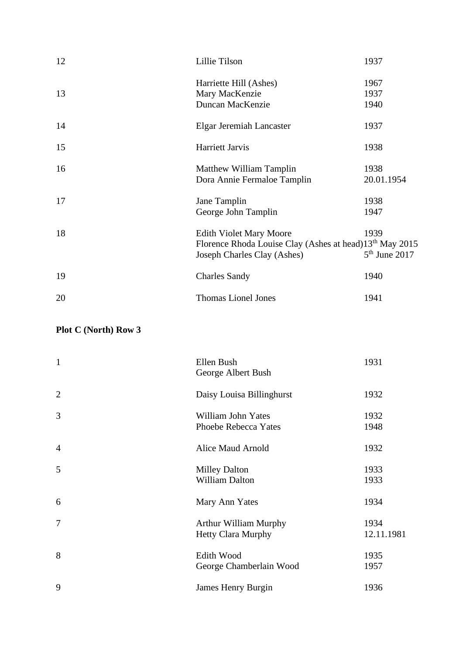| 12 | Lillie Tilson                                                                                                                        | 1937                    |
|----|--------------------------------------------------------------------------------------------------------------------------------------|-------------------------|
| 13 | Harriette Hill (Ashes)<br>Mary MacKenzie<br>Duncan MacKenzie                                                                         | 1967<br>1937<br>1940    |
| 14 | Elgar Jeremiah Lancaster                                                                                                             | 1937                    |
| 15 | Harriett Jarvis                                                                                                                      | 1938                    |
| 16 | Matthew William Tamplin<br>Dora Annie Fermaloe Tamplin                                                                               | 1938<br>20.01.1954      |
| 17 | Jane Tamplin<br>George John Tamplin                                                                                                  | 1938<br>1947            |
| 18 | <b>Edith Violet Mary Moore</b><br>Florence Rhoda Louise Clay (Ashes at head)13 <sup>th</sup> May 2015<br>Joseph Charles Clay (Ashes) | 1939<br>$5th$ June 2017 |
| 19 | <b>Charles Sandy</b>                                                                                                                 | 1940                    |
| 20 | <b>Thomas Lionel Jones</b>                                                                                                           | 1941                    |

| $\mathbf{1}$   | Ellen Bush<br>George Albert Bush                          | 1931               |
|----------------|-----------------------------------------------------------|--------------------|
| $\mathbf{2}$   | Daisy Louisa Billinghurst                                 | 1932               |
| 3              | William John Yates<br>Phoebe Rebecca Yates                | 1932<br>1948       |
| $\overline{4}$ | Alice Maud Arnold                                         | 1932               |
| 5              | <b>Milley Dalton</b><br><b>William Dalton</b>             | 1933<br>1933       |
| 6              | Mary Ann Yates                                            | 1934               |
| $\tau$         | <b>Arthur William Murphy</b><br><b>Hetty Clara Murphy</b> | 1934<br>12.11.1981 |
| 8              | Edith Wood<br>George Chamberlain Wood                     | 1935<br>1957       |
| 9              | James Henry Burgin                                        | 1936               |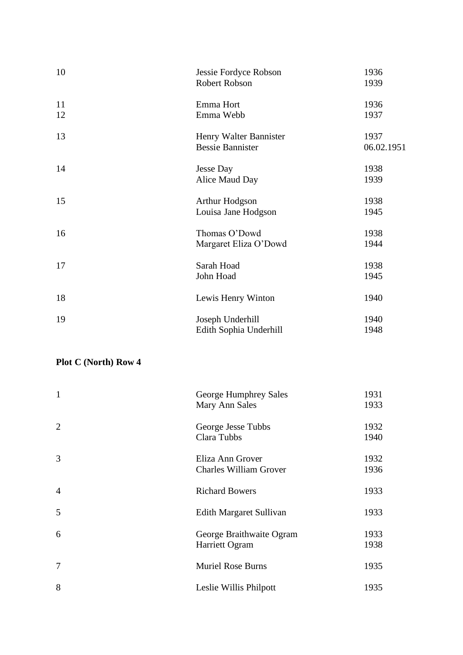| 10       | Jessie Fordyce Robson<br>Robert Robson            | 1936<br>1939       |
|----------|---------------------------------------------------|--------------------|
| 11<br>12 | Emma Hort<br>Emma Webb                            | 1936<br>1937       |
| 13       | Henry Walter Bannister<br><b>Bessie Bannister</b> | 1937<br>06.02.1951 |
| 14       | <b>Jesse Day</b><br>Alice Maud Day                | 1938<br>1939       |
| 15       | Arthur Hodgson<br>Louisa Jane Hodgson             | 1938<br>1945       |
| 16       | Thomas O'Dowd<br>Margaret Eliza O'Dowd            | 1938<br>1944       |
| 17       | Sarah Hoad<br>John Hoad                           | 1938<br>1945       |
| 18       | Lewis Henry Winton                                | 1940               |
| 19       | Joseph Underhill<br>Edith Sophia Underhill        | 1940<br>1948       |

| $\mathbf{1}$   | George Humphrey Sales<br>Mary Ann Sales           | 1931<br>1933 |
|----------------|---------------------------------------------------|--------------|
| $\overline{2}$ | George Jesse Tubbs<br>Clara Tubbs                 | 1932<br>1940 |
| 3              | Eliza Ann Grover<br><b>Charles William Grover</b> | 1932<br>1936 |
| $\overline{4}$ | <b>Richard Bowers</b>                             | 1933         |
| 5              | Edith Margaret Sullivan                           | 1933         |
| 6              | George Braithwaite Ogram<br>Harriett Ogram        | 1933<br>1938 |
| 7              | <b>Muriel Rose Burns</b>                          | 1935         |
| 8              | Leslie Willis Philpott                            | 1935         |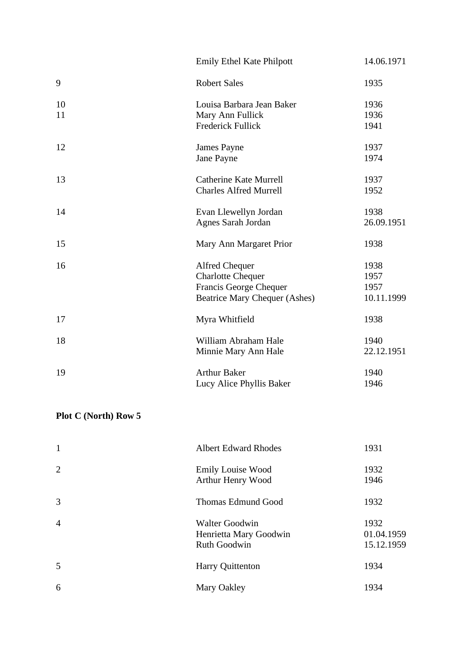|    | <b>Emily Ethel Kate Philpott</b>     | 14.06.1971 |
|----|--------------------------------------|------------|
| 9  | <b>Robert Sales</b>                  | 1935       |
| 10 | Louisa Barbara Jean Baker            | 1936       |
| 11 | Mary Ann Fullick                     | 1936       |
|    | <b>Frederick Fullick</b>             | 1941       |
| 12 | James Payne                          | 1937       |
|    | Jane Payne                           | 1974       |
| 13 | <b>Catherine Kate Murrell</b>        | 1937       |
|    | <b>Charles Alfred Murrell</b>        | 1952       |
| 14 | Evan Llewellyn Jordan                | 1938       |
|    | Agnes Sarah Jordan                   | 26.09.1951 |
| 15 | Mary Ann Margaret Prior              | 1938       |
| 16 | <b>Alfred Chequer</b>                | 1938       |
|    | <b>Charlotte Chequer</b>             | 1957       |
|    | Francis George Chequer               | 1957       |
|    | <b>Beatrice Mary Chequer (Ashes)</b> | 10.11.1999 |
| 17 | Myra Whitfield                       | 1938       |
| 18 | William Abraham Hale                 | 1940       |
|    | Minnie Mary Ann Hale                 | 22.12.1951 |
| 19 | <b>Arthur Baker</b>                  | 1940       |
|    | Lucy Alice Phyllis Baker             | 1946       |

| $\mathbf{1}$   | <b>Albert Edward Rhodes</b>                                     | 1931                             |
|----------------|-----------------------------------------------------------------|----------------------------------|
| 2              | <b>Emily Louise Wood</b><br>Arthur Henry Wood                   | 1932<br>1946                     |
| 3              | <b>Thomas Edmund Good</b>                                       | 1932                             |
| $\overline{4}$ | <b>Walter Goodwin</b><br>Henrietta Mary Goodwin<br>Ruth Goodwin | 1932<br>01.04.1959<br>15.12.1959 |
| 5              | Harry Quittenton                                                | 1934                             |
| 6              | Mary Oakley                                                     | 1934                             |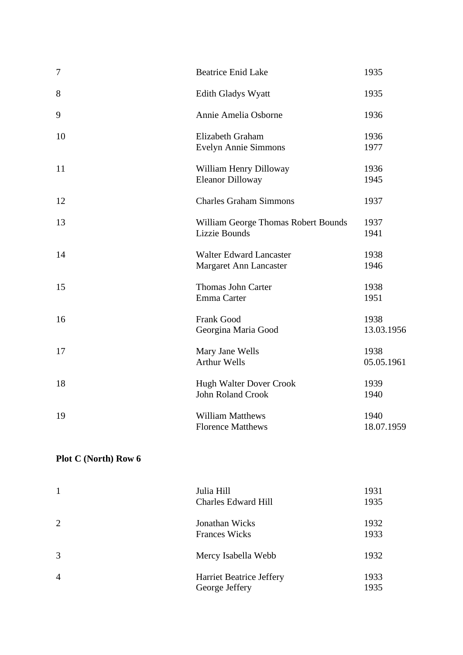| $\boldsymbol{7}$ | <b>Beatrice Enid Lake</b>                                   | 1935               |
|------------------|-------------------------------------------------------------|--------------------|
| 8                | <b>Edith Gladys Wyatt</b>                                   | 1935               |
| 9                | Annie Amelia Osborne                                        | 1936               |
| 10               | Elizabeth Graham<br>Evelyn Annie Simmons                    | 1936<br>1977       |
| 11               | William Henry Dilloway<br><b>Eleanor Dilloway</b>           | 1936<br>1945       |
| 12               | <b>Charles Graham Simmons</b>                               | 1937               |
| 13               | William George Thomas Robert Bounds<br><b>Lizzie Bounds</b> | 1937<br>1941       |
| 14               | <b>Walter Edward Lancaster</b><br>Margaret Ann Lancaster    | 1938<br>1946       |
| 15               | Thomas John Carter<br>Emma Carter                           | 1938<br>1951       |
| 16               | Frank Good<br>Georgina Maria Good                           | 1938<br>13.03.1956 |
| 17               | Mary Jane Wells<br><b>Arthur Wells</b>                      | 1938<br>05.05.1961 |
| 18               | <b>Hugh Walter Dover Crook</b><br>John Roland Crook         | 1939<br>1940       |
| 19               | <b>William Matthews</b><br><b>Florence Matthews</b>         | 1940<br>18.07.1959 |

| 1              | Julia Hill<br><b>Charles Edward Hill</b>   | 1931<br>1935 |
|----------------|--------------------------------------------|--------------|
| 2              | Jonathan Wicks<br><b>Frances Wicks</b>     | 1932<br>1933 |
| $\overline{3}$ | Mercy Isabella Webb                        | 1932         |
| $\overline{4}$ | Harriet Beatrice Jeffery<br>George Jeffery | 1933<br>1935 |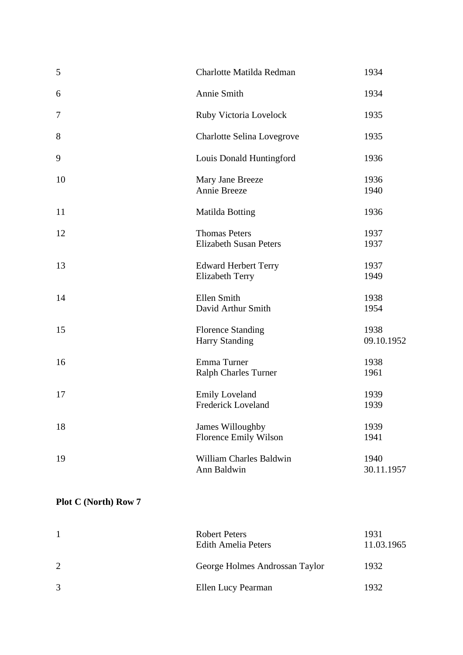| 5                | Charlotte Matilda Redman                              | 1934               |
|------------------|-------------------------------------------------------|--------------------|
| 6                | Annie Smith                                           | 1934               |
| $\boldsymbol{7}$ | Ruby Victoria Lovelock                                | 1935               |
| 8                | Charlotte Selina Lovegrove                            | 1935               |
| 9                | Louis Donald Huntingford                              | 1936               |
| 10               | Mary Jane Breeze<br>Annie Breeze                      | 1936<br>1940       |
| 11               | <b>Matilda Botting</b>                                | 1936               |
| 12               | <b>Thomas Peters</b><br><b>Elizabeth Susan Peters</b> | 1937<br>1937       |
| 13               | <b>Edward Herbert Terry</b><br><b>Elizabeth Terry</b> | 1937<br>1949       |
| 14               | Ellen Smith<br>David Arthur Smith                     | 1938<br>1954       |
| 15               | <b>Florence Standing</b><br><b>Harry Standing</b>     | 1938<br>09.10.1952 |
| 16               | Emma Turner<br>Ralph Charles Turner                   | 1938<br>1961       |
| 17               | <b>Emily Loveland</b><br><b>Frederick Loveland</b>    | 1939<br>1939       |
| 18               | James Willoughby<br>Florence Emily Wilson             | 1939<br>1941       |
| 19               | William Charles Baldwin<br>Ann Baldwin                | 1940<br>30.11.1957 |
|                  |                                                       |                    |

|   | Robert Peters<br><b>Edith Amelia Peters</b> | 1931<br>11.03.1965 |
|---|---------------------------------------------|--------------------|
| 2 | George Holmes Androssan Taylor              | 1932               |
| 3 | Ellen Lucy Pearman                          | 1932               |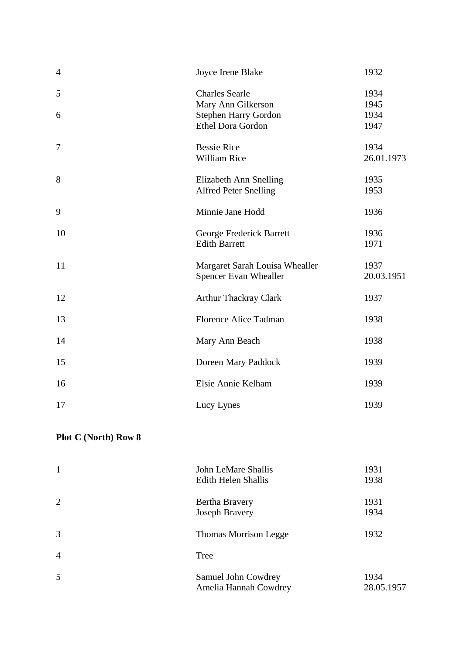| $\overline{4}$ | Joyce Irene Blake                                 | 1932         |
|----------------|---------------------------------------------------|--------------|
| 5              | <b>Charles Searle</b>                             | 1934         |
| 6              | Mary Ann Gilkerson<br><b>Stephen Harry Gordon</b> | 1945<br>1934 |
|                | Ethel Dora Gordon                                 | 1947         |
| 7              | <b>Bessie Rice</b>                                | 1934         |
|                | William Rice                                      | 26.01.1973   |
| 8              | Elizabeth Ann Snelling                            | 1935         |
|                | <b>Alfred Peter Snelling</b>                      | 1953         |
| 9              | Minnie Jane Hodd                                  | 1936         |
| 10             | George Frederick Barrett                          | 1936         |
|                | <b>Edith Barrett</b>                              | 1971         |
| 11             | Margaret Sarah Louisa Whealler                    | 1937         |
|                | Spencer Evan Whealler                             | 20.03.1951   |
| 12             | <b>Arthur Thackray Clark</b>                      | 1937         |
| 13             | <b>Florence Alice Tadman</b>                      | 1938         |
| 14             | Mary Ann Beach                                    | 1938         |
| 15             | Doreen Mary Paddock                               | 1939         |
| 16             | Elsie Annie Kelham                                | 1939         |
| 17             | Lucy Lynes                                        | 1939         |

| $\mathbf{1}$   | John LeMare Shallis<br><b>Edith Helen Shallis</b> | 1931<br>1938       |
|----------------|---------------------------------------------------|--------------------|
| 2              | Bertha Bravery<br><b>Joseph Bravery</b>           | 1931<br>1934       |
| 3              | <b>Thomas Morrison Legge</b>                      | 1932               |
| $\overline{4}$ | Tree                                              |                    |
| 5              | Samuel John Cowdrey<br>Amelia Hannah Cowdrey      | 1934<br>28.05.1957 |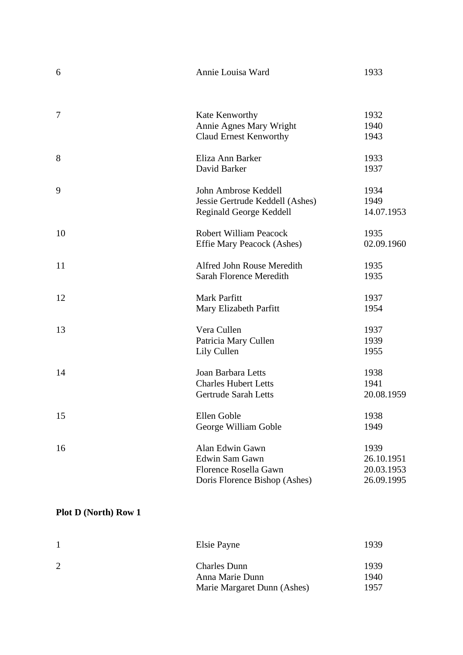| 6      | Annie Louisa Ward                 | 1933       |
|--------|-----------------------------------|------------|
|        |                                   |            |
| $\tau$ | Kate Kenworthy                    | 1932       |
|        | <b>Annie Agnes Mary Wright</b>    | 1940       |
|        | <b>Claud Ernest Kenworthy</b>     | 1943       |
| 8      | Eliza Ann Barker                  | 1933       |
|        | David Barker                      | 1937       |
| 9      | John Ambrose Keddell              | 1934       |
|        | Jessie Gertrude Keddell (Ashes)   | 1949       |
|        | Reginald George Keddell           | 14.07.1953 |
| 10     | <b>Robert William Peacock</b>     | 1935       |
|        | <b>Effie Mary Peacock (Ashes)</b> | 02.09.1960 |
| 11     | Alfred John Rouse Meredith        | 1935       |
|        | Sarah Florence Meredith           | 1935       |
| 12     | Mark Parfitt                      | 1937       |
|        | Mary Elizabeth Parfitt            | 1954       |
| 13     | Vera Cullen                       | 1937       |
|        | Patricia Mary Cullen              | 1939       |
|        | Lily Cullen                       | 1955       |
| 14     | Joan Barbara Letts                | 1938       |
|        | <b>Charles Hubert Letts</b>       | 1941       |
|        | <b>Gertrude Sarah Letts</b>       | 20.08.1959 |
| 15     | Ellen Goble                       | 1938       |
|        | George William Goble              | 1949       |
| 16     | Alan Edwin Gawn                   | 1939       |
|        | Edwin Sam Gawn                    | 26.10.1951 |
|        | Florence Rosella Gawn             | 20.03.1953 |
|        | Doris Florence Bishop (Ashes)     | 26.09.1995 |

| Elsie Payne                 | 1939 |
|-----------------------------|------|
| <b>Charles Dunn</b>         | 1939 |
| Anna Marie Dunn             | 1940 |
| Marie Margaret Dunn (Ashes) | 1957 |
|                             |      |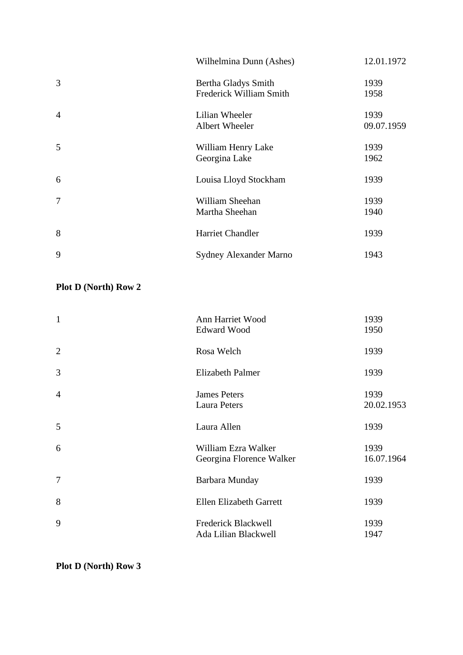|                | Wilhelmina Dunn (Ashes) | 12.01.1972 |
|----------------|-------------------------|------------|
| 3              | Bertha Gladys Smith     | 1939       |
|                | Frederick William Smith | 1958       |
| $\overline{4}$ | Lilian Wheeler          | 1939       |
|                | Albert Wheeler          | 09.07.1959 |
| 5              | William Henry Lake      | 1939       |
|                | Georgina Lake           | 1962       |
| 6              | Louisa Lloyd Stockham   | 1939       |
| $\tau$         | William Sheehan         | 1939       |
|                | Martha Sheehan          | 1940       |
| 8              | Harriet Chandler        | 1939       |
| 9              | Sydney Alexander Marno  | 1943       |

| $\mathbf{1}$   | Ann Harriet Wood         | 1939       |
|----------------|--------------------------|------------|
|                | <b>Edward Wood</b>       | 1950       |
| $\overline{2}$ | Rosa Welch               | 1939       |
| 3              | <b>Elizabeth Palmer</b>  | 1939       |
| $\overline{4}$ | <b>James Peters</b>      | 1939       |
|                | <b>Laura Peters</b>      | 20.02.1953 |
| 5              | Laura Allen              | 1939       |
| 6              | William Ezra Walker      | 1939       |
|                | Georgina Florence Walker | 16.07.1964 |
| $\tau$         | Barbara Munday           | 1939       |
| 8              | Ellen Elizabeth Garrett  | 1939       |
| 9              | Frederick Blackwell      | 1939       |
|                | Ada Lilian Blackwell     | 1947       |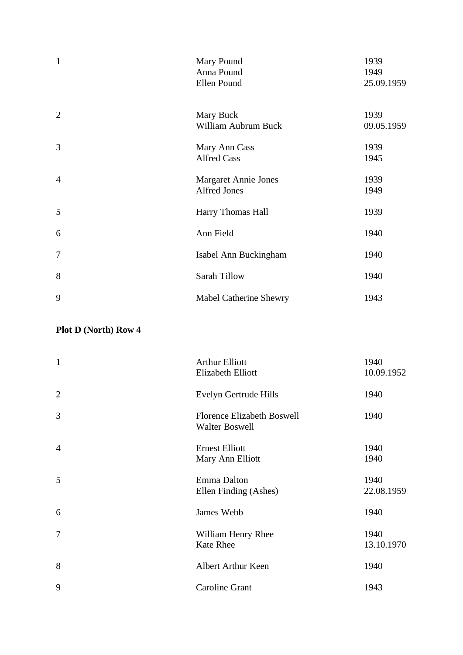| $\mathbf{1}$   | Mary Pound<br>Anna Pound<br>Ellen Pound     | 1939<br>1949<br>25.09.1959 |
|----------------|---------------------------------------------|----------------------------|
| $\overline{2}$ | Mary Buck<br>William Aubrum Buck            | 1939<br>09.05.1959         |
| 3              | Mary Ann Cass<br><b>Alfred Cass</b>         | 1939<br>1945               |
| $\overline{4}$ | <b>Margaret Annie Jones</b><br>Alfred Jones | 1939<br>1949               |
| 5              | Harry Thomas Hall                           | 1939                       |
| 6              | Ann Field                                   | 1940                       |
| $\tau$         | Isabel Ann Buckingham                       | 1940                       |
| 8              | Sarah Tillow                                | 1940                       |
| 9              | Mabel Catherine Shewry                      | 1943                       |

| $\mathbf{1}$   | <b>Arthur Elliott</b><br><b>Elizabeth Elliott</b>          | 1940<br>10.09.1952 |
|----------------|------------------------------------------------------------|--------------------|
| $\overline{2}$ | Evelyn Gertrude Hills                                      | 1940               |
| 3              | <b>Florence Elizabeth Boswell</b><br><b>Walter Boswell</b> | 1940               |
| $\overline{4}$ | <b>Ernest Elliott</b><br>Mary Ann Elliott                  | 1940<br>1940       |
| 5              | Emma Dalton<br>Ellen Finding (Ashes)                       | 1940<br>22.08.1959 |
| 6              | James Webb                                                 | 1940               |
| $\tau$         | William Henry Rhee<br>Kate Rhee                            | 1940<br>13.10.1970 |
| 8              | <b>Albert Arthur Keen</b>                                  | 1940               |
| 9              | <b>Caroline Grant</b>                                      | 1943               |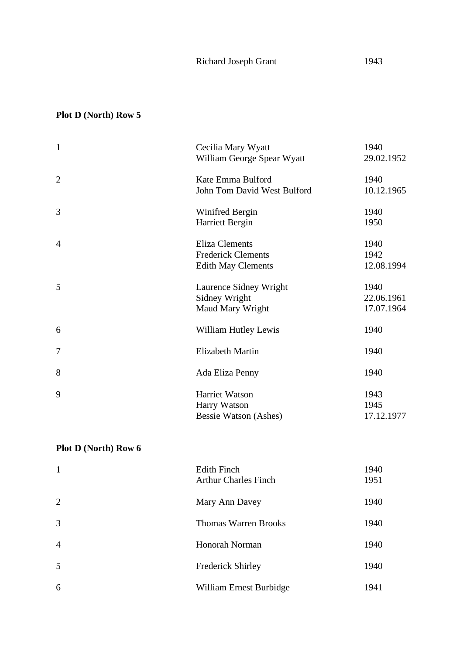| $\mathbf{1}$   | Cecilia Mary Wyatt<br>William George Spear Wyatt                                | 1940<br>29.02.1952               |
|----------------|---------------------------------------------------------------------------------|----------------------------------|
| $\overline{2}$ | Kate Emma Bulford<br>John Tom David West Bulford                                | 1940<br>10.12.1965               |
| 3              | Winifred Bergin<br>Harriett Bergin                                              | 1940<br>1950                     |
| $\overline{4}$ | <b>Eliza Clements</b><br><b>Frederick Clements</b><br><b>Edith May Clements</b> | 1940<br>1942<br>12.08.1994       |
| 5              | Laurence Sidney Wright<br>Sidney Wright<br>Maud Mary Wright                     | 1940<br>22.06.1961<br>17.07.1964 |
| 6              | William Hutley Lewis                                                            | 1940                             |
| 7              | <b>Elizabeth Martin</b>                                                         | 1940                             |
| 8              | Ada Eliza Penny                                                                 | 1940                             |
| 9              | Harriet Watson<br>Harry Watson<br>Bessie Watson (Ashes)                         | 1943<br>1945<br>17.12.1977       |

| $\mathbf{1}$   | <b>Edith Finch</b><br><b>Arthur Charles Finch</b> | 1940<br>1951 |
|----------------|---------------------------------------------------|--------------|
| 2              | Mary Ann Davey                                    | 1940         |
| $\overline{3}$ | <b>Thomas Warren Brooks</b>                       | 1940         |
| $\overline{4}$ | Honorah Norman                                    | 1940         |
| 5              | <b>Frederick Shirley</b>                          | 1940         |
| 6              | William Ernest Burbidge                           | 1941         |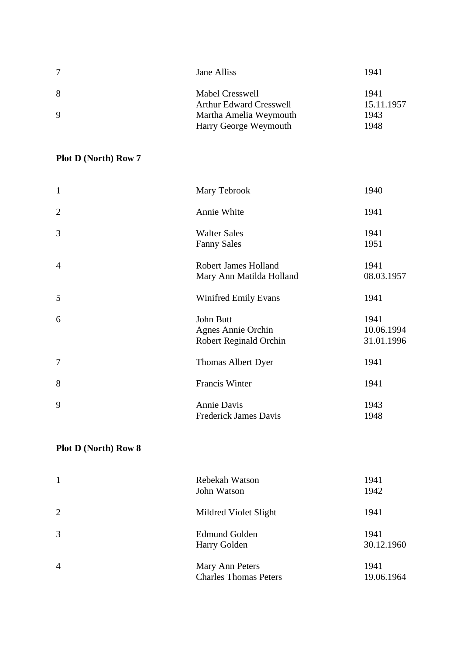|             | Jane Alliss                    | 1941       |
|-------------|--------------------------------|------------|
| 8           | Mabel Cresswell                | 1941       |
|             | <b>Arthur Edward Cresswell</b> | 15.11.1957 |
| $\mathbf Q$ | Martha Amelia Weymouth         | 1943       |
|             | Harry George Weymouth          | 1948       |

| $\mathbf{1}$   | Mary Tebrook                                                     | 1940                             |
|----------------|------------------------------------------------------------------|----------------------------------|
| $\overline{2}$ | Annie White                                                      | 1941                             |
| 3              | <b>Walter Sales</b><br><b>Fanny Sales</b>                        | 1941<br>1951                     |
| $\overline{4}$ | Robert James Holland<br>Mary Ann Matilda Holland                 | 1941<br>08.03.1957               |
| 5              | <b>Winifred Emily Evans</b>                                      | 1941                             |
| 6              | John Butt<br><b>Agnes Annie Orchin</b><br>Robert Reginald Orchin | 1941<br>10.06.1994<br>31.01.1996 |
| 7              | Thomas Albert Dyer                                               | 1941                             |
| 8              | Francis Winter                                                   | 1941                             |
| 9              | Annie Davis<br><b>Frederick James Davis</b>                      | 1943<br>1948                     |

| $\mathbf{1}$   | Rebekah Watson<br>John Watson                   | 1941<br>1942       |
|----------------|-------------------------------------------------|--------------------|
| 2              | Mildred Violet Slight                           | 1941               |
| 3              | <b>Edmund Golden</b><br>Harry Golden            | 1941<br>30.12.1960 |
| $\overline{4}$ | Mary Ann Peters<br><b>Charles Thomas Peters</b> | 1941<br>19.06.1964 |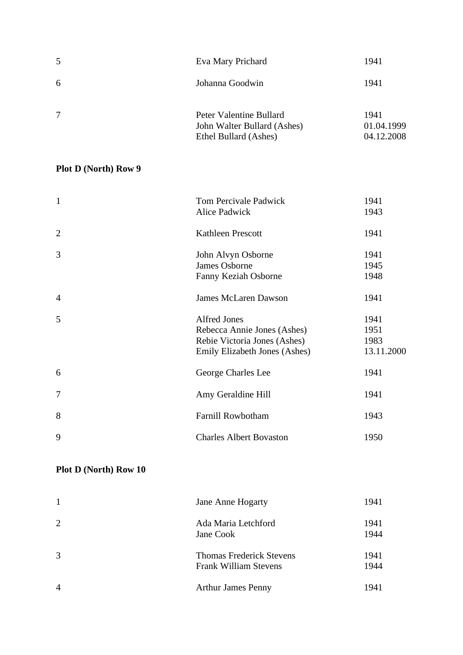| 5      | Eva Mary Prichard                                                               | 1941                             |
|--------|---------------------------------------------------------------------------------|----------------------------------|
| 6      | Johanna Goodwin                                                                 | 1941                             |
| $\tau$ | Peter Valentine Bullard<br>John Walter Bullard (Ashes)<br>Ethel Bullard (Ashes) | 1941<br>01.04.1999<br>04.12.2008 |

| $\mathbf{1}$   | <b>Tom Percivale Padwick</b>   | 1941       |
|----------------|--------------------------------|------------|
|                | Alice Padwick                  | 1943       |
| $\overline{2}$ | <b>Kathleen Prescott</b>       | 1941       |
| 3              | John Alvyn Osborne             | 1941       |
|                | James Osborne                  | 1945       |
|                | Fanny Keziah Osborne           | 1948       |
| $\overline{4}$ | <b>James McLaren Dawson</b>    | 1941       |
| 5              | <b>Alfred Jones</b>            | 1941       |
|                | Rebecca Annie Jones (Ashes)    | 1951       |
|                | Rebie Victoria Jones (Ashes)   | 1983       |
|                | Emily Elizabeth Jones (Ashes)  | 13.11.2000 |
| 6              | George Charles Lee             | 1941       |
| 7              | Amy Geraldine Hill             | 1941       |
| 8              | <b>Farnill Rowbotham</b>       | 1943       |
| 9              | <b>Charles Albert Bovaston</b> | 1950       |

| $\mathbf{1}$   | <b>Jane Anne Hogarty</b>                                        | 1941         |
|----------------|-----------------------------------------------------------------|--------------|
| 2              | Ada Maria Letchford<br>Jane Cook                                | 1941<br>1944 |
| $\overline{3}$ | <b>Thomas Frederick Stevens</b><br><b>Frank William Stevens</b> | 1941<br>1944 |
| $\overline{4}$ | <b>Arthur James Penny</b>                                       | 1941         |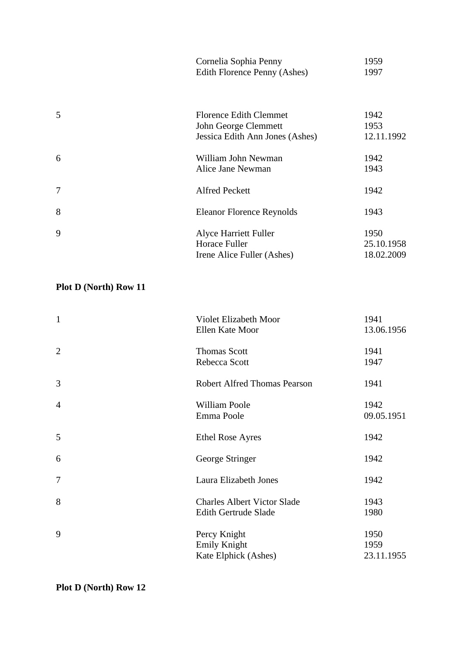|   | Cornelia Sophia Penny<br>Edith Florence Penny (Ashes) | 1959<br>1997 |
|---|-------------------------------------------------------|--------------|
|   |                                                       |              |
| 5 | <b>Florence Edith Clemmet</b>                         | 1942         |
|   | John George Clemmett                                  | 1953         |
|   | Jessica Edith Ann Jones (Ashes)                       | 12.11.1992   |
| 6 | William John Newman                                   | 1942         |
|   | Alice Jane Newman                                     | 1943         |
| 7 | <b>Alfred Peckett</b>                                 | 1942         |
| 8 | <b>Eleanor Florence Reynolds</b>                      | 1943         |
| 9 | Alyce Harriett Fuller                                 | 1950         |
|   | Horace Fuller                                         | 25.10.1958   |
|   | Irene Alice Fuller (Ashes)                            | 18.02.2009   |

| Violet Elizabeth Moor               | 1941       |
|-------------------------------------|------------|
| Ellen Kate Moor                     | 13.06.1956 |
| <b>Thomas Scott</b>                 | 1941       |
| Rebecca Scott                       | 1947       |
| <b>Robert Alfred Thomas Pearson</b> | 1941       |
| <b>William Poole</b>                | 1942       |
| Emma Poole                          | 09.05.1951 |
| <b>Ethel Rose Ayres</b>             | 1942       |
| George Stringer                     | 1942       |
| Laura Elizabeth Jones               | 1942       |
| <b>Charles Albert Victor Slade</b>  | 1943       |
| Edith Gertrude Slade                | 1980       |
| Percy Knight                        | 1950       |
| <b>Emily Knight</b>                 | 1959       |
| Kate Elphick (Ashes)                | 23.11.1955 |
|                                     |            |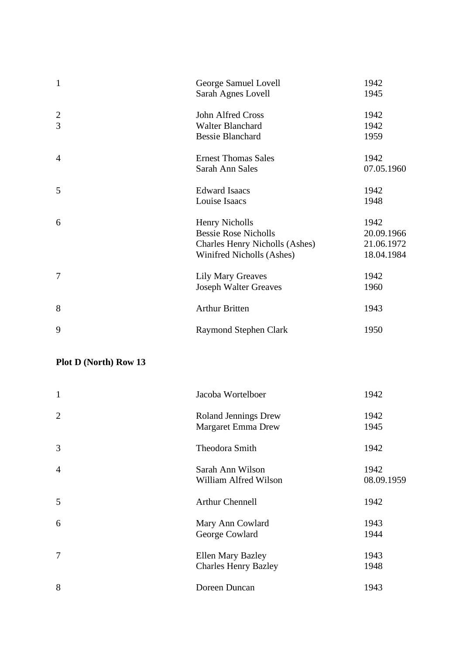| $\mathbf{1}$   | George Samuel Lovell           | 1942       |
|----------------|--------------------------------|------------|
|                | Sarah Agnes Lovell             | 1945       |
| $\overline{2}$ | John Alfred Cross              | 1942       |
| 3              | <b>Walter Blanchard</b>        | 1942       |
|                | <b>Bessie Blanchard</b>        | 1959       |
| $\overline{4}$ | <b>Ernest Thomas Sales</b>     | 1942       |
|                | Sarah Ann Sales                | 07.05.1960 |
| 5              | <b>Edward Isaacs</b>           | 1942       |
|                | Louise Isaacs                  | 1948       |
| 6              | <b>Henry Nicholls</b>          | 1942       |
|                | <b>Bessie Rose Nicholls</b>    | 20.09.1966 |
|                | Charles Henry Nicholls (Ashes) | 21.06.1972 |
|                | Winifred Nicholls (Ashes)      | 18.04.1984 |
| 7              | <b>Lily Mary Greaves</b>       | 1942       |
|                | <b>Joseph Walter Greaves</b>   | 1960       |
| 8              | <b>Arthur Britten</b>          | 1943       |
| 9              | <b>Raymond Stephen Clark</b>   | 1950       |

| $\mathbf{1}$   | Jacoba Wortelboer                                        | 1942               |
|----------------|----------------------------------------------------------|--------------------|
| $\overline{2}$ | <b>Roland Jennings Drew</b><br><b>Margaret Emma Drew</b> | 1942<br>1945       |
| 3              | Theodora Smith                                           | 1942               |
| $\overline{4}$ | Sarah Ann Wilson<br>William Alfred Wilson                | 1942<br>08.09.1959 |
| 5              | <b>Arthur Chennell</b>                                   | 1942               |
| 6              | Mary Ann Cowlard<br>George Cowlard                       | 1943<br>1944       |
| 7              | <b>Ellen Mary Bazley</b><br><b>Charles Henry Bazley</b>  | 1943<br>1948       |
| 8              | Doreen Duncan                                            | 1943               |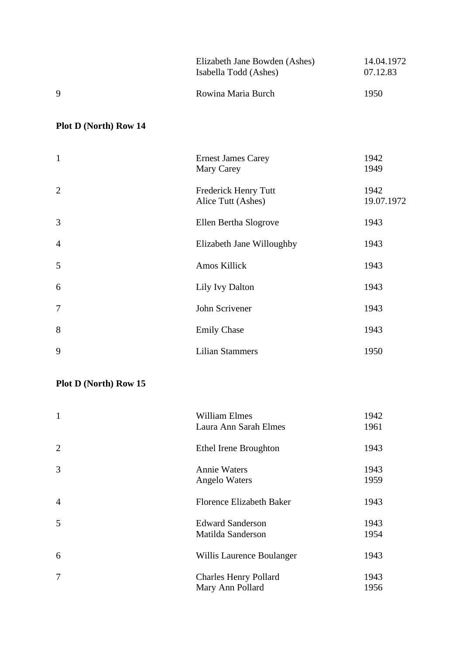|              | Elizabeth Jane Bowden (Ashes)<br>Isabella Todd (Ashes) | 14.04.1972<br>07.12.83 |
|--------------|--------------------------------------------------------|------------------------|
| <sup>Q</sup> | Rowina Maria Burch                                     | 1950                   |

| $\mathbf{1}$   | <b>Ernest James Carey</b><br>Mary Carey    | 1942<br>1949       |
|----------------|--------------------------------------------|--------------------|
| $\overline{2}$ | Frederick Henry Tutt<br>Alice Tutt (Ashes) | 1942<br>19.07.1972 |
| 3              | Ellen Bertha Slogrove                      | 1943               |
| $\overline{4}$ | Elizabeth Jane Willoughby                  | 1943               |
| 5              | Amos Killick                               | 1943               |
| 6              | Lily Ivy Dalton                            | 1943               |
| $\tau$         | John Scrivener                             | 1943               |
| 8              | <b>Emily Chase</b>                         | 1943               |
| 9              | <b>Lilian Stammers</b>                     | 1950               |

| $\mathbf{1}$   | <b>William Elmes</b><br>Laura Ann Sarah Elmes    | 1942<br>1961 |
|----------------|--------------------------------------------------|--------------|
| $\overline{2}$ | Ethel Irene Broughton                            | 1943         |
| 3              | <b>Annie Waters</b><br><b>Angelo Waters</b>      | 1943<br>1959 |
| $\overline{4}$ | <b>Florence Elizabeth Baker</b>                  | 1943         |
| 5              | <b>Edward Sanderson</b><br>Matilda Sanderson     | 1943<br>1954 |
| 6              | Willis Laurence Boulanger                        | 1943         |
| $\tau$         | <b>Charles Henry Pollard</b><br>Mary Ann Pollard | 1943<br>1956 |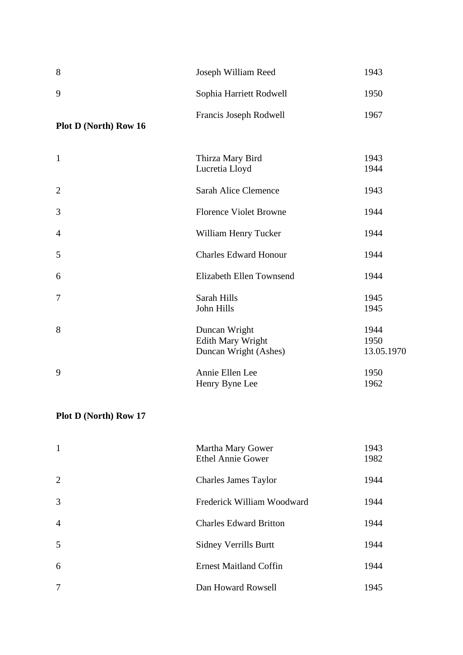| 8                     | Joseph William Reed                                         | 1943                       |
|-----------------------|-------------------------------------------------------------|----------------------------|
| 9                     | Sophia Harriett Rodwell                                     | 1950                       |
| Plot D (North) Row 16 | Francis Joseph Rodwell                                      | 1967                       |
| $\mathbf{1}$          | Thirza Mary Bird<br>Lucretia Lloyd                          | 1943<br>1944               |
| $\overline{2}$        | Sarah Alice Clemence                                        | 1943                       |
| 3                     | <b>Florence Violet Browne</b>                               | 1944                       |
| 4                     | William Henry Tucker                                        | 1944                       |
| 5                     | <b>Charles Edward Honour</b>                                | 1944                       |
| 6                     | Elizabeth Ellen Townsend                                    | 1944                       |
| 7                     | Sarah Hills<br>John Hills                                   | 1945<br>1945               |
| 8                     | Duncan Wright<br>Edith Mary Wright<br>Duncan Wright (Ashes) | 1944<br>1950<br>13.05.1970 |
| 9                     | Annie Ellen Lee<br>Henry Byne Lee                           | 1950<br>1962               |

| $\mathbf{1}$   | Martha Mary Gower<br>Ethel Annie Gower | 1943<br>1982 |
|----------------|----------------------------------------|--------------|
| 2              | <b>Charles James Taylor</b>            | 1944         |
| 3              | Frederick William Woodward             | 1944         |
| $\overline{4}$ | <b>Charles Edward Britton</b>          | 1944         |
| 5              | <b>Sidney Verrills Burtt</b>           | 1944         |
| 6              | <b>Ernest Maitland Coffin</b>          | 1944         |
| 7              | Dan Howard Rowsell                     | 1945         |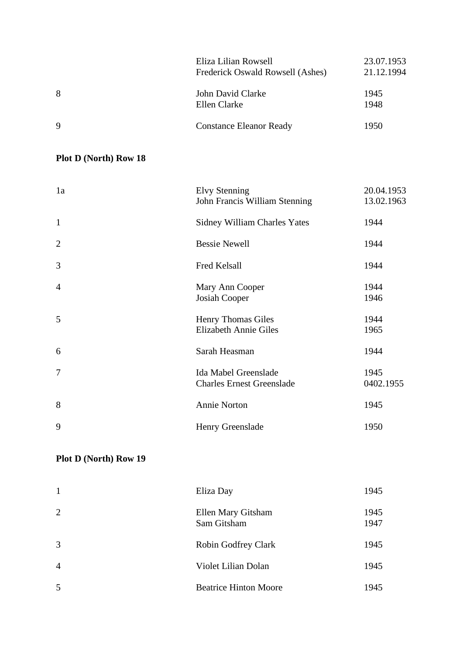|    | Eliza Lilian Rowsell<br>Frederick Oswald Rowsell (Ashes) | 23.07.1953<br>21.12.1994 |
|----|----------------------------------------------------------|--------------------------|
| 8  | John David Clarke<br>Ellen Clarke                        | 1945<br>1948             |
| -9 | <b>Constance Eleanor Ready</b>                           | 1950                     |

| 1a             | <b>Elvy Stenning</b><br>John Francis William Stenning    | 20.04.1953<br>13.02.1963 |
|----------------|----------------------------------------------------------|--------------------------|
| $\mathbf{1}$   | <b>Sidney William Charles Yates</b>                      | 1944                     |
| $\overline{2}$ | <b>Bessie Newell</b>                                     | 1944                     |
| 3              | Fred Kelsall                                             | 1944                     |
| $\overline{4}$ | Mary Ann Cooper<br>Josiah Cooper                         | 1944<br>1946             |
| 5              | Henry Thomas Giles<br><b>Elizabeth Annie Giles</b>       | 1944<br>1965             |
| 6              | Sarah Heasman                                            | 1944                     |
| $\tau$         | Ida Mabel Greenslade<br><b>Charles Ernest Greenslade</b> | 1945<br>0402.1955        |
| 8              | <b>Annie Norton</b>                                      | 1945                     |
| 9              | Henry Greenslade                                         | 1950                     |

| $\mathbf{1}$   | Eliza Day                         | 1945         |
|----------------|-----------------------------------|--------------|
| 2              | Ellen Mary Gitsham<br>Sam Gitsham | 1945<br>1947 |
| 3              | Robin Godfrey Clark               | 1945         |
| $\overline{4}$ | Violet Lilian Dolan               | 1945         |
| 5              | <b>Beatrice Hinton Moore</b>      | 1945         |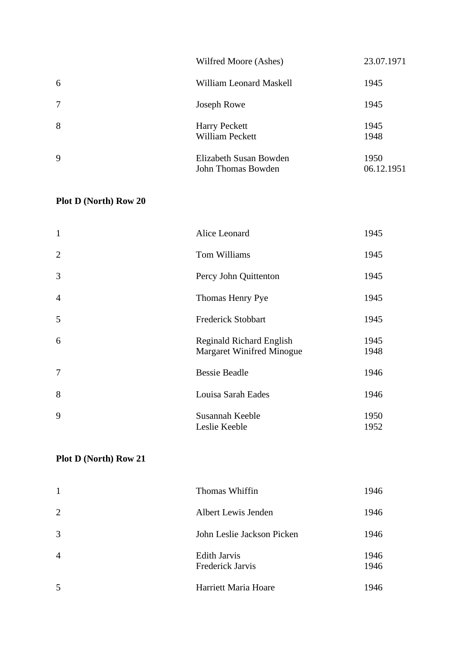|        | Wilfred Moore (Ashes)                        | 23.07.1971         |
|--------|----------------------------------------------|--------------------|
| 6      | William Leonard Maskell                      | 1945               |
| $\tau$ | Joseph Rowe                                  | 1945               |
| 8      | <b>Harry Peckett</b><br>William Peckett      | 1945<br>1948       |
| 9      | Elizabeth Susan Bowden<br>John Thomas Bowden | 1950<br>06.12.1951 |

| $\mathbf{1}$   | Alice Leonard                                                       | 1945         |
|----------------|---------------------------------------------------------------------|--------------|
| $\overline{2}$ | Tom Williams                                                        | 1945         |
| 3              | Percy John Quittenton                                               | 1945         |
| $\overline{4}$ | Thomas Henry Pye                                                    | 1945         |
| 5              | <b>Frederick Stobbart</b>                                           | 1945         |
| 6              | <b>Reginald Richard English</b><br><b>Margaret Winifred Minogue</b> | 1945<br>1948 |
| $\overline{7}$ | <b>Bessie Beadle</b>                                                | 1946         |
| 8              | Louisa Sarah Eades                                                  | 1946         |
| 9              | Susannah Keeble<br>Leslie Keeble                                    | 1950<br>1952 |

| $\mathbf{1}$   | Thomas Whiffin                          | 1946         |
|----------------|-----------------------------------------|--------------|
| 2              | Albert Lewis Jenden                     | 1946         |
| 3              | John Leslie Jackson Picken              | 1946         |
| $\overline{4}$ | <b>Edith Jarvis</b><br>Frederick Jarvis | 1946<br>1946 |
| 5              | Harriett Maria Hoare                    | 1946         |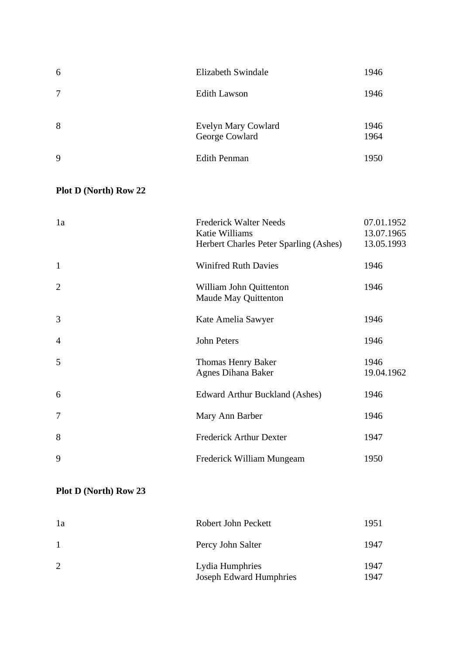| 6 | Elizabeth Swindale                    | 1946         |
|---|---------------------------------------|--------------|
| 7 | <b>Edith Lawson</b>                   | 1946         |
| 8 | Evelyn Mary Cowlard<br>George Cowlard | 1946<br>1964 |
| 9 | <b>Edith Penman</b>                   | 1950         |

| 1a             | <b>Frederick Walter Needs</b><br>Katie Williams<br>Herbert Charles Peter Sparling (Ashes) | 07.01.1952<br>13.07.1965<br>13.05.1993 |
|----------------|-------------------------------------------------------------------------------------------|----------------------------------------|
| $\mathbf{1}$   | <b>Winifred Ruth Davies</b>                                                               | 1946                                   |
| $\overline{2}$ | William John Quittenton<br>Maude May Quittenton                                           | 1946                                   |
| 3              | Kate Amelia Sawyer                                                                        | 1946                                   |
| $\overline{4}$ | John Peters                                                                               | 1946                                   |
| 5              | Thomas Henry Baker<br><b>Agnes Dihana Baker</b>                                           | 1946<br>19.04.1962                     |
| 6              | <b>Edward Arthur Buckland (Ashes)</b>                                                     | 1946                                   |
| $\overline{7}$ | Mary Ann Barber                                                                           | 1946                                   |
| 8              | <b>Frederick Arthur Dexter</b>                                                            | 1947                                   |
| 9              | Frederick William Mungeam                                                                 | 1950                                   |

| 1a             | Robert John Peckett                               | 1951         |
|----------------|---------------------------------------------------|--------------|
|                | Percy John Salter                                 | 1947         |
| $\overline{2}$ | Lydia Humphries<br><b>Joseph Edward Humphries</b> | 1947<br>1947 |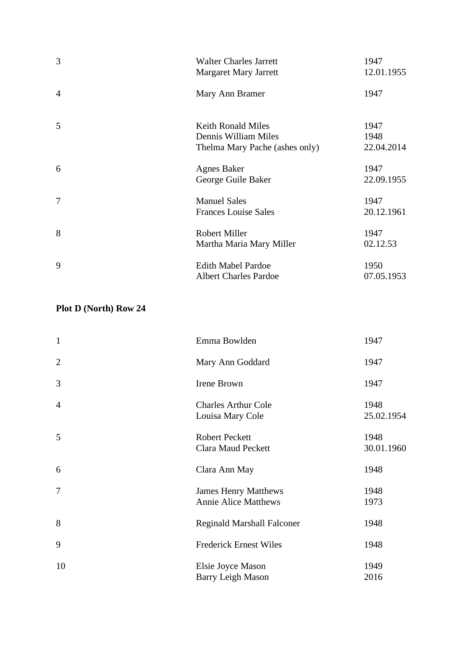| 3              | <b>Walter Charles Jarrett</b><br><b>Margaret Mary Jarrett</b>                       | 1947<br>12.01.1955         |
|----------------|-------------------------------------------------------------------------------------|----------------------------|
| $\overline{4}$ | Mary Ann Bramer                                                                     | 1947                       |
| 5              | <b>Keith Ronald Miles</b><br>Dennis William Miles<br>Thelma Mary Pache (ashes only) | 1947<br>1948<br>22.04.2014 |
| 6              | <b>Agnes Baker</b><br>George Guile Baker                                            | 1947<br>22.09.1955         |
| 7              | <b>Manuel Sales</b><br><b>Frances Louise Sales</b>                                  | 1947<br>20.12.1961         |
| 8              | <b>Robert Miller</b><br>Martha Maria Mary Miller                                    | 1947<br>02.12.53           |
| 9              | <b>Edith Mabel Pardoe</b><br><b>Albert Charles Pardoe</b>                           | 1950<br>07.05.1953         |

| $\mathbf{1}$   | Emma Bowlden                                               | 1947               |
|----------------|------------------------------------------------------------|--------------------|
| $\overline{2}$ | Mary Ann Goddard                                           | 1947               |
| 3              | Irene Brown                                                | 1947               |
| $\overline{4}$ | <b>Charles Arthur Cole</b><br>Louisa Mary Cole             | 1948<br>25.02.1954 |
| 5              | <b>Robert Peckett</b><br><b>Clara Maud Peckett</b>         | 1948<br>30.01.1960 |
| 6              | Clara Ann May                                              | 1948               |
| 7              | <b>James Henry Matthews</b><br><b>Annie Alice Matthews</b> | 1948<br>1973       |
| 8              | <b>Reginald Marshall Falconer</b>                          | 1948               |
| 9              | <b>Frederick Ernest Wiles</b>                              | 1948               |
| 10             | Elsie Joyce Mason<br>Barry Leigh Mason                     | 1949<br>2016       |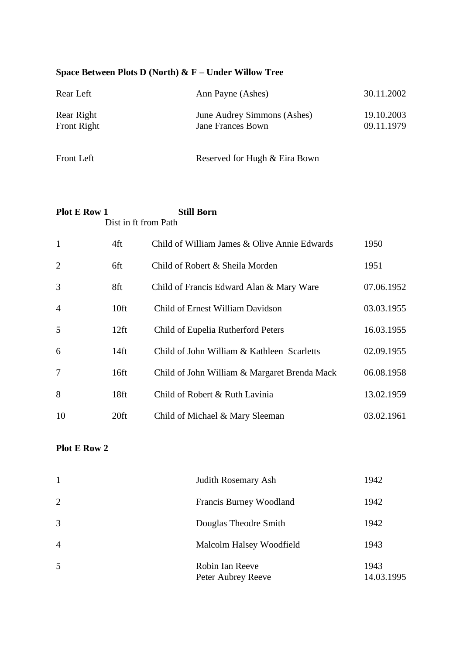#### **Space Between Plots D (North) & F – Under Willow Tree**

| Rear Left                 | Ann Payne (Ashes)                                       | 30.11.2002               |
|---------------------------|---------------------------------------------------------|--------------------------|
| Rear Right<br>Front Right | June Audrey Simmons (Ashes)<br><b>Jane Frances Bown</b> | 19.10.2003<br>09.11.1979 |
| Front Left                | Reserved for Hugh & Eira Bown                           |                          |

#### **Plot E Row 1** Still Born Dist in ft from Path

| $\mathbf{1}$   | 4ft              | Child of William James & Olive Annie Edwards | 1950       |
|----------------|------------------|----------------------------------------------|------------|
| 2              | 6ft              | Child of Robert & Sheila Morden              | 1951       |
| 3              | 8ft              | Child of Francis Edward Alan & Mary Ware     | 07.06.1952 |
| $\overline{4}$ | 10 <sup>ft</sup> | Child of Ernest William Davidson             | 03.03.1955 |
| 5              | $12$ ft          | Child of Eupelia Rutherford Peters           | 16.03.1955 |
| 6              | 14ft             | Child of John William & Kathleen Scarletts   | 02.09.1955 |
| $\overline{7}$ | 16ft             | Child of John William & Margaret Brenda Mack | 06.08.1958 |
| 8              | 18 <sub>ft</sub> | Child of Robert & Ruth Lavinia               | 13.02.1959 |
| 10             | 20ft             | Child of Michael & Mary Sleeman              | 03.02.1961 |

### **Plot E Row 2**

| $\mathbf{1}$   | Judith Rosemary Ash                   | 1942               |
|----------------|---------------------------------------|--------------------|
| 2              | Francis Burney Woodland               | 1942               |
| 3              | Douglas Theodre Smith                 | 1942               |
| $\overline{4}$ | Malcolm Halsey Woodfield              | 1943               |
| $\overline{5}$ | Robin Ian Reeve<br>Peter Aubrey Reeve | 1943<br>14.03.1995 |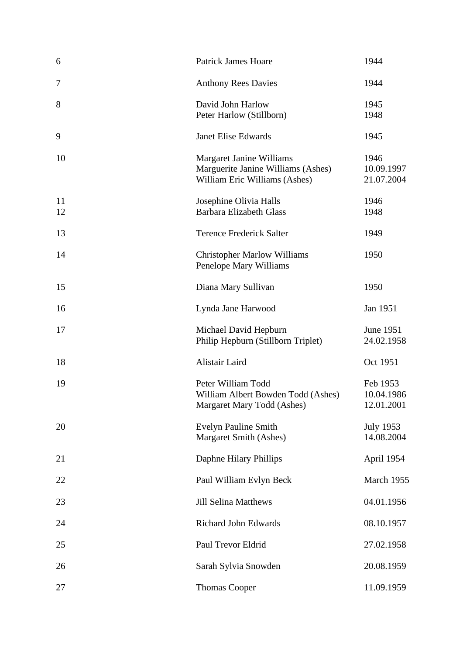| 6        | <b>Patrick James Hoare</b>                                                                      | 1944                                 |
|----------|-------------------------------------------------------------------------------------------------|--------------------------------------|
| 7        | <b>Anthony Rees Davies</b>                                                                      | 1944                                 |
| 8        | David John Harlow<br>Peter Harlow (Stillborn)                                                   | 1945<br>1948                         |
| 9        | <b>Janet Elise Edwards</b>                                                                      | 1945                                 |
| 10       | Margaret Janine Williams<br>Marguerite Janine Williams (Ashes)<br>William Eric Williams (Ashes) | 1946<br>10.09.1997<br>21.07.2004     |
| 11<br>12 | Josephine Olivia Halls<br><b>Barbara Elizabeth Glass</b>                                        | 1946<br>1948                         |
| 13       | <b>Terence Frederick Salter</b>                                                                 | 1949                                 |
| 14       | <b>Christopher Marlow Williams</b><br>Penelope Mary Williams                                    | 1950                                 |
| 15       | Diana Mary Sullivan                                                                             | 1950                                 |
| 16       | Lynda Jane Harwood                                                                              | Jan 1951                             |
| 17       | Michael David Hepburn<br>Philip Hepburn (Stillborn Triplet)                                     | June 1951<br>24.02.1958              |
| 18       | Alistair Laird                                                                                  | Oct 1951                             |
| 19       | Peter William Todd<br>William Albert Bowden Todd (Ashes)<br>Margaret Mary Todd (Ashes)          | Feb 1953<br>10.04.1986<br>12.01.2001 |
| 20       | <b>Evelyn Pauline Smith</b><br>Margaret Smith (Ashes)                                           | <b>July 1953</b><br>14.08.2004       |
| 21       | Daphne Hilary Phillips                                                                          | April 1954                           |
| 22       | Paul William Evlyn Beck                                                                         | March 1955                           |
| 23       | <b>Jill Selina Matthews</b>                                                                     | 04.01.1956                           |
| 24       | <b>Richard John Edwards</b>                                                                     | 08.10.1957                           |
| 25       | Paul Trevor Eldrid                                                                              | 27.02.1958                           |
| 26       | Sarah Sylvia Snowden                                                                            | 20.08.1959                           |
| 27       | <b>Thomas Cooper</b>                                                                            | 11.09.1959                           |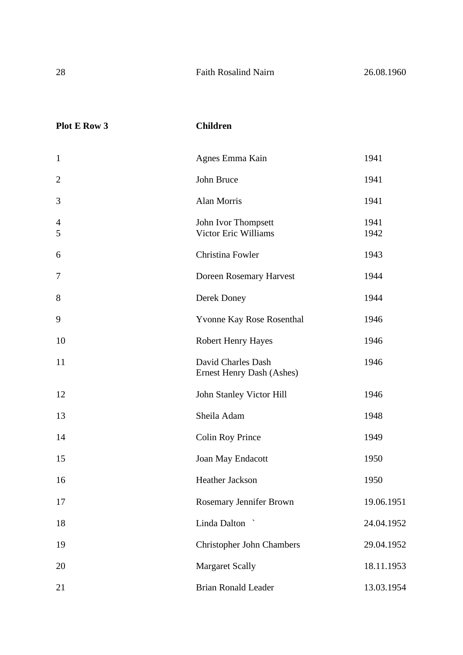| <b>Plot E Row 3</b>           | <b>Children</b>                                    |              |
|-------------------------------|----------------------------------------------------|--------------|
| $\mathbf{1}$                  | Agnes Emma Kain                                    | 1941         |
| $\mathbf{2}$                  | John Bruce                                         | 1941         |
| 3                             | Alan Morris                                        | 1941         |
| $\overline{\mathcal{A}}$<br>5 | John Ivor Thompsett<br><b>Victor Eric Williams</b> | 1941<br>1942 |
| 6                             | Christina Fowler                                   | 1943         |
| 7                             | Doreen Rosemary Harvest                            | 1944         |
| 8                             | Derek Doney                                        | 1944         |
| 9                             | Yvonne Kay Rose Rosenthal                          | 1946         |
| 10                            | <b>Robert Henry Hayes</b>                          | 1946         |
| 11                            | David Charles Dash<br>Ernest Henry Dash (Ashes)    | 1946         |
| 12                            | <b>John Stanley Victor Hill</b>                    | 1946         |
| 13                            | Sheila Adam                                        | 1948         |
| 14                            | <b>Colin Roy Prince</b>                            | 1949         |
| 15                            | Joan May Endacott                                  | 1950         |
| 16                            | Heather Jackson                                    | 1950         |
| 17                            | Rosemary Jennifer Brown                            | 19.06.1951   |
| 18                            | Linda Dalton                                       | 24.04.1952   |
| 19                            | <b>Christopher John Chambers</b>                   | 29.04.1952   |
| 20                            | <b>Margaret Scally</b>                             | 18.11.1953   |
| 21                            | <b>Brian Ronald Leader</b>                         | 13.03.1954   |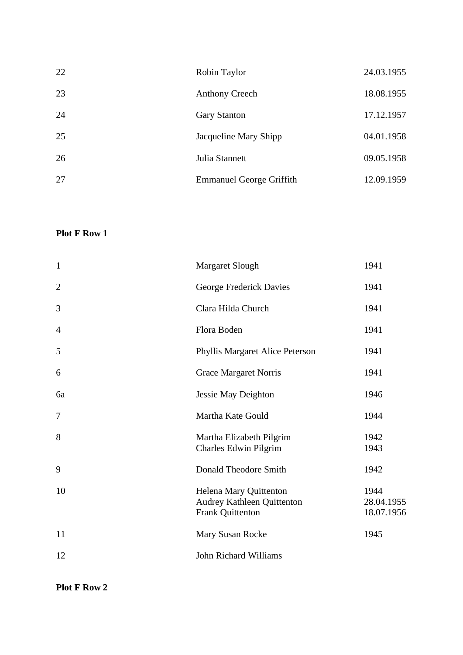| 22 | Robin Taylor                    | 24.03.1955 |
|----|---------------------------------|------------|
| 23 | <b>Anthony Creech</b>           | 18.08.1955 |
| 24 | <b>Gary Stanton</b>             | 17.12.1957 |
| 25 | Jacqueline Mary Shipp           | 04.01.1958 |
| 26 | Julia Stannett                  | 09.05.1958 |
| 27 | <b>Emmanuel George Griffith</b> | 12.09.1959 |

| $\mathbf{1}$     | Margaret Slough                                                          | 1941                             |
|------------------|--------------------------------------------------------------------------|----------------------------------|
| $\mathbf{2}$     | George Frederick Davies                                                  | 1941                             |
| 3                | Clara Hilda Church                                                       | 1941                             |
| $\overline{4}$   | Flora Boden                                                              | 1941                             |
| 5                | Phyllis Margaret Alice Peterson                                          | 1941                             |
| 6                | <b>Grace Margaret Norris</b>                                             | 1941                             |
| 6a               | <b>Jessie May Deighton</b>                                               | 1946                             |
| $\boldsymbol{7}$ | Martha Kate Gould                                                        | 1944                             |
| 8                | Martha Elizabeth Pilgrim<br>Charles Edwin Pilgrim                        | 1942<br>1943                     |
| 9                | Donald Theodore Smith                                                    | 1942                             |
| 10               | Helena Mary Quittenton<br>Audrey Kathleen Quittenton<br>Frank Quittenton | 1944<br>28.04.1955<br>18.07.1956 |
| 11               | Mary Susan Rocke                                                         | 1945                             |
| 12               | John Richard Williams                                                    |                                  |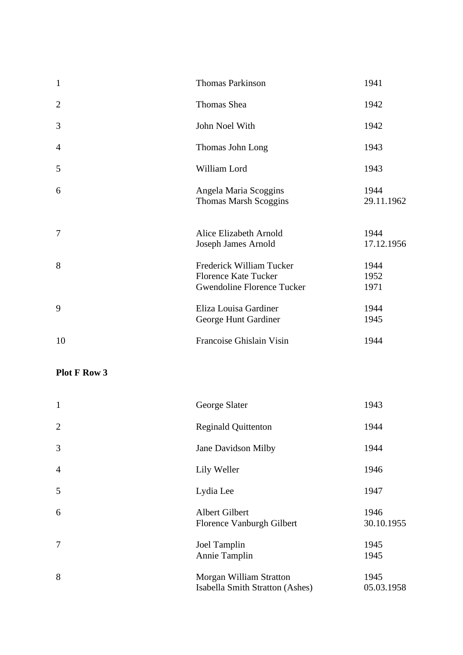| $\mathbf{1}$   | <b>Thomas Parkinson</b>                                                               | 1941                 |
|----------------|---------------------------------------------------------------------------------------|----------------------|
| $\overline{2}$ | Thomas Shea                                                                           | 1942                 |
| 3              | John Noel With                                                                        | 1942                 |
| $\overline{4}$ | Thomas John Long                                                                      | 1943                 |
| 5              | William Lord                                                                          | 1943                 |
| 6              | Angela Maria Scoggins<br><b>Thomas Marsh Scoggins</b>                                 | 1944<br>29.11.1962   |
| 7              | Alice Elizabeth Arnold<br>Joseph James Arnold                                         | 1944<br>17.12.1956   |
| 8              | Frederick William Tucker<br><b>Florence Kate Tucker</b><br>Gwendoline Florence Tucker | 1944<br>1952<br>1971 |
| 9              | Eliza Louisa Gardiner<br>George Hunt Gardiner                                         | 1944<br>1945         |
| 10             | Francoise Ghislain Visin                                                              | 1944                 |

| $\mathbf{1}$   | George Slater                                              | 1943               |
|----------------|------------------------------------------------------------|--------------------|
| $\overline{2}$ | <b>Reginald Quittenton</b>                                 | 1944               |
| 3              | Jane Davidson Milby                                        | 1944               |
| $\overline{4}$ | Lily Weller                                                | 1946               |
| 5              | Lydia Lee                                                  | 1947               |
| 6              | Albert Gilbert<br>Florence Vanburgh Gilbert                | 1946<br>30.10.1955 |
| 7              | Joel Tamplin<br>Annie Tamplin                              | 1945<br>1945       |
| 8              | Morgan William Stratton<br>Isabella Smith Stratton (Ashes) | 1945<br>05.03.1958 |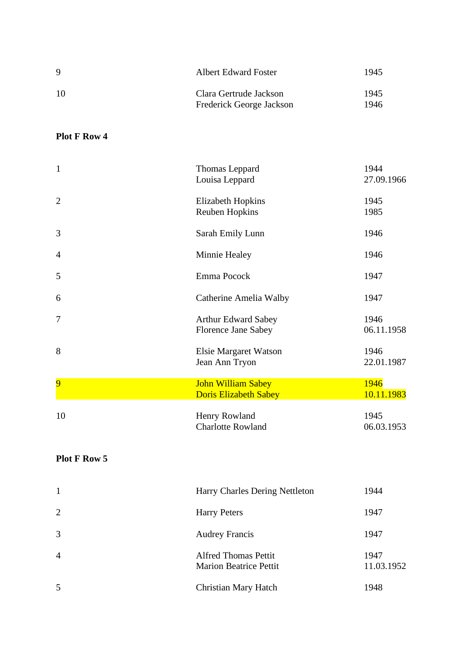| -9  | <b>Albert Edward Foster</b>                        | 1945         |
|-----|----------------------------------------------------|--------------|
| -10 | Clara Gertrude Jackson<br>Frederick George Jackson | 1945<br>1946 |

| $\mathbf{1}$   | Thomas Leppard<br>Louisa Leppard                          | 1944<br>27.09.1966 |
|----------------|-----------------------------------------------------------|--------------------|
| $\overline{2}$ | <b>Elizabeth Hopkins</b><br><b>Reuben Hopkins</b>         | 1945<br>1985       |
| 3              | Sarah Emily Lunn                                          | 1946               |
| $\overline{4}$ | Minnie Healey                                             | 1946               |
| 5              | Emma Pocock                                               | 1947               |
| 6              | Catherine Amelia Walby                                    | 1947               |
| $\overline{7}$ | <b>Arthur Edward Sabey</b><br><b>Florence Jane Sabey</b>  | 1946<br>06.11.1958 |
| 8              | Elsie Margaret Watson<br>Jean Ann Tryon                   | 1946<br>22.01.1987 |
| $\overline{9}$ | <b>John William Sabey</b><br><b>Doris Elizabeth Sabey</b> | 1946<br>10.11.1983 |
| 10             | Henry Rowland<br><b>Charlotte Rowland</b>                 | 1945<br>06.03.1953 |

| $\mathbf{1}$   | Harry Charles Dering Nettleton                               | 1944               |
|----------------|--------------------------------------------------------------|--------------------|
| 2              | <b>Harry Peters</b>                                          | 1947               |
| 3              | <b>Audrey Francis</b>                                        | 1947               |
| $\overline{4}$ | <b>Alfred Thomas Pettit</b><br><b>Marion Beatrice Pettit</b> | 1947<br>11.03.1952 |
| 5              | <b>Christian Mary Hatch</b>                                  | 1948               |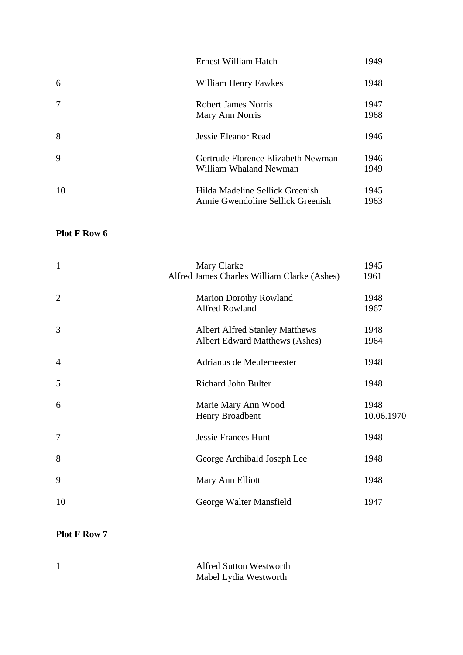|    | Ernest William Hatch                                                 | 1949         |
|----|----------------------------------------------------------------------|--------------|
| 6  | William Henry Fawkes                                                 | 1948         |
| 7  | Robert James Norris<br>Mary Ann Norris                               | 1947<br>1968 |
| 8  | Jessie Eleanor Read                                                  | 1946         |
| 9  | Gertrude Florence Elizabeth Newman<br>William Whaland Newman         | 1946<br>1949 |
| 10 | Hilda Madeline Sellick Greenish<br>Annie Gwendoline Sellick Greenish | 1945<br>1963 |

| $\mathbf{1}$   | Mary Clarke                                 | 1945       |
|----------------|---------------------------------------------|------------|
|                | Alfred James Charles William Clarke (Ashes) | 1961       |
| $\overline{2}$ | <b>Marion Dorothy Rowland</b>               | 1948       |
|                | <b>Alfred Rowland</b>                       | 1967       |
| 3              | <b>Albert Alfred Stanley Matthews</b>       | 1948       |
|                | Albert Edward Matthews (Ashes)              | 1964       |
| $\overline{4}$ | Adrianus de Meulemeester                    | 1948       |
|                |                                             |            |
| 5              | Richard John Bulter                         | 1948       |
| 6              | Marie Mary Ann Wood                         | 1948       |
|                | Henry Broadbent                             | 10.06.1970 |
| 7              | <b>Jessie Frances Hunt</b>                  | 1948       |
| 8              | George Archibald Joseph Lee                 | 1948       |
| 9              | Mary Ann Elliott                            | 1948       |
| 10             | George Walter Mansfield                     | 1947       |

| <b>Alfred Sutton Westworth</b> |
|--------------------------------|
| Mabel Lydia Westworth          |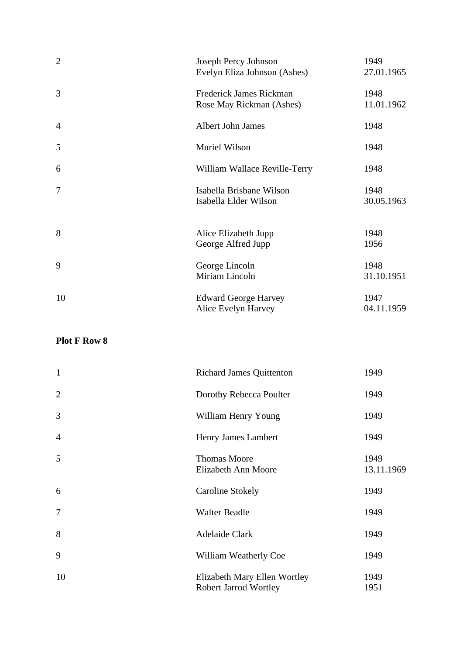| $\overline{2}$ | Joseph Percy Johnson<br>Evelyn Eliza Johnson (Ashes) | 1949<br>27.01.1965 |
|----------------|------------------------------------------------------|--------------------|
| 3              | Frederick James Rickman<br>Rose May Rickman (Ashes)  | 1948<br>11.01.1962 |
| $\overline{4}$ | Albert John James                                    | 1948               |
| 5              | Muriel Wilson                                        | 1948               |
| 6              | William Wallace Reville-Terry                        | 1948               |
| 7              | Isabella Brisbane Wilson<br>Isabella Elder Wilson    | 1948<br>30.05.1963 |
| 8              | Alice Elizabeth Jupp<br>George Alfred Jupp           | 1948<br>1956       |
| 9              | George Lincoln<br>Miriam Lincoln                     | 1948<br>31.10.1951 |
| 10             | <b>Edward George Harvey</b><br>Alice Evelyn Harvey   | 1947<br>04.11.1959 |

| $\mathbf{1}$   | <b>Richard James Quittenton</b>                              | 1949               |
|----------------|--------------------------------------------------------------|--------------------|
| $\overline{2}$ | Dorothy Rebecca Poulter                                      | 1949               |
| 3              | William Henry Young                                          | 1949               |
| $\overline{4}$ | Henry James Lambert                                          | 1949               |
| 5              | <b>Thomas Moore</b><br>Elizabeth Ann Moore                   | 1949<br>13.11.1969 |
| 6              | <b>Caroline Stokely</b>                                      | 1949               |
| $\tau$         | <b>Walter Beadle</b>                                         | 1949               |
| 8              | <b>Adelaide Clark</b>                                        | 1949               |
| 9              | William Weatherly Coe                                        | 1949               |
| 10             | Elizabeth Mary Ellen Wortley<br><b>Robert Jarrod Wortley</b> | 1949<br>1951       |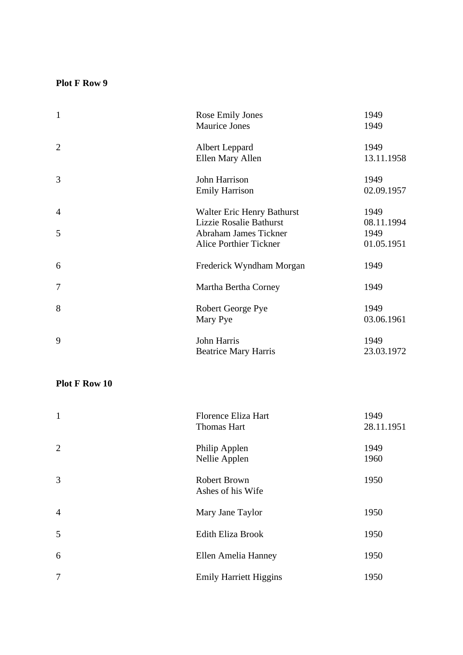| $\mathbf{1}$   | Rose Emily Jones              | 1949       |
|----------------|-------------------------------|------------|
|                | Maurice Jones                 | 1949       |
| $\overline{2}$ | Albert Leppard                | 1949       |
|                | Ellen Mary Allen              | 13.11.1958 |
| 3              | John Harrison                 | 1949       |
|                | <b>Emily Harrison</b>         | 02.09.1957 |
| $\overline{4}$ | Walter Eric Henry Bathurst    | 1949       |
|                | Lizzie Rosalie Bathurst       | 08.11.1994 |
| 5              | Abraham James Tickner         | 1949       |
|                | <b>Alice Porthier Tickner</b> | 01.05.1951 |
| 6              | Frederick Wyndham Morgan      | 1949       |
| $\overline{7}$ | Martha Bertha Corney          | 1949       |
| 8              | Robert George Pye             | 1949       |
|                | Mary Pye                      | 03.06.1961 |
| 9              | John Harris                   | 1949       |
|                | <b>Beatrice Mary Harris</b>   | 23.03.1972 |
|                |                               |            |

| $\mathbf{1}$   | Florence Eliza Hart<br><b>Thomas Hart</b> | 1949<br>28.11.1951 |
|----------------|-------------------------------------------|--------------------|
| $\overline{2}$ | Philip Applen<br>Nellie Applen            | 1949<br>1960       |
| 3              | <b>Robert Brown</b><br>Ashes of his Wife  | 1950               |
| $\overline{4}$ | Mary Jane Taylor                          | 1950               |
| 5              | <b>Edith Eliza Brook</b>                  | 1950               |
| 6              | Ellen Amelia Hanney                       | 1950               |
| $\tau$         | <b>Emily Harriett Higgins</b>             | 1950               |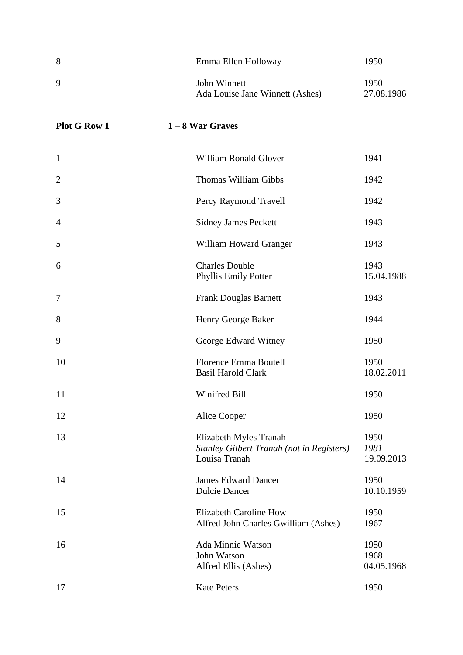| 8                   | Emma Ellen Holloway                                                                         | 1950                       |
|---------------------|---------------------------------------------------------------------------------------------|----------------------------|
| 9                   | John Winnett<br>Ada Louise Jane Winnett (Ashes)                                             | 1950<br>27.08.1986         |
| <b>Plot G Row 1</b> | $1 - 8$ War Graves                                                                          |                            |
| $\mathbf{1}$        | <b>William Ronald Glover</b>                                                                | 1941                       |
| $\overline{2}$      | <b>Thomas William Gibbs</b>                                                                 | 1942                       |
| 3                   | Percy Raymond Travell                                                                       | 1942                       |
| 4                   | <b>Sidney James Peckett</b>                                                                 | 1943                       |
| 5                   | William Howard Granger                                                                      | 1943                       |
| 6                   | <b>Charles Double</b><br>Phyllis Emily Potter                                               | 1943<br>15.04.1988         |
| $\boldsymbol{7}$    | <b>Frank Douglas Barnett</b>                                                                | 1943                       |
| 8                   | Henry George Baker                                                                          | 1944                       |
| 9                   | George Edward Witney                                                                        | 1950                       |
| 10                  | <b>Florence Emma Boutell</b><br><b>Basil Harold Clark</b>                                   | 1950<br>18.02.2011         |
| 11                  | Winifred Bill                                                                               | 1950                       |
| 12                  | Alice Cooper                                                                                | 1950                       |
| 13                  | Elizabeth Myles Tranah<br><b>Stanley Gilbert Tranah (not in Registers)</b><br>Louisa Tranah | 1950<br>1981<br>19.09.2013 |
| 14                  | <b>James Edward Dancer</b><br><b>Dulcie Dancer</b>                                          | 1950<br>10.10.1959         |
| 15                  | <b>Elizabeth Caroline How</b><br>Alfred John Charles Gwilliam (Ashes)                       | 1950<br>1967               |
| 16                  | Ada Minnie Watson<br>John Watson<br>Alfred Ellis (Ashes)                                    | 1950<br>1968<br>04.05.1968 |
| 17                  | <b>Kate Peters</b>                                                                          | 1950                       |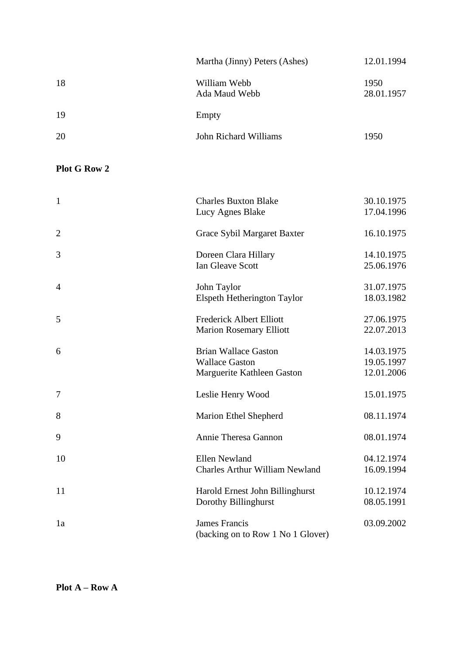|    | Martha (Jinny) Peters (Ashes) | 12.01.1994         |
|----|-------------------------------|--------------------|
| 18 | William Webb<br>Ada Maud Webb | 1950<br>28.01.1957 |
| 19 | Empty                         |                    |
| 20 | John Richard Williams         | 1950               |
|    |                               |                    |

## **Plot G Row 2**

| $\mathbf{1}$   | <b>Charles Buxton Blake</b><br>Lucy Agnes Blake                                    | 30.10.1975<br>17.04.1996               |
|----------------|------------------------------------------------------------------------------------|----------------------------------------|
| $\overline{2}$ | Grace Sybil Margaret Baxter                                                        | 16.10.1975                             |
| 3              | Doreen Clara Hillary<br>Ian Gleave Scott                                           | 14.10.1975<br>25.06.1976               |
| $\overline{4}$ | John Taylor<br>Elspeth Hetherington Taylor                                         | 31.07.1975<br>18.03.1982               |
| 5              | <b>Frederick Albert Elliott</b><br><b>Marion Rosemary Elliott</b>                  | 27.06.1975<br>22.07.2013               |
| 6              | <b>Brian Wallace Gaston</b><br><b>Wallace Gaston</b><br>Marguerite Kathleen Gaston | 14.03.1975<br>19.05.1997<br>12.01.2006 |
| 7              | Leslie Henry Wood                                                                  | 15.01.1975                             |
| 8              | <b>Marion Ethel Shepherd</b>                                                       | 08.11.1974                             |
| 9              | Annie Theresa Gannon                                                               | 08.01.1974                             |
| 10             | <b>Ellen Newland</b><br>Charles Arthur William Newland                             | 04.12.1974<br>16.09.1994               |
| 11             | Harold Ernest John Billinghurst<br>Dorothy Billinghurst                            | 10.12.1974<br>08.05.1991               |
| 1a             | <b>James Francis</b><br>(backing on to Row 1 No 1 Glover)                          | 03.09.2002                             |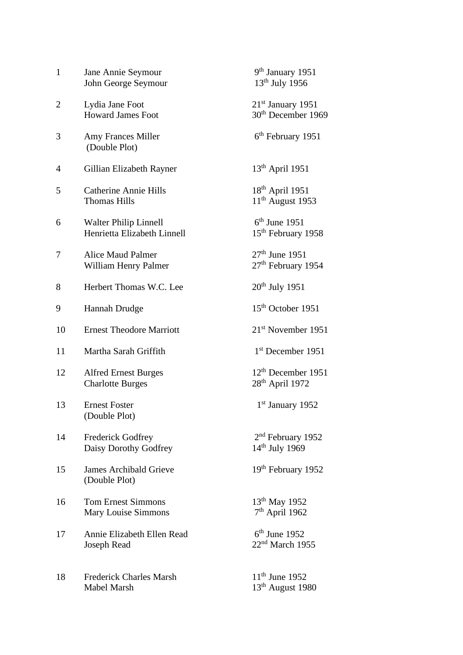| $\mathbf{1}$ | Jane Annie Seymour<br>John George Seymour                   | 9 <sup>th</sup> January 1951<br>$13^{th}$ July 1956          |
|--------------|-------------------------------------------------------------|--------------------------------------------------------------|
| 2            | Lydia Jane Foot<br><b>Howard James Foot</b>                 | $21st$ January 1951<br>30 <sup>th</sup> December 1969        |
| 3            | <b>Amy Frances Miller</b><br>(Double Plot)                  | 6 <sup>th</sup> February 1951                                |
| 4            | Gillian Elizabeth Rayner                                    | $13th$ April 1951                                            |
| 5            | <b>Catherine Annie Hills</b><br><b>Thomas Hills</b>         | 18 <sup>th</sup> April 1951<br>$11th$ August 1953            |
| 6            | <b>Walter Philip Linnell</b><br>Henrietta Elizabeth Linnell | $6th$ June 1951<br>15 <sup>th</sup> February 1958            |
| 7            | <b>Alice Maud Palmer</b><br>William Henry Palmer            | 27 <sup>th</sup> June 1951<br>27 <sup>th</sup> February 1954 |
| 8            | Herbert Thomas W.C. Lee                                     | $20th$ July 1951                                             |
| 9            | Hannah Drudge                                               | 15 <sup>th</sup> October 1951                                |
| 10           | <b>Ernest Theodore Marriott</b>                             | 21 <sup>st</sup> November 1951                               |
| 11           | Martha Sarah Griffith                                       | $1st$ December 1951                                          |
| 12           | <b>Alfred Ernest Burges</b><br><b>Charlotte Burges</b>      | $12th$ December 1951<br>28 <sup>th</sup> April 1972          |
| 13           | <b>Ernest Foster</b><br>(Double Plot)                       | 1 <sup>st</sup> January 1952                                 |
| 14           | <b>Frederick Godfrey</b><br>Daisy Dorothy Godfrey           | 2 <sup>nd</sup> February 1952<br>$14^{th}$ July 1969         |
| 15           | <b>James Archibald Grieve</b><br>(Double Plot)              | 19 <sup>th</sup> February 1952                               |
| 16           | <b>Tom Ernest Simmons</b><br>Mary Louise Simmons            | 13 <sup>th</sup> May 1952<br>7 <sup>th</sup> April 1962      |
| 17           | Annie Elizabeth Ellen Read<br><b>Joseph Read</b>            | $6th$ June 1952<br>$22nd$ March 1955                         |
| 18           | <b>Frederick Charles Marsh</b><br>Mabel Marsh               | $11^{th}$ June 1952<br>$13th$ August 1980                    |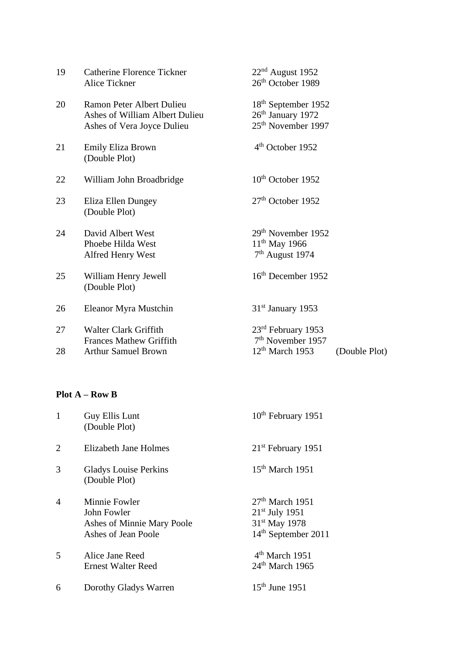| 19 | <b>Catherine Florence Tickner</b><br>Alice Tickner                                        | $22nd$ August 1952<br>26 <sup>th</sup> October 1989                                      |               |
|----|-------------------------------------------------------------------------------------------|------------------------------------------------------------------------------------------|---------------|
| 20 | Ramon Peter Albert Dulieu<br>Ashes of William Albert Dulieu<br>Ashes of Vera Joyce Dulieu | 18 <sup>th</sup> September 1952<br>$26th$ January 1972<br>25 <sup>th</sup> November 1997 |               |
| 21 | Emily Eliza Brown<br>(Double Plot)                                                        | 4 <sup>th</sup> October 1952                                                             |               |
| 22 | William John Broadbridge                                                                  | $10th$ October 1952                                                                      |               |
| 23 | Eliza Ellen Dungey<br>(Double Plot)                                                       | $27th$ October 1952                                                                      |               |
| 24 | David Albert West<br>Phoebe Hilda West<br>Alfred Henry West                               | 29 <sup>th</sup> November 1952<br>$11^{th}$ May 1966<br>$7th$ August 1974                |               |
| 25 | William Henry Jewell<br>(Double Plot)                                                     | 16 <sup>th</sup> December 1952                                                           |               |
| 26 | Eleanor Myra Mustchin                                                                     | $31st$ January 1953                                                                      |               |
| 27 | <b>Walter Clark Griffith</b><br><b>Frances Mathew Griffith</b>                            | $23rd$ February 1953<br>7 <sup>th</sup> November 1957                                    |               |
| 28 | <b>Arthur Samuel Brown</b>                                                                | $12th$ March 1953                                                                        | (Double Plot) |

### **Plot A – Row B**

| 1              | Guy Ellis Lunt<br>(Double Plot)                                                   | 10 <sup>th</sup> February 1951                                                                        |
|----------------|-----------------------------------------------------------------------------------|-------------------------------------------------------------------------------------------------------|
| $\overline{2}$ | Elizabeth Jane Holmes                                                             | 21 <sup>st</sup> February 1951                                                                        |
| 3              | <b>Gladys Louise Perkins</b><br>(Double Plot)                                     | $15th$ March 1951                                                                                     |
| $\overline{4}$ | Minnie Fowler<br>John Fowler<br>Ashes of Minnie Mary Poole<br>Ashes of Jean Poole | $27th$ March 1951<br>$21st$ July 1951<br>31 <sup>st</sup> May 1978<br>14 <sup>th</sup> September 2011 |
| 5              | Alice Jane Reed<br><b>Ernest Walter Reed</b>                                      | 4 <sup>th</sup> March 1951<br>24 <sup>th</sup> March 1965                                             |
| 6              | Dorothy Gladys Warren                                                             | $15th$ June 1951                                                                                      |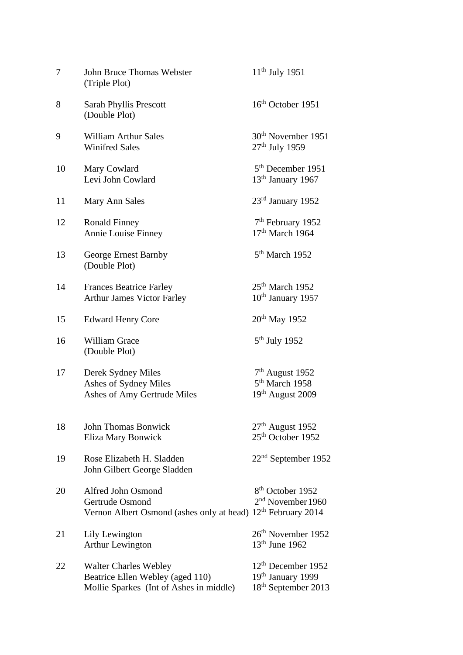| 7  | John Bruce Thomas Webster<br>(Triple Plot)                                                                        | $11^{th}$ July 1951                                                                      |
|----|-------------------------------------------------------------------------------------------------------------------|------------------------------------------------------------------------------------------|
| 8  | <b>Sarah Phyllis Prescott</b><br>(Double Plot)                                                                    | 16 <sup>th</sup> October 1951                                                            |
| 9  | <b>William Arthur Sales</b><br><b>Winifred Sales</b>                                                              | 30 <sup>th</sup> November 1951<br>$27th$ July 1959                                       |
| 10 | Mary Cowlard<br>Levi John Cowlard                                                                                 | 5 <sup>th</sup> December 1951<br>13 <sup>th</sup> January 1967                           |
| 11 | Mary Ann Sales                                                                                                    | $23rd$ January 1952                                                                      |
| 12 | <b>Ronald Finney</b><br>Annie Louise Finney                                                                       | $7th$ February 1952<br>$17th$ March 1964                                                 |
| 13 | <b>George Ernest Barnby</b><br>(Double Plot)                                                                      | $5th$ March 1952                                                                         |
| 14 | <b>Frances Beatrice Farley</b><br><b>Arthur James Victor Farley</b>                                               | $25th$ March 1952<br>10 <sup>th</sup> January 1957                                       |
| 15 | <b>Edward Henry Core</b>                                                                                          | $20^{th}$ May 1952                                                                       |
| 16 | <b>William Grace</b><br>(Double Plot)                                                                             | $5th$ July 1952                                                                          |
| 17 | Derek Sydney Miles<br>Ashes of Sydney Miles<br>Ashes of Amy Gertrude Miles                                        | $7th$ August 1952<br>5 <sup>th</sup> March 1958<br>$19th$ August 2009                    |
| 18 | <b>John Thomas Bonwick</b><br>Eliza Mary Bonwick                                                                  | $27th$ August 1952<br>25 <sup>th</sup> October 1952                                      |
| 19 | Rose Elizabeth H. Sladden<br>John Gilbert George Sladden                                                          | $22nd$ September 1952                                                                    |
| 20 | Alfred John Osmond<br>Gertrude Osmond<br>Vernon Albert Osmond (ashes only at head) 12 <sup>th</sup> February 2014 | 8 <sup>th</sup> October 1952<br>2 <sup>nd</sup> November 1960                            |
| 21 | Lily Lewington<br><b>Arthur Lewington</b>                                                                         | 26 <sup>th</sup> November 1952<br>$13th$ June 1962                                       |
| 22 | Walter Charles Webley<br>Beatrice Ellen Webley (aged 110)<br>Mollie Sparkes (Int of Ashes in middle)              | $12th$ December 1952<br>19 <sup>th</sup> January 1999<br>18 <sup>th</sup> September 2013 |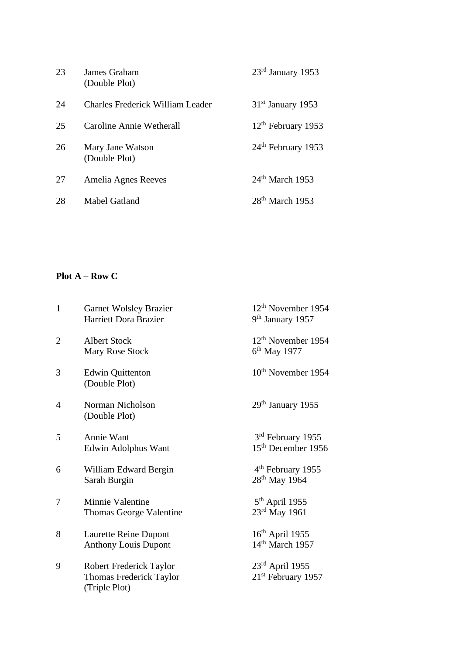| 23 | James Graham<br>(Double Plot)           | $23rd$ January 1953            |
|----|-----------------------------------------|--------------------------------|
| 24 | <b>Charles Frederick William Leader</b> | $31st$ January 1953            |
| 25 | Caroline Annie Wetherall                | $12th$ February 1953           |
| 26 | Mary Jane Watson<br>(Double Plot)       | 24 <sup>th</sup> February 1953 |
| 27 | Amelia Agnes Reeves                     | $24th$ March 1953              |
| 28 | Mabel Gatland                           | $28th$ March 1953              |

## **Plot A – Row C**

| $\mathbf{1}$   | <b>Garnet Wolsley Brazier</b><br>Harriett Dora Brazier              | 12 <sup>th</sup> November 1954<br>9 <sup>th</sup> January 1957 |
|----------------|---------------------------------------------------------------------|----------------------------------------------------------------|
| $\overline{2}$ | <b>Albert Stock</b><br>Mary Rose Stock                              | $12th$ November 1954<br>$6th$ May 1977                         |
| 3              | <b>Edwin Quittenton</b><br>(Double Plot)                            | 10 <sup>th</sup> November 1954                                 |
| 4              | Norman Nicholson<br>(Double Plot)                                   | $29th$ January 1955                                            |
| 5              | Annie Want<br>Edwin Adolphus Want                                   | 3rd February 1955<br>15 <sup>th</sup> December 1956            |
| 6              | William Edward Bergin<br>Sarah Burgin                               | 4 <sup>th</sup> February 1955<br>28 <sup>th</sup> May 1964     |
| 7              | Minnie Valentine<br>Thomas George Valentine                         | $5th$ April 1955<br>23rd May 1961                              |
| 8              | Laurette Reine Dupont<br><b>Anthony Louis Dupont</b>                | $16th$ April 1955<br>14 <sup>th</sup> March 1957               |
| 9              | Robert Frederick Taylor<br>Thomas Frederick Taylor<br>(Triple Plot) | $23rd$ April 1955<br>21st February 1957                        |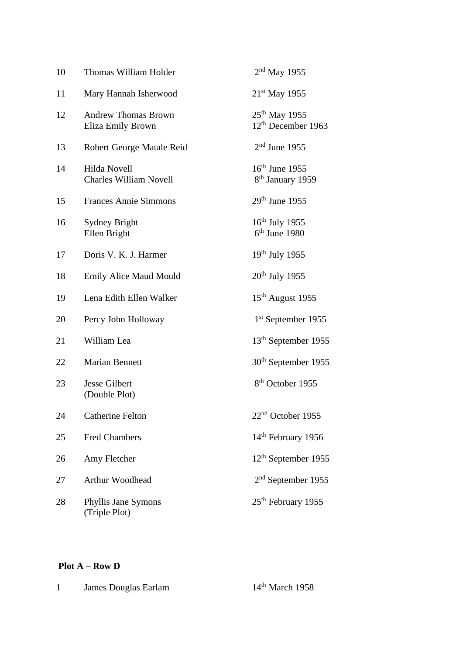| 10 | Thomas William Holder                           | $2nd$ May 1955                                              |
|----|-------------------------------------------------|-------------------------------------------------------------|
| 11 | Mary Hannah Isherwood                           | 21 <sup>st</sup> May 1955                                   |
| 12 | <b>Andrew Thomas Brown</b><br>Eliza Emily Brown | 25 <sup>th</sup> May 1955<br>12 <sup>th</sup> December 1963 |
| 13 | Robert George Matale Reid                       | $2nd$ June 1955                                             |
| 14 | Hilda Novell<br><b>Charles William Novell</b>   | $16th$ June 1955<br>8 <sup>th</sup> January 1959            |
| 15 | <b>Frances Annie Simmons</b>                    | $29th$ June 1955                                            |
| 16 | <b>Sydney Bright</b><br>Ellen Bright            | $16th$ July 1955<br>$6th$ June 1980                         |
| 17 | Doris V. K. J. Harmer                           | $19th$ July 1955                                            |
| 18 | <b>Emily Alice Maud Mould</b>                   | $20th$ July 1955                                            |
| 19 | Lena Edith Ellen Walker                         | 15 <sup>th</sup> August 1955                                |
| 20 | Percy John Holloway                             | $1st$ September 1955                                        |
| 21 | William Lea                                     | 13 <sup>th</sup> September 1955                             |
| 22 | <b>Marian Bennett</b>                           | 30 <sup>th</sup> September 1955                             |
| 23 | <b>Jesse Gilbert</b><br>(Double Plot)           | 8 <sup>th</sup> October 1955                                |
| 24 | <b>Catherine Felton</b>                         | $22nd$ October 1955                                         |
| 25 | <b>Fred Chambers</b>                            | 14 <sup>th</sup> February 1956                              |
| 26 | Amy Fletcher                                    | 12 <sup>th</sup> September 1955                             |
| 27 | Arthur Woodhead                                 | 2 <sup>nd</sup> September 1955                              |
| 28 | Phyllis Jane Symons<br>(Triple Plot)            | 25 <sup>th</sup> February 1955                              |

### **Plot A – Row D**

| James Douglas Earlam | $14th$ March 1958 |
|----------------------|-------------------|
|----------------------|-------------------|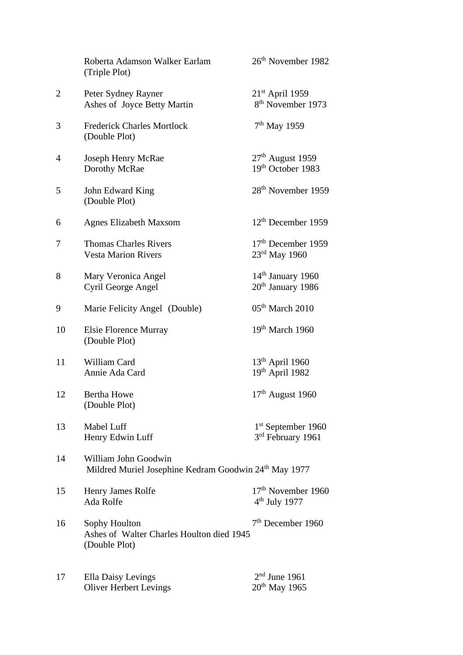|                | Roberta Adamson Walker Earlam<br>(Triple Plot)                                | 26 <sup>th</sup> November 1982                                  |
|----------------|-------------------------------------------------------------------------------|-----------------------------------------------------------------|
| $\overline{2}$ | Peter Sydney Rayner<br>Ashes of Joyce Betty Martin                            | $21st$ April 1959<br>8 <sup>th</sup> November 1973              |
| 3              | <b>Frederick Charles Mortlock</b><br>(Double Plot)                            | $7th$ May 1959                                                  |
| $\overline{4}$ | Joseph Henry McRae<br>Dorothy McRae                                           | $27th$ August 1959<br>19th October 1983                         |
| 5              | John Edward King<br>(Double Plot)                                             | 28 <sup>th</sup> November 1959                                  |
| 6              | <b>Agnes Elizabeth Maxsom</b>                                                 | $12th$ December 1959                                            |
| 7              | <b>Thomas Charles Rivers</b><br><b>Vesta Marion Rivers</b>                    | 17 <sup>th</sup> December 1959<br>23rd May 1960                 |
| 8              | Mary Veronica Angel<br>Cyril George Angel                                     | 14 <sup>th</sup> January 1960<br>20 <sup>th</sup> January 1986  |
| 9              | Marie Felicity Angel (Double)                                                 | $05th$ March 2010                                               |
| 10             | <b>Elsie Florence Murray</b><br>(Double Plot)                                 | $19th$ March 1960                                               |
| 11             | William Card<br>Annie Ada Card                                                | $13th$ April 1960<br>$19^{th}$ April 1982                       |
| 12             | <b>Bertha Howe</b><br>(Double Plot)                                           | $17th$ August 1960                                              |
| 13             | Mabel Luff<br>Henry Edwin Luff                                                | 1 <sup>st</sup> September 1960<br>3 <sup>rd</sup> February 1961 |
| 14             | William John Goodwin<br>Mildred Muriel Josephine Kedram Goodwin 24th May 1977 |                                                                 |
| 15             | Henry James Rolfe<br>Ada Rolfe                                                | 17 <sup>th</sup> November 1960<br>$4th$ July 1977               |
| 16             | Sophy Houlton<br>Ashes of Walter Charles Houlton died 1945<br>(Double Plot)   | 7 <sup>th</sup> December 1960                                   |
| 17             | <b>Ella Daisy Levings</b><br><b>Oliver Herbert Levings</b>                    | $2nd$ June 1961<br>$20^{th}$ May 1965                           |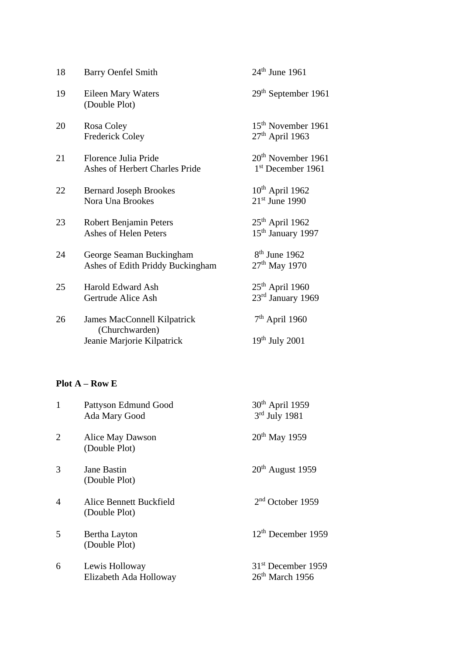| 18 | <b>Barry Oenfel Smith</b>                                    | $24th$ June 1961                                      |
|----|--------------------------------------------------------------|-------------------------------------------------------|
| 19 | Eileen Mary Waters<br>(Double Plot)                          | $29th$ September 1961                                 |
| 20 | Rosa Coley<br><b>Frederick Coley</b>                         | 15 <sup>th</sup> November 1961<br>$27th$ April 1963   |
| 21 | Florence Julia Pride<br>Ashes of Herbert Charles Pride       | 20 <sup>th</sup> November 1961<br>$1st$ December 1961 |
| 22 | <b>Bernard Joseph Brookes</b><br>Nora Una Brookes            | $10th$ April 1962<br>$21st$ June 1990                 |
| 23 | Robert Benjamin Peters<br>Ashes of Helen Peters              | $25th$ April 1962<br>15 <sup>th</sup> January 1997    |
| 24 | George Seaman Buckingham<br>Ashes of Edith Priddy Buckingham | $8th$ June 1962<br>$27th$ May 1970                    |
| 25 | <b>Harold Edward Ash</b><br>Gertrude Alice Ash               | $25th$ April 1960<br>23rd January 1969                |
| 26 | James MacConnell Kilpatrick<br>(Churchwarden)                | $7th$ April 1960                                      |
|    | Jeanie Marjorie Kilpatrick                                   | $19th$ July 2001                                      |

# **Plot A – Row E**

| 1              | Pattyson Edmund Good<br>Ada Mary Good    | 30 <sup>th</sup> April 1959<br>$3rd$ July 1981      |
|----------------|------------------------------------------|-----------------------------------------------------|
| $\overline{2}$ | Alice May Dawson<br>(Double Plot)        | $20^{th}$ May 1959                                  |
| 3              | Jane Bastin<br>(Double Plot)             | $20th$ August 1959                                  |
| $\overline{4}$ | Alice Bennett Buckfield<br>(Double Plot) | $2nd$ October 1959                                  |
| 5              | Bertha Layton<br>(Double Plot)           | 12 <sup>th</sup> December 1959                      |
| 6              | Lewis Holloway<br>Elizabeth Ada Holloway | 31 <sup>st</sup> December 1959<br>$26th$ March 1956 |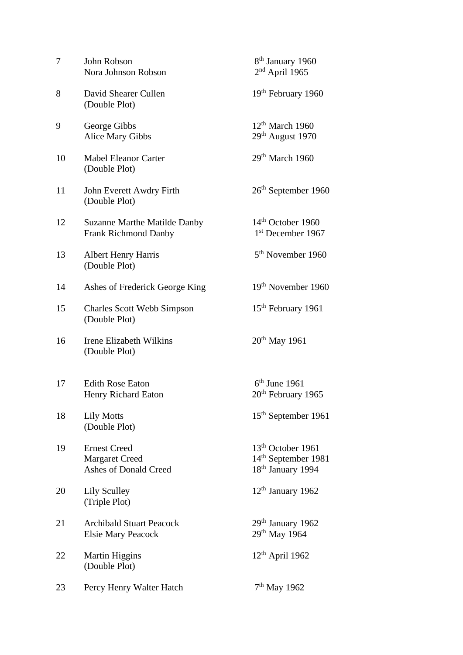| 7  | John Robson<br>Nora Johnson Robson                                    | 8 <sup>th</sup> January 1960<br>$2nd$ April 1965                                                  |
|----|-----------------------------------------------------------------------|---------------------------------------------------------------------------------------------------|
| 8  | David Shearer Cullen<br>(Double Plot)                                 | 19 <sup>th</sup> February 1960                                                                    |
| 9  | George Gibbs<br>Alice Mary Gibbs                                      | $12th$ March 1960<br>$29th$ August 1970                                                           |
| 10 | <b>Mabel Eleanor Carter</b><br>(Double Plot)                          | $29th$ March 1960                                                                                 |
| 11 | John Everett Awdry Firth<br>(Double Plot)                             | $26th$ September 1960                                                                             |
| 12 | <b>Suzanne Marthe Matilde Danby</b><br><b>Frank Richmond Danby</b>    | $14th$ October 1960<br>1 <sup>st</sup> December 1967                                              |
| 13 | <b>Albert Henry Harris</b><br>(Double Plot)                           | 5 <sup>th</sup> November 1960                                                                     |
| 14 | Ashes of Frederick George King                                        | 19 <sup>th</sup> November 1960                                                                    |
| 15 | <b>Charles Scott Webb Simpson</b><br>(Double Plot)                    | 15 <sup>th</sup> February 1961                                                                    |
| 16 | Irene Elizabeth Wilkins<br>(Double Plot)                              | $20^{th}$ May 1961                                                                                |
| 17 | <b>Edith Rose Eaton</b><br>Henry Richard Eaton                        | $6th$ June 1961<br>20 <sup>th</sup> February 1965                                                 |
| 18 | <b>Lily Motts</b><br>(Double Plot)                                    | 15 <sup>th</sup> September 1961                                                                   |
| 19 | <b>Ernest Creed</b><br><b>Margaret Creed</b><br>Ashes of Donald Creed | 13 <sup>th</sup> October 1961<br>14 <sup>th</sup> September 1981<br>18 <sup>th</sup> January 1994 |
| 20 | <b>Lily Sculley</b><br>(Triple Plot)                                  | $12th$ January 1962                                                                               |
| 21 | <b>Archibald Stuart Peacock</b><br><b>Elsie Mary Peacock</b>          | $29th$ January 1962<br>29 <sup>th</sup> May 1964                                                  |
| 22 | <b>Martin Higgins</b><br>(Double Plot)                                | $12th$ April 1962                                                                                 |
| 23 | Percy Henry Walter Hatch                                              | $7th$ May 1962                                                                                    |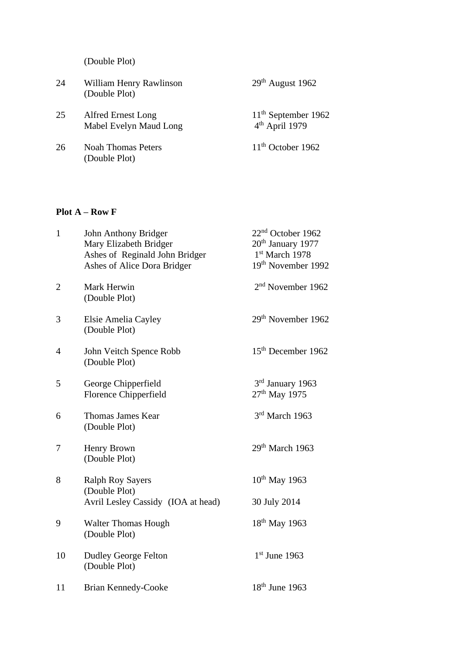(Double Plot)

| 24 | William Henry Rawlinson<br>(Double Plot)     | $29th$ August 1962                                  |
|----|----------------------------------------------|-----------------------------------------------------|
| 25 | Alfred Ernest Long<br>Mabel Evelyn Maud Long | $11th$ September 1962<br>4 <sup>th</sup> April 1979 |
| 26 | Noah Thomas Peters<br>(Double Plot)          | $11th$ October 1962                                 |

### **Plot A – Row F**

| $\mathbf{1}$   | John Anthony Bridger<br>Mary Elizabeth Bridger<br>Ashes of Reginald John Bridger<br>Ashes of Alice Dora Bridger | 22 <sup>nd</sup> October 1962<br>20 <sup>th</sup> January 1977<br>1st March 1978<br>19 <sup>th</sup> November 1992 |
|----------------|-----------------------------------------------------------------------------------------------------------------|--------------------------------------------------------------------------------------------------------------------|
| $\overline{c}$ | Mark Herwin<br>(Double Plot)                                                                                    | 2 <sup>nd</sup> November 1962                                                                                      |
| 3              | Elsie Amelia Cayley<br>(Double Plot)                                                                            | 29 <sup>th</sup> November 1962                                                                                     |
| 4              | John Veitch Spence Robb<br>(Double Plot)                                                                        | 15 <sup>th</sup> December 1962                                                                                     |
| 5              | George Chipperfield<br>Florence Chipperfield                                                                    | 3rd January 1963<br>27 <sup>th</sup> May 1975                                                                      |
| 6              | Thomas James Kear<br>(Double Plot)                                                                              | 3rd March 1963                                                                                                     |
| 7              | Henry Brown<br>(Double Plot)                                                                                    | 29 <sup>th</sup> March 1963                                                                                        |
| 8              | <b>Ralph Roy Sayers</b><br>(Double Plot)<br>Avril Lesley Cassidy (IOA at head)                                  | $10^{th}$ May 1963<br>30 July 2014                                                                                 |
| 9              | <b>Walter Thomas Hough</b><br>(Double Plot)                                                                     | 18 <sup>th</sup> May 1963                                                                                          |
| 10             | Dudley George Felton<br>(Double Plot)                                                                           | $1st$ June 1963                                                                                                    |
| 11             | Brian Kennedy-Cooke                                                                                             | $18th$ June 1963                                                                                                   |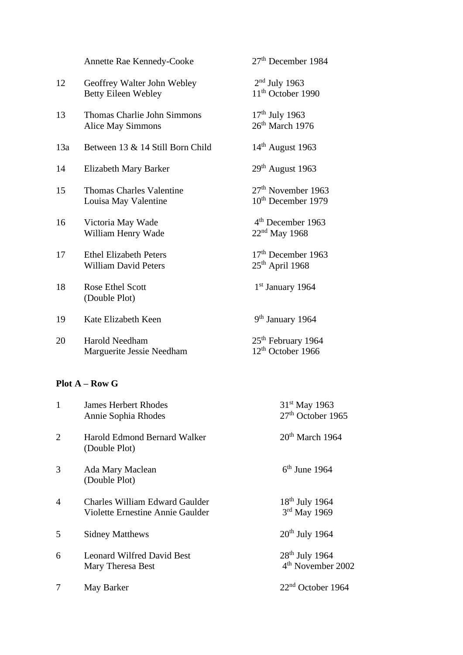|     | Annette Rae Kennedy-Cooke                                    | 27 <sup>th</sup> December 1984                                   |
|-----|--------------------------------------------------------------|------------------------------------------------------------------|
| 12  | Geoffrey Walter John Webley<br><b>Betty Eileen Webley</b>    | $2nd$ July 1963<br>11 <sup>th</sup> October 1990                 |
| 13  | <b>Thomas Charlie John Simmons</b><br>Alice May Simmons      | $17th$ July 1963<br>26 <sup>th</sup> March 1976                  |
| 13a | Between 13 & 14 Still Born Child                             | $14th$ August 1963                                               |
| 14  | Elizabeth Mary Barker                                        | $29th$ August 1963                                               |
| 15  | <b>Thomas Charles Valentine</b><br>Louisa May Valentine      | 27 <sup>th</sup> November 1963<br>10 <sup>th</sup> December 1979 |
| 16  | Victoria May Wade<br>William Henry Wade                      | 4 <sup>th</sup> December 1963<br>$22nd$ May 1968                 |
| 17  | <b>Ethel Elizabeth Peters</b><br><b>William David Peters</b> | 17 <sup>th</sup> December 1963<br>$25th$ April 1968              |
| 18  | Rose Ethel Scott<br>(Double Plot)                            | $1st$ January 1964                                               |
| 19  | Kate Elizabeth Keen                                          | 9 <sup>th</sup> January 1964                                     |
| 20  | <b>Harold Needham</b><br>Marguerite Jessie Needham           | 25 <sup>th</sup> February 1964<br>12 <sup>th</sup> October 1966  |

## **Plot A – Row G**

| 1              | <b>James Herbert Rhodes</b><br>Annie Sophia Rhodes                        | 31 <sup>st</sup> May 1963<br>$27th$ October 1965  |
|----------------|---------------------------------------------------------------------------|---------------------------------------------------|
| $\overline{2}$ | Harold Edmond Bernard Walker<br>(Double Plot)                             | $20th$ March 1964                                 |
| 3              | Ada Mary Maclean<br>(Double Plot)                                         | $6th$ June 1964                                   |
| $\overline{4}$ | <b>Charles William Edward Gaulder</b><br>Violette Ernestine Annie Gaulder | $18th$ July 1964<br>3rd May 1969                  |
| 5              | <b>Sidney Matthews</b>                                                    | $20th$ July 1964                                  |
| 6              | <b>Leonard Wilfred David Best</b><br>Mary Theresa Best                    | $28th$ July 1964<br>4 <sup>th</sup> November 2002 |
| 7              | May Barker                                                                | $22nd$ October 1964                               |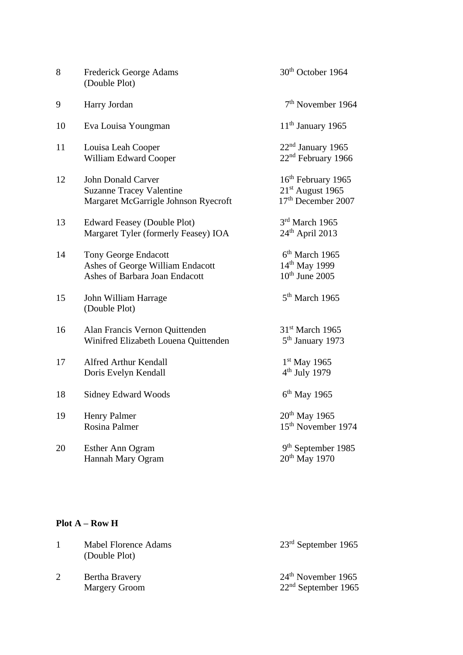| 8  | <b>Frederick George Adams</b><br>(Double Plot)                                                       | 30 <sup>th</sup> October 1964                                                                    |
|----|------------------------------------------------------------------------------------------------------|--------------------------------------------------------------------------------------------------|
| 9  | Harry Jordan                                                                                         | $7th$ November 1964                                                                              |
| 10 | Eva Louisa Youngman                                                                                  | $11th$ January 1965                                                                              |
| 11 | Louisa Leah Cooper<br>William Edward Cooper                                                          | 22 <sup>nd</sup> January 1965<br>22 <sup>nd</sup> February 1966                                  |
| 12 | <b>John Donald Carver</b><br><b>Suzanne Tracey Valentine</b><br>Margaret McGarrigle Johnson Ryecroft | 16 <sup>th</sup> February 1965<br>21 <sup>st</sup> August 1965<br>17 <sup>th</sup> December 2007 |
| 13 | <b>Edward Feasey (Double Plot)</b><br>Margaret Tyler (formerly Feasey) IOA                           | 3rd March 1965<br>$24th$ April 2013                                                              |
| 14 | <b>Tony George Endacott</b><br>Ashes of George William Endacott<br>Ashes of Barbara Joan Endacott    | 6 <sup>th</sup> March 1965<br>14 <sup>th</sup> May 1999<br>$10th$ June 2005                      |
| 15 | John William Harrage<br>(Double Plot)                                                                | 5 <sup>th</sup> March 1965                                                                       |
| 16 | Alan Francis Vernon Quittenden<br>Winifred Elizabeth Louena Quittenden                               | 31 <sup>st</sup> March 1965<br>5 <sup>th</sup> January 1973                                      |
| 17 | <b>Alfred Arthur Kendall</b><br>Doris Evelyn Kendall                                                 | 1 <sup>st</sup> May 1965<br>$4th$ July 1979                                                      |
| 18 | <b>Sidney Edward Woods</b>                                                                           | $6th$ May 1965                                                                                   |
| 19 | <b>Henry Palmer</b><br>Rosina Palmer                                                                 | $20th$ May 1965<br>15 <sup>th</sup> November 1974                                                |
| 20 | Esther Ann Ogram<br>Hannah Mary Ogram                                                                | 9 <sup>th</sup> September 1985<br>20 <sup>th</sup> May 1970                                      |

# **Plot A – Row H**

| <b>Mabel Florence Adams</b><br>(Double Plot) | $23rd$ September 1965                         |
|----------------------------------------------|-----------------------------------------------|
| Bertha Bravery<br><b>Margery Groom</b>       | $24th$ November 1965<br>$22nd$ September 1965 |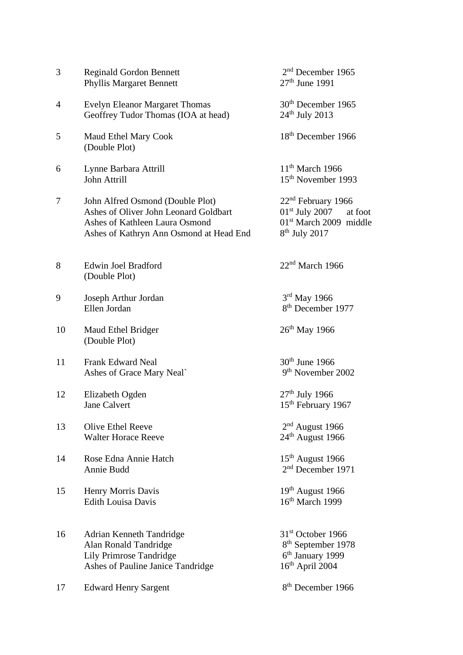| 3  | <b>Reginald Gordon Bennett</b><br><b>Phyllis Margaret Bennett</b>                                                                                      | 2 <sup>nd</sup> December 1965<br>$27th$ June 1991                                                                    |
|----|--------------------------------------------------------------------------------------------------------------------------------------------------------|----------------------------------------------------------------------------------------------------------------------|
| 4  | <b>Evelyn Eleanor Margaret Thomas</b><br>Geoffrey Tudor Thomas (IOA at head)                                                                           | 30 <sup>th</sup> December 1965<br>$24th$ July 2013                                                                   |
| 5  | Maud Ethel Mary Cook<br>(Double Plot)                                                                                                                  | 18 <sup>th</sup> December 1966                                                                                       |
| 6  | Lynne Barbara Attrill<br>John Attrill                                                                                                                  | $11th$ March 1966<br>15 <sup>th</sup> November 1993                                                                  |
| 7  | John Alfred Osmond (Double Plot)<br>Ashes of Oliver John Leonard Goldbart<br>Ashes of Kathleen Laura Osmond<br>Ashes of Kathryn Ann Osmond at Head End | $22nd$ February 1966<br>$01st$ July 2007<br>at foot<br>$01st$ March 2009 middle<br>$8th$ July 2017                   |
| 8  | Edwin Joel Bradford<br>(Double Plot)                                                                                                                   | $22nd$ March 1966                                                                                                    |
| 9  | Joseph Arthur Jordan<br>Ellen Jordan                                                                                                                   | $3rd$ May 1966<br>8 <sup>th</sup> December 1977                                                                      |
| 10 | Maud Ethel Bridger<br>(Double Plot)                                                                                                                    | 26 <sup>th</sup> May 1966                                                                                            |
| 11 | <b>Frank Edward Neal</b><br>Ashes of Grace Mary Neal`                                                                                                  | $30th$ June 1966<br>9 <sup>th</sup> November 2002                                                                    |
| 12 | Elizabeth Ogden<br><b>Jane Calvert</b>                                                                                                                 | $27th$ July 1966<br>15 <sup>th</sup> February 1967                                                                   |
| 13 | <b>Olive Ethel Reeve</b><br><b>Walter Horace Reeve</b>                                                                                                 | $2nd$ August 1966<br>24 <sup>th</sup> August 1966                                                                    |
| 14 | Rose Edna Annie Hatch<br>Annie Budd                                                                                                                    | $15th$ August 1966<br>2 <sup>nd</sup> December 1971                                                                  |
| 15 | Henry Morris Davis<br><b>Edith Louisa Davis</b>                                                                                                        | $19th$ August 1966<br>16 <sup>th</sup> March 1999                                                                    |
| 16 | Adrian Kenneth Tandridge<br>Alan Ronald Tandridge<br>Lily Primrose Tandridge<br>Ashes of Pauline Janice Tandridge                                      | 31 <sup>st</sup> October 1966<br>8 <sup>th</sup> September 1978<br>6 <sup>th</sup> January 1999<br>$16th$ April 2004 |
| 17 | <b>Edward Henry Sargent</b>                                                                                                                            | 8 <sup>th</sup> December 1966                                                                                        |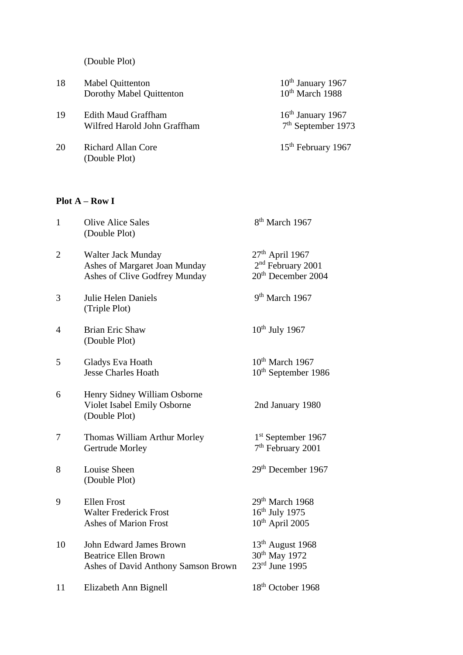(Double Plot)

| 18 | <b>Mabel Quittenton</b><br>Dorothy Mabel Quittenton        | $10th$ January 1967<br>$10^{th}$ March 1988 |
|----|------------------------------------------------------------|---------------------------------------------|
| 19 | <b>Edith Maud Graffham</b><br>Wilfred Harold John Graffham | $16th$ January 1967<br>$7th$ September 1973 |
| 20 | <b>Richard Allan Core</b><br>(Double Plot)                 | 15 <sup>th</sup> February 1967              |

# **Plot A – Row I**

| $\mathbf{1}$   | <b>Olive Alice Sales</b><br>(Double Plot)                                                     | 8 <sup>th</sup> March 1967                                                           |
|----------------|-----------------------------------------------------------------------------------------------|--------------------------------------------------------------------------------------|
| $\overline{2}$ | Walter Jack Munday<br>Ashes of Margaret Joan Munday<br>Ashes of Clive Godfrey Munday          | $27th$ April 1967<br>2 <sup>nd</sup> February 2001<br>20 <sup>th</sup> December 2004 |
| 3              | Julie Helen Daniels<br>(Triple Plot)                                                          | 9 <sup>th</sup> March 1967                                                           |
| 4              | <b>Brian Eric Shaw</b><br>(Double Plot)                                                       | $10^{th}$ July 1967                                                                  |
| 5              | Gladys Eva Hoath<br><b>Jesse Charles Hoath</b>                                                | 10 <sup>th</sup> March 1967<br>10 <sup>th</sup> September 1986                       |
| 6              | Henry Sidney William Osborne<br>Violet Isabel Emily Osborne<br>(Double Plot)                  | 2nd January 1980                                                                     |
| 7              | Thomas William Arthur Morley<br><b>Gertrude Morley</b>                                        | 1 <sup>st</sup> September 1967<br>7 <sup>th</sup> February 2001                      |
| 8              | Louise Sheen<br>(Double Plot)                                                                 | 29 <sup>th</sup> December 1967                                                       |
| 9              | <b>Ellen Frost</b><br><b>Walter Frederick Frost</b><br><b>Ashes of Marion Frost</b>           | 29th March 1968<br>$16^{\text{th}}$ July 1975<br>10 <sup>th</sup> April 2005         |
| 10             | John Edward James Brown<br><b>Beatrice Ellen Brown</b><br>Ashes of David Anthony Samson Brown | $13th$ August 1968<br>30 <sup>th</sup> May 1972<br>$23rd$ June 1995                  |
| 11             | Elizabeth Ann Bignell                                                                         | 18 <sup>th</sup> October 1968                                                        |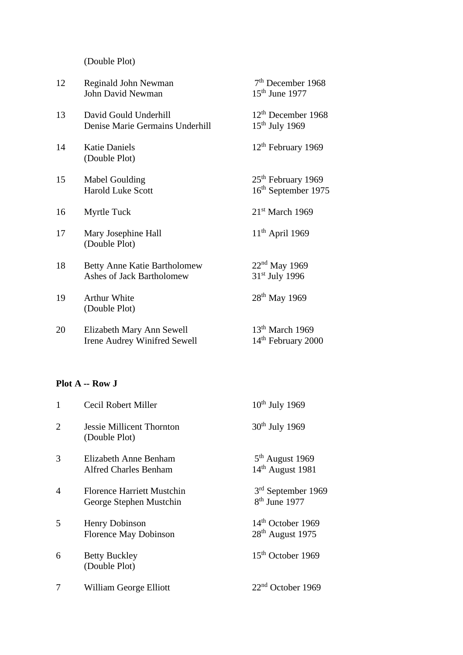(Double Plot)

| 12 | Reginald John Newman<br>John David Newman                               | $7th$ December 1968<br>$15th$ June 1977                           |
|----|-------------------------------------------------------------------------|-------------------------------------------------------------------|
| 13 | David Gould Underhill<br>Denise Marie Germains Underhill                | $12th$ December 1968<br>$15th$ July 1969                          |
| 14 | <b>Katie Daniels</b><br>(Double Plot)                                   | 12 <sup>th</sup> February 1969                                    |
| 15 | Mabel Goulding<br><b>Harold Luke Scott</b>                              | 25 <sup>th</sup> February 1969<br>16 <sup>th</sup> September 1975 |
| 16 | <b>Myrtle Tuck</b>                                                      | $21st$ March 1969                                                 |
| 17 | Mary Josephine Hall<br>(Double Plot)                                    | $11th$ April 1969                                                 |
| 18 | <b>Betty Anne Katie Bartholomew</b><br><b>Ashes of Jack Bartholomew</b> | $22nd$ May 1969<br>31 <sup>st</sup> July 1996                     |
| 19 | <b>Arthur White</b><br>(Double Plot)                                    | $28th$ May 1969                                                   |
| 20 | Elizabeth Mary Ann Sewell<br><b>Irene Audrey Winifred Sewell</b>        | $13th$ March 1969<br>14 <sup>th</sup> February 2000               |

## **Plot A -- Row J**

| $\mathbf{1}$   | Cecil Robert Miller                                          | $10^{th}$ July 1969                               |
|----------------|--------------------------------------------------------------|---------------------------------------------------|
| 2              | Jessie Millicent Thornton<br>(Double Plot)                   | $30th$ July 1969                                  |
| 3              | Elizabeth Anne Benham<br><b>Alfred Charles Benham</b>        | $5th$ August 1969<br>$14th$ August 1981           |
| $\overline{4}$ | <b>Florence Harriett Mustchin</b><br>George Stephen Mustchin | 3 <sup>rd</sup> September 1969<br>$8th$ June 1977 |
| 5              | <b>Henry Dobinson</b><br>Florence May Dobinson               | $14th$ October 1969<br>$28th$ August 1975         |
| 6              | <b>Betty Buckley</b><br>(Double Plot)                        | 15 <sup>th</sup> October 1969                     |
| 7              | William George Elliott                                       | $22nd$ October 1969                               |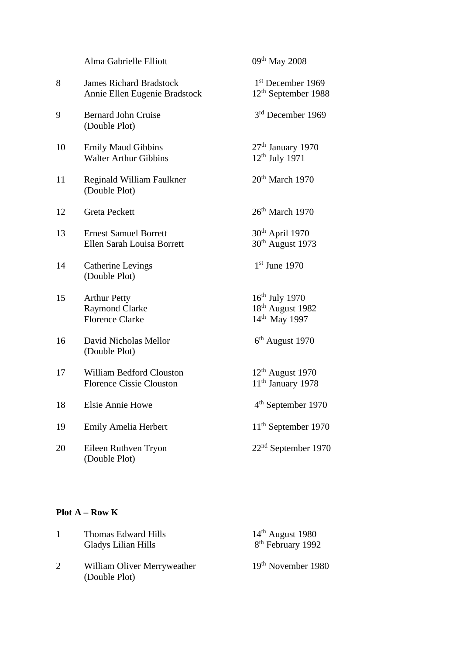|    | Alma Gabrielle Elliott                                                 | 09 <sup>th</sup> May 2008                                                     |
|----|------------------------------------------------------------------------|-------------------------------------------------------------------------------|
| 8  | <b>James Richard Bradstock</b><br>Annie Ellen Eugenie Bradstock        | $1st$ December 1969<br>$12th$ September 1988                                  |
| 9  | <b>Bernard John Cruise</b><br>(Double Plot)                            | 3 <sup>rd</sup> December 1969                                                 |
| 10 | <b>Emily Maud Gibbins</b><br><b>Walter Arthur Gibbins</b>              | $27th$ January 1970<br>12 <sup>th</sup> July 1971                             |
| 11 | Reginald William Faulkner<br>(Double Plot)                             | $20th$ March 1970                                                             |
| 12 | <b>Greta Peckett</b>                                                   | $26th$ March 1970                                                             |
| 13 | <b>Ernest Samuel Borrett</b><br>Ellen Sarah Louisa Borrett             | 30 <sup>th</sup> April 1970<br>30 <sup>th</sup> August 1973                   |
| 14 | <b>Catherine Levings</b><br>(Double Plot)                              | $1st$ June 1970                                                               |
| 15 | <b>Arthur Petty</b><br><b>Raymond Clarke</b><br><b>Florence Clarke</b> | $16th$ July 1970<br>18 <sup>th</sup> August 1982<br>14 <sup>th</sup> May 1997 |
| 16 | David Nicholas Mellor<br>(Double Plot)                                 | $6th$ August 1970                                                             |
| 17 | <b>William Bedford Clouston</b><br><b>Florence Cissie Clouston</b>     | $12th$ August 1970<br>11 <sup>th</sup> January 1978                           |
| 18 | <b>Elsie Annie Howe</b>                                                | 4 <sup>th</sup> September 1970                                                |
| 19 | <b>Emily Amelia Herbert</b>                                            | 11 <sup>th</sup> September 1970                                               |
| 20 | Eileen Ruthven Tryon<br>(Double Plot)                                  | $22nd$ September 1970                                                         |

# **Plot A – Row K**

|   | Thomas Edward Hills<br>Gladys Lilian Hills   | $14th$ August 1980<br>8 <sup>th</sup> February 1992 |
|---|----------------------------------------------|-----------------------------------------------------|
| 2 | William Oliver Merryweather<br>(Double Plot) | 19 <sup>th</sup> November 1980                      |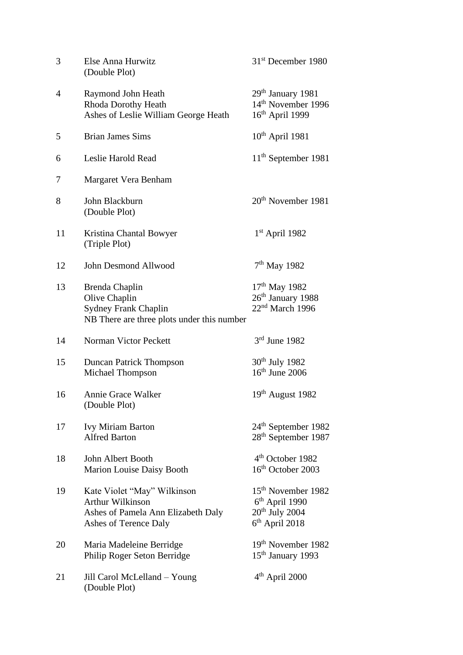| 3              | Else Anna Hurwitz<br>(Double Plot)                                                                             | 31 <sup>st</sup> December 1980                                                                       |
|----------------|----------------------------------------------------------------------------------------------------------------|------------------------------------------------------------------------------------------------------|
| $\overline{4}$ | Raymond John Heath<br>Rhoda Dorothy Heath<br>Ashes of Leslie William George Heath                              | 29 <sup>th</sup> January 1981<br>14 <sup>th</sup> November 1996<br>16 <sup>th</sup> April 1999       |
| 5              | <b>Brian James Sims</b>                                                                                        | $10th$ April 1981                                                                                    |
| 6              | Leslie Harold Read                                                                                             | $11th$ September 1981                                                                                |
| 7              | Margaret Vera Benham                                                                                           |                                                                                                      |
| 8              | John Blackburn<br>(Double Plot)                                                                                | 20 <sup>th</sup> November 1981                                                                       |
| 11             | Kristina Chantal Bowyer<br>(Triple Plot)                                                                       | 1st April 1982                                                                                       |
| 12             | John Desmond Allwood                                                                                           | $7th$ May 1982                                                                                       |
| 13             | Brenda Chaplin<br>Olive Chaplin<br><b>Sydney Frank Chaplin</b><br>NB There are three plots under this number   | 17 <sup>th</sup> May 1982<br>26 <sup>th</sup> January 1988<br>22 <sup>nd</sup> March 1996            |
| 14             | <b>Norman Victor Peckett</b>                                                                                   | $3rd$ June 1982                                                                                      |
| 15             | <b>Duncan Patrick Thompson</b><br>Michael Thompson                                                             | 30 <sup>th</sup> July 1982<br>$16th$ June 2006                                                       |
| 16             | Annie Grace Walker<br>(Double Plot)                                                                            | 19th August 1982                                                                                     |
| 17             | Ivy Miriam Barton<br><b>Alfred Barton</b>                                                                      | 24 <sup>th</sup> September 1982<br>28 <sup>th</sup> September 1987                                   |
| 18             | John Albert Booth<br>Marion Louise Daisy Booth                                                                 | 4 <sup>th</sup> October 1982<br>16 <sup>th</sup> October 2003                                        |
| 19             | Kate Violet "May" Wilkinson<br>Arthur Wilkinson<br>Ashes of Pamela Ann Elizabeth Daly<br>Ashes of Terence Daly | 15 <sup>th</sup> November 1982<br>$6th$ April 1990<br>20 <sup>th</sup> July 2004<br>$6th$ April 2018 |
| 20             | Maria Madeleine Berridge<br>Philip Roger Seton Berridge                                                        | 19 <sup>th</sup> November 1982<br>15 <sup>th</sup> January 1993                                      |
| 21             | Jill Carol McLelland - Young<br>(Double Plot)                                                                  | 4 <sup>th</sup> April 2000                                                                           |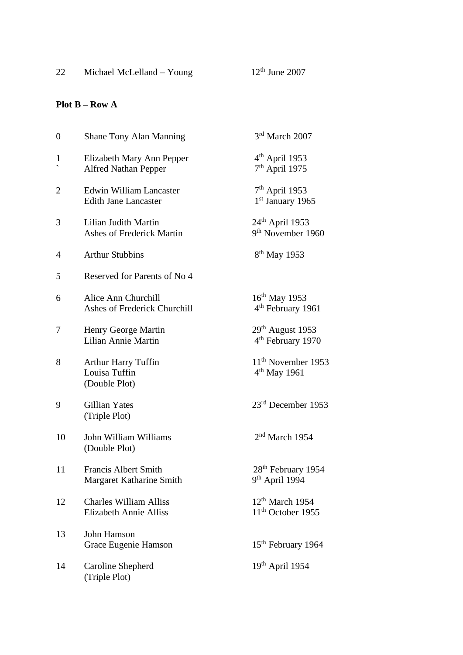# **Plot B – Row A**

| $\boldsymbol{0}$ | <b>Shane Tony Alan Manning</b>                                 | 3rd March 2007                                               |
|------------------|----------------------------------------------------------------|--------------------------------------------------------------|
| $\mathbf{1}$     | Elizabeth Mary Ann Pepper<br><b>Alfred Nathan Pepper</b>       | 4 <sup>th</sup> April 1953<br>$7th$ April 1975               |
| $\overline{2}$   | <b>Edwin William Lancaster</b><br><b>Edith Jane Lancaster</b>  | $7th$ April 1953<br>1 <sup>st</sup> January 1965             |
| 3                | Lilian Judith Martin<br><b>Ashes of Frederick Martin</b>       | $24th$ April 1953<br>9 <sup>th</sup> November 1960           |
| 4                | <b>Arthur Stubbins</b>                                         | 8 <sup>th</sup> May 1953                                     |
| 5                | Reserved for Parents of No 4                                   |                                                              |
| 6                | Alice Ann Churchill<br>Ashes of Frederick Churchill            | 16 <sup>th</sup> May 1953<br>4 <sup>th</sup> February 1961   |
| 7                | Henry George Martin<br>Lilian Annie Martin                     | $29th$ August 1953<br>4 <sup>th</sup> February 1970          |
| 8                | <b>Arthur Harry Tuffin</b><br>Louisa Tuffin<br>(Double Plot)   | 11 <sup>th</sup> November 1953<br>4 <sup>th</sup> May 1961   |
| 9                | Gillian Yates<br>(Triple Plot)                                 | 23 <sup>rd</sup> December 1953                               |
| 10               | John William Williams<br>(Double Plot)                         | $2nd$ March 1954                                             |
| 11               | <b>Francis Albert Smith</b><br>Margaret Katharine Smith        | 28 <sup>th</sup> February 1954<br>9 <sup>th</sup> April 1994 |
| 12               | <b>Charles William Alliss</b><br><b>Elizabeth Annie Alliss</b> | 12 <sup>th</sup> March 1954<br>11 <sup>th</sup> October 1955 |
| 13               | John Hamson<br>Grace Eugenie Hamson                            | 15 <sup>th</sup> February 1964                               |
| 14               | Caroline Shepherd<br>(Triple Plot)                             | $19th$ April 1954                                            |
|                  |                                                                |                                                              |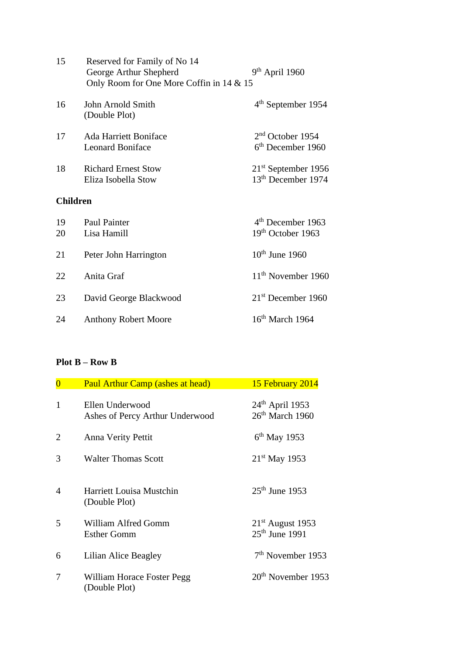| 15       | Reserved for Family of No 14<br>George Arthur Shepherd<br>Only Room for One More Coffin in 14 & 15 | $9th$ April 1960                                              |
|----------|----------------------------------------------------------------------------------------------------|---------------------------------------------------------------|
| 16       | John Arnold Smith<br>(Double Plot)                                                                 | $4th$ September 1954                                          |
| 17       | <b>Ada Harriett Boniface</b><br><b>Leonard Boniface</b>                                            | 2 <sup>nd</sup> October 1954<br>6 <sup>th</sup> December 1960 |
| 18       | <b>Richard Ernest Stow</b><br>Eliza Isobella Stow                                                  | $21st$ September 1956<br>13 <sup>th</sup> December 1974       |
|          | <b>Children</b>                                                                                    |                                                               |
| 19<br>20 | Paul Painter<br>Lisa Hamill                                                                        | 4 <sup>th</sup> December 1963<br>19th October 1963            |
| 21       | Peter John Harrington                                                                              | $10th$ June 1960                                              |
| 22       | Anita Graf                                                                                         | 11 <sup>th</sup> November 1960                                |
| 23       | David George Blackwood                                                                             | 21 <sup>st</sup> December 1960                                |
| 24       | <b>Anthony Robert Moore</b>                                                                        | $16th$ March 1964                                             |

## **Plot B – Row B**

| $\overline{0}$ | <b>Paul Arthur Camp (ashes at head)</b>            | 15 February 2014                                 |
|----------------|----------------------------------------------------|--------------------------------------------------|
| $\mathbf{1}$   | Ellen Underwood<br>Ashes of Percy Arthur Underwood | 24 <sup>th</sup> April 1953<br>$26th$ March 1960 |
| $\overline{2}$ | Anna Verity Pettit                                 | $6th$ May 1953                                   |
| 3              | <b>Walter Thomas Scott</b>                         | $21^{st}$ May 1953                               |
| $\overline{4}$ | <b>Harriett Louisa Mustchin</b><br>(Double Plot)   | $25^{th}$ June 1953                              |
| 5              | William Alfred Gomm<br><b>Esther Gomm</b>          | $21st$ August 1953<br>$25th$ June 1991           |
| 6              | Lilian Alice Beagley                               | $7th$ November 1953                              |
| 7              | William Horace Foster Pegg<br>(Double Plot)        | $20th$ November 1953                             |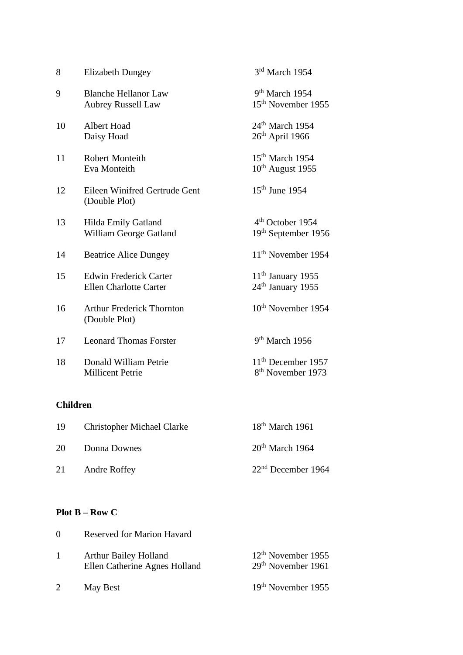| 8  | <b>Elizabeth Dungey</b>                                        | 3rd March 1954                                                  |
|----|----------------------------------------------------------------|-----------------------------------------------------------------|
| 9  | <b>Blanche Hellanor Law</b><br><b>Aubrey Russell Law</b>       | 9 <sup>th</sup> March 1954<br>15 <sup>th</sup> November 1955    |
| 10 | Albert Hoad<br>Daisy Hoad                                      | 24 <sup>th</sup> March 1954<br>$26th$ April 1966                |
| 11 | <b>Robert Monteith</b><br>Eva Monteith                         | $15th$ March 1954<br>$10th$ August 1955                         |
| 12 | Eileen Winifred Gertrude Gent<br>(Double Plot)                 | $15th$ June 1954                                                |
| 13 | Hilda Emily Gatland<br>William George Gatland                  | 4 <sup>th</sup> October 1954<br>19th September 1956             |
| 14 | <b>Beatrice Alice Dungey</b>                                   | 11 <sup>th</sup> November 1954                                  |
| 15 | <b>Edwin Frederick Carter</b><br><b>Ellen Charlotte Carter</b> | 11 <sup>th</sup> January 1955<br>$24th$ January 1955            |
| 16 | <b>Arthur Frederick Thornton</b><br>(Double Plot)              | 10 <sup>th</sup> November 1954                                  |
| 17 | <b>Leonard Thomas Forster</b>                                  | $9th$ March 1956                                                |
| 18 | Donald William Petrie<br><b>Millicent Petrie</b>               | 11 <sup>th</sup> December 1957<br>8 <sup>th</sup> November 1973 |
|    |                                                                |                                                                 |

# **Children**

| 19 | <b>Christopher Michael Clarke</b> | $18th$ March 1961    |
|----|-----------------------------------|----------------------|
| 20 | Donna Downes                      | $20th$ March 1964    |
| 21 | <b>Andre Roffey</b>               | $22nd$ December 1964 |

## **Plot B – Row C**

| $\Omega$     | <b>Reserved for Marion Havard</b>                             |                                                        |
|--------------|---------------------------------------------------------------|--------------------------------------------------------|
| $\mathbf{1}$ | <b>Arthur Bailey Holland</b><br>Ellen Catherine Agnes Holland | $12th$ November 1955<br>29 <sup>th</sup> November 1961 |
|              | May Best                                                      | 19 <sup>th</sup> November 1955                         |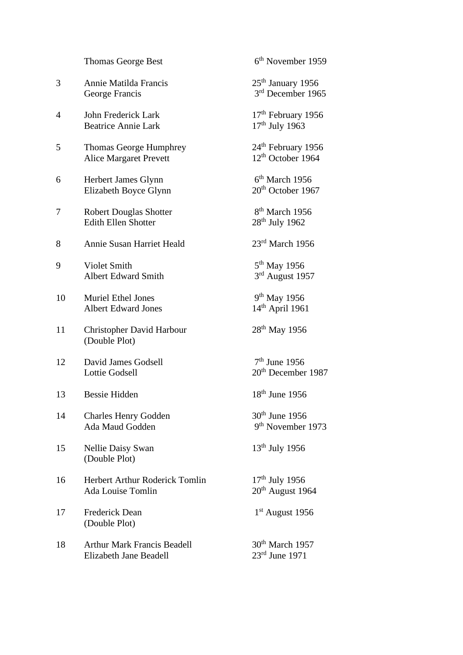|    | <b>Thomas George Best</b>                                    | 6 <sup>th</sup> November 1959                                   |
|----|--------------------------------------------------------------|-----------------------------------------------------------------|
| 3  | Annie Matilda Francis<br>George Francis                      | $25th$ January 1956<br>3rd December 1965                        |
| 4  | John Frederick Lark<br><b>Beatrice Annie Lark</b>            | $17th$ February 1956<br>$17th$ July 1963                        |
| 5  | Thomas George Humphrey<br><b>Alice Margaret Prevett</b>      | 24 <sup>th</sup> February 1956<br>12 <sup>th</sup> October 1964 |
| 6  | Herbert James Glynn<br>Elizabeth Boyce Glynn                 | $6th$ March 1956<br>20 <sup>th</sup> October 1967               |
| 7  | <b>Robert Douglas Shotter</b><br><b>Edith Ellen Shotter</b>  | 8 <sup>th</sup> March 1956<br>$28th$ July 1962                  |
| 8  | Annie Susan Harriet Heald                                    | 23rd March 1956                                                 |
| 9  | Violet Smith<br><b>Albert Edward Smith</b>                   | 5 <sup>th</sup> May 1956<br>3rd August 1957                     |
| 10 | <b>Muriel Ethel Jones</b><br><b>Albert Edward Jones</b>      | 9 <sup>th</sup> May 1956<br>14 <sup>th</sup> April 1961         |
| 11 | <b>Christopher David Harbour</b><br>(Double Plot)            | $28th$ May 1956                                                 |
| 12 | David James Godsell<br><b>Lottie Godsell</b>                 | $7th$ June 1956<br>20 <sup>th</sup> December 1987               |
| 13 | <b>Bessie Hidden</b>                                         | $18th$ June 1956                                                |
| 14 | <b>Charles Henry Godden</b><br>Ada Maud Godden               | 30 <sup>th</sup> June 1956<br>9 <sup>th</sup> November 1973     |
| 15 | <b>Nellie Daisy Swan</b><br>(Double Plot)                    | 13 <sup>th</sup> July 1956                                      |
| 16 | Herbert Arthur Roderick Tomlin<br><b>Ada Louise Tomlin</b>   | $17th$ July 1956<br>$20th$ August 1964                          |
| 17 | <b>Frederick Dean</b><br>(Double Plot)                       | $1st$ August 1956                                               |
| 18 | <b>Arthur Mark Francis Beadell</b><br>Elizabeth Jane Beadell | $30th$ March 1957<br>$23rd$ June 1971                           |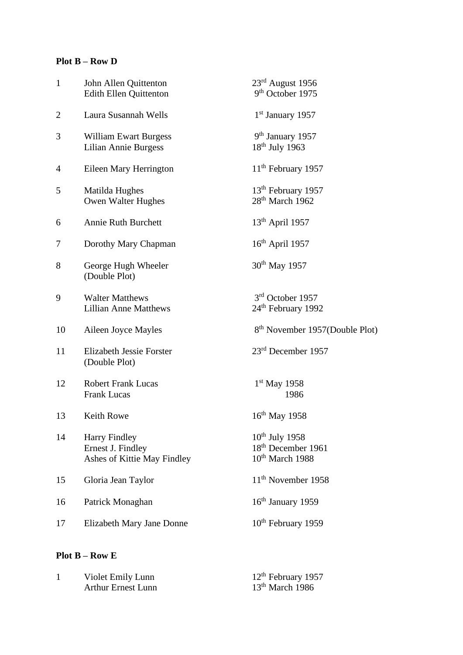## **Plot B – Row D**

| $\mathbf{1}$   | John Allen Quittenton<br><b>Edith Ellen Quittenton</b>                   | $23rd$ August 1956<br>9 <sup>th</sup> October 1975                         |
|----------------|--------------------------------------------------------------------------|----------------------------------------------------------------------------|
| $\overline{2}$ | Laura Susannah Wells                                                     | 1 <sup>st</sup> January 1957                                               |
| 3              | <b>William Ewart Burgess</b><br>Lilian Annie Burgess                     | 9 <sup>th</sup> January 1957<br>$18th$ July 1963                           |
| 4              | Eileen Mary Herrington                                                   | 11 <sup>th</sup> February 1957                                             |
| 5              | Matilda Hughes<br>Owen Walter Hughes                                     | 13 <sup>th</sup> February 1957<br>28 <sup>th</sup> March 1962              |
| 6              | <b>Annie Ruth Burchett</b>                                               | $13th$ April 1957                                                          |
| 7              | Dorothy Mary Chapman                                                     | $16th$ April 1957                                                          |
| 8              | George Hugh Wheeler<br>(Double Plot)                                     | 30 <sup>th</sup> May 1957                                                  |
| 9              | <b>Walter Matthews</b><br><b>Lillian Anne Matthews</b>                   | 3 <sup>rd</sup> October 1957<br>24 <sup>th</sup> February 1992             |
| 10             | Aileen Joyce Mayles                                                      | 8 <sup>th</sup> November 1957(Double Plot)                                 |
| 11             | Elizabeth Jessie Forster<br>(Double Plot)                                | $23rd$ December 1957                                                       |
| 12             | <b>Robert Frank Lucas</b><br><b>Frank Lucas</b>                          | $1st$ May 1958<br>1986                                                     |
| 13             | Keith Rowe                                                               | 16 <sup>th</sup> May 1958                                                  |
| 14             | <b>Harry Findley</b><br>Ernest J. Findley<br>Ashes of Kittie May Findley | $10^{th}$ July 1958<br>18 <sup>th</sup> December 1961<br>$10th$ March 1988 |
| 15             | Gloria Jean Taylor                                                       | 11 <sup>th</sup> November 1958                                             |
| 16             | Patrick Monaghan                                                         | 16 <sup>th</sup> January 1959                                              |
| 17             | <b>Elizabeth Mary Jane Donne</b>                                         | 10 <sup>th</sup> February 1959                                             |
|                | $Plot B - Row E$                                                         |                                                                            |

| Violet Emily Lunn         | $12th$ February 1957 |
|---------------------------|----------------------|
| <b>Arthur Ernest Lunn</b> | $13th$ March 1986    |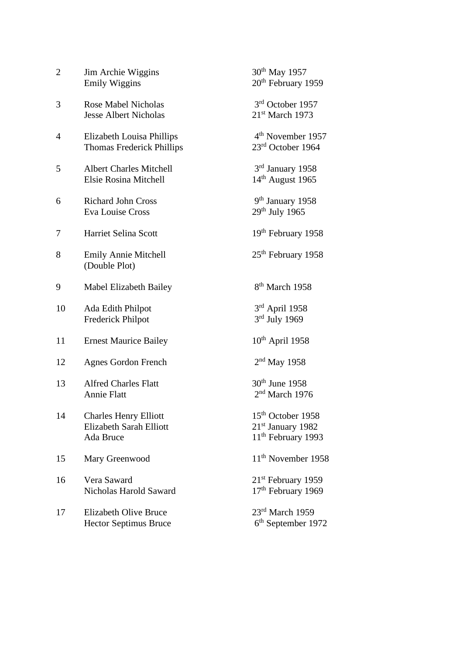| $\overline{2}$ | Jim Archie Wiggins<br><b>Emily Wiggins</b>                           | 30 <sup>th</sup> May 1957<br>20 <sup>th</sup> February 1959                            |
|----------------|----------------------------------------------------------------------|----------------------------------------------------------------------------------------|
| 3              | <b>Rose Mabel Nicholas</b><br><b>Jesse Albert Nicholas</b>           | 3 <sup>rd</sup> October 1957<br>$21st$ March 1973                                      |
| $\overline{4}$ | Elizabeth Louisa Phillips<br><b>Thomas Frederick Phillips</b>        | 4 <sup>th</sup> November 1957<br>23rd October 1964                                     |
| 5              | <b>Albert Charles Mitchell</b><br>Elsie Rosina Mitchell              | 3rd January 1958<br>$14th$ August 1965                                                 |
| 6              | <b>Richard John Cross</b><br><b>Eva Louise Cross</b>                 | 9 <sup>th</sup> January 1958<br>$29th$ July 1965                                       |
| 7              | <b>Harriet Selina Scott</b>                                          | 19 <sup>th</sup> February 1958                                                         |
| 8              | <b>Emily Annie Mitchell</b><br>(Double Plot)                         | 25 <sup>th</sup> February 1958                                                         |
| 9              | Mabel Elizabeth Bailey                                               | 8 <sup>th</sup> March 1958                                                             |
| 10             | Ada Edith Philpot<br>Frederick Philpot                               | $3rd$ April 1958<br>$3rd$ July 1969                                                    |
| 11             | <b>Ernest Maurice Bailey</b>                                         | $10^{th}$ April 1958                                                                   |
| 12             | <b>Agnes Gordon French</b>                                           | $2nd$ May 1958                                                                         |
| 13             | <b>Alfred Charles Flatt</b><br>Annie Flatt                           | 30 <sup>th</sup> June 1958<br>$2nd$ March 1976                                         |
| 14             | <b>Charles Henry Elliott</b><br>Elizabeth Sarah Elliott<br>Ada Bruce | 15 <sup>th</sup> October 1958<br>$21st$ January 1982<br>11 <sup>th</sup> February 1993 |
| 15             | Mary Greenwood                                                       | 11 <sup>th</sup> November 1958                                                         |
| 16             | Vera Saward<br>Nicholas Harold Saward                                | $21st$ February 1959<br>17 <sup>th</sup> February 1969                                 |
| 17             | <b>Elizabeth Olive Bruce</b><br><b>Hector Septimus Bruce</b>         | 23rd March 1959<br>6 <sup>th</sup> September 1972                                      |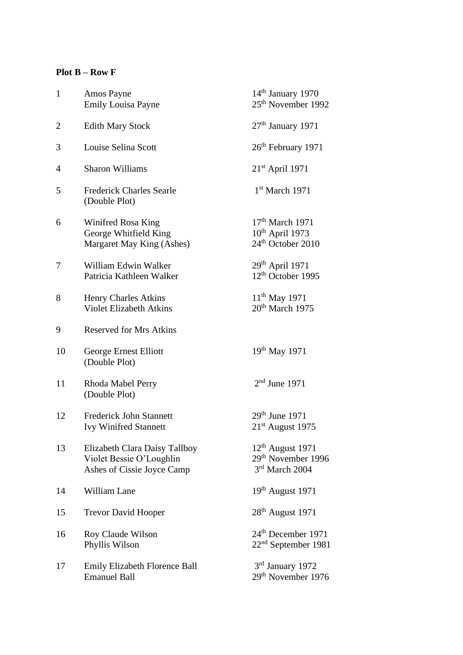#### **Plot B – Row F**

| $\mathbf{1}$ | Amos Payne<br><b>Emily Louisa Payne</b>                                                 | $14th$ January 1970<br>25 <sup>th</sup> November 1992                            |
|--------------|-----------------------------------------------------------------------------------------|----------------------------------------------------------------------------------|
| 2            | <b>Edith Mary Stock</b>                                                                 | $27th$ January 1971                                                              |
| 3            | Louise Selina Scott                                                                     | 26 <sup>th</sup> February 1971                                                   |
| 4            | <b>Sharon Williams</b>                                                                  | $21st$ April 1971                                                                |
| 5            | <b>Frederick Charles Searle</b><br>(Double Plot)                                        | $1st$ March 1971                                                                 |
| 6            | Winifred Rosa King<br>George Whitfield King<br>Margaret May King (Ashes)                | $17th$ March 1971<br>$10^{th}$ April 1973<br>24 <sup>th</sup> October 2010       |
| 7            | William Edwin Walker<br>Patricia Kathleen Walker                                        | $29th$ April 1971<br>12 <sup>th</sup> October 1995                               |
| 8            | <b>Henry Charles Atkins</b><br><b>Violet Elizabeth Atkins</b>                           | $11^{th}$ May 1971<br>20 <sup>th</sup> March 1975                                |
| 9            | <b>Reserved for Mrs Atkins</b>                                                          |                                                                                  |
| 10           | George Ernest Elliott<br>(Double Plot)                                                  | $19^{th}$ May 1971                                                               |
| 11           | Rhoda Mabel Perry<br>(Double Plot)                                                      | $2nd$ June 1971                                                                  |
| 12           | <b>Frederick John Stannett</b><br><b>Ivy Winifred Stannett</b>                          | $29th$ June 1971<br>$21st$ August 1975                                           |
| 13           | Elizabeth Clara Daisy Tallboy<br>Violet Bessie O'Loughlin<br>Ashes of Cissie Joyce Camp | 12 <sup>th</sup> August 1971<br>29 <sup>th</sup> November 1996<br>3rd March 2004 |
| 14           | William Lane                                                                            | $19th$ August 1971                                                               |
| 15           | <b>Trevor David Hooper</b>                                                              | 28 <sup>th</sup> August 1971                                                     |
| 16           | Roy Claude Wilson<br>Phyllis Wilson                                                     | 24 <sup>th</sup> December 1971<br>22 <sup>nd</sup> September 1981                |
| 17           | <b>Emily Elizabeth Florence Ball</b><br><b>Emanuel Ball</b>                             | 3rd January 1972<br>29 <sup>th</sup> November 1976                               |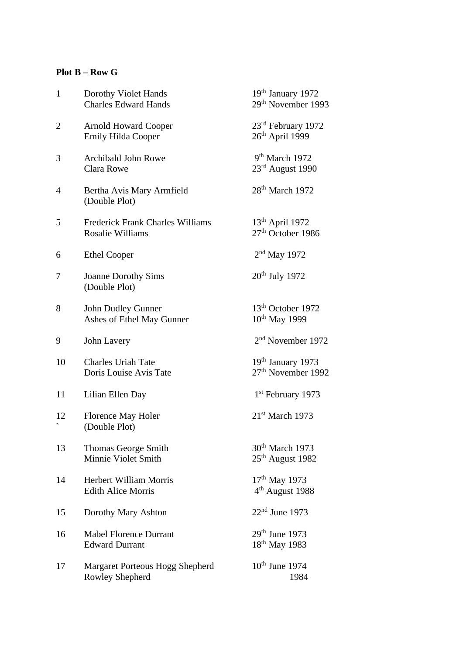#### **Plot B – Row G**

| $\mathbf{1}$   | Dorothy Violet Hands<br><b>Charles Edward Hands</b>         | 19 <sup>th</sup> January 1972<br>29 <sup>th</sup> November 1993 |
|----------------|-------------------------------------------------------------|-----------------------------------------------------------------|
| $\overline{2}$ | <b>Arnold Howard Cooper</b><br><b>Emily Hilda Cooper</b>    | 23rd February 1972<br>26 <sup>th</sup> April 1999               |
| 3              | <b>Archibald John Rowe</b><br>Clara Rowe                    | 9 <sup>th</sup> March 1972<br>23rd August 1990                  |
| 4              | Bertha Avis Mary Armfield<br>(Double Plot)                  | 28 <sup>th</sup> March 1972                                     |
| 5              | <b>Frederick Frank Charles Williams</b><br>Rosalie Williams | $13th$ April 1972<br>27 <sup>th</sup> October 1986              |
| 6              | <b>Ethel Cooper</b>                                         | $2nd$ May 1972                                                  |
| 7              | <b>Joanne Dorothy Sims</b><br>(Double Plot)                 | 20 <sup>th</sup> July 1972                                      |
| 8              | John Dudley Gunner<br>Ashes of Ethel May Gunner             | 13 <sup>th</sup> October 1972<br>10 <sup>th</sup> May 1999      |
| 9              | John Lavery                                                 | 2 <sup>nd</sup> November 1972                                   |
| 10             | <b>Charles Uriah Tate</b><br>Doris Louise Avis Tate         | 19 <sup>th</sup> January 1973<br>27 <sup>th</sup> November 1992 |
| 11             | Lilian Ellen Day                                            | 1 <sup>st</sup> February 1973                                   |
| 12             | Florence May Holer<br>(Double Plot)                         | $21st$ March 1973                                               |
| 13             | <b>Thomas George Smith</b><br>Minnie Violet Smith           | 30 <sup>th</sup> March 1973<br>25 <sup>th</sup> August 1982     |
| 14             | <b>Herbert William Morris</b><br><b>Edith Alice Morris</b>  | $17th$ May 1973<br>4 <sup>th</sup> August 1988                  |
| 15             | Dorothy Mary Ashton                                         | $22nd$ June 1973                                                |
| 16             | <b>Mabel Florence Durrant</b><br><b>Edward Durrant</b>      | 29th June 1973<br>18 <sup>th</sup> May 1983                     |
| 17             | Margaret Porteous Hogg Shepherd<br>Rowley Shepherd          | $10th$ June 1974<br>1984                                        |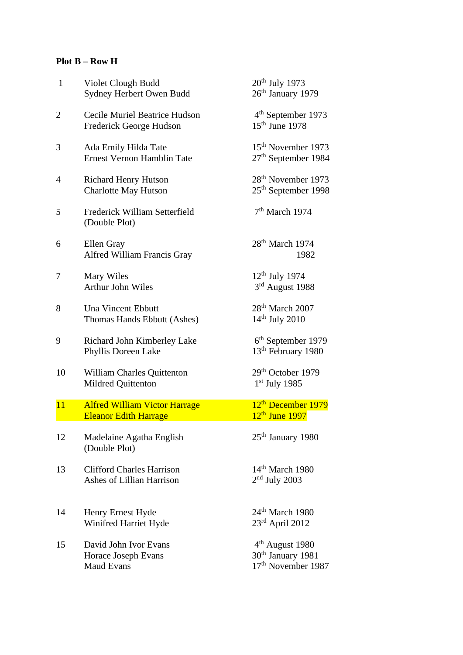## **Plot B – Row H**

| $\mathbf{1}$   | Violet Clough Budd<br>Sydney Herbert Owen Budd                       | 20 <sup>th</sup> July 1973<br>26 <sup>th</sup> January 1979                        |
|----------------|----------------------------------------------------------------------|------------------------------------------------------------------------------------|
| $\overline{2}$ | Cecile Muriel Beatrice Hudson<br>Frederick George Hudson             | 4 <sup>th</sup> September 1973<br>$15th$ June 1978                                 |
| 3              | Ada Emily Hilda Tate<br><b>Ernest Vernon Hamblin Tate</b>            | 15 <sup>th</sup> November 1973<br>$27th$ September 1984                            |
| 4              | <b>Richard Henry Hutson</b><br><b>Charlotte May Hutson</b>           | 28 <sup>th</sup> November 1973<br>25 <sup>th</sup> September 1998                  |
| 5              | Frederick William Setterfield<br>(Double Plot)                       | $7th$ March 1974                                                                   |
| 6              | Ellen Gray<br>Alfred William Francis Gray                            | 28 <sup>th</sup> March 1974<br>1982                                                |
| 7              | Mary Wiles<br><b>Arthur John Wiles</b>                               | $12th$ July 1974<br>3rd August 1988                                                |
| 8              | <b>Una Vincent Ebbutt</b><br>Thomas Hands Ebbutt (Ashes)             | $28th$ March $2007$<br>$14th$ July 2010                                            |
| 9              | Richard John Kimberley Lake<br>Phyllis Doreen Lake                   | 6 <sup>th</sup> September 1979<br>13 <sup>th</sup> February 1980                   |
| 10             | William Charles Quittenton<br>Mildred Quittenton                     | 29 <sup>th</sup> October 1979<br>$1st$ July 1985                                   |
| 11             | <b>Alfred William Victor Harrage</b><br><b>Eleanor Edith Harrage</b> | 12 <sup>th</sup> December 1979<br>$12th$ June 1997                                 |
| 12             | Madelaine Agatha English<br>(Double Plot)                            | 25 <sup>th</sup> January 1980                                                      |
| 13             | <b>Clifford Charles Harrison</b><br>Ashes of Lillian Harrison        | $14th$ March 1980<br>$2nd$ July 2003                                               |
| 14             | Henry Ernest Hyde<br>Winifred Harriet Hyde                           | $24th$ March 1980<br>$23rd$ April 2012                                             |
| 15             | David John Ivor Evans<br>Horace Joseph Evans<br><b>Maud Evans</b>    | 4 <sup>th</sup> August 1980<br>30 <sup>th</sup> January 1981<br>17th November 1987 |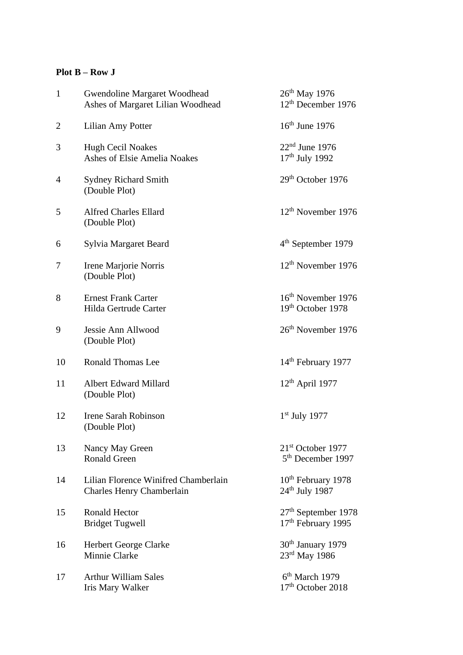#### **Plot B – Row J**

| $\mathbf{1}$   | Gwendoline Margaret Woodhead<br>Ashes of Margaret Lilian Woodhead        | 26 <sup>th</sup> May 1976<br>12 <sup>th</sup> December 1976    |
|----------------|--------------------------------------------------------------------------|----------------------------------------------------------------|
| $\overline{2}$ | Lilian Amy Potter                                                        | $16th$ June 1976                                               |
| 3              | <b>Hugh Cecil Noakes</b><br><b>Ashes of Elsie Amelia Noakes</b>          | $22nd$ June 1976<br>17 <sup>th</sup> July 1992                 |
| 4              | <b>Sydney Richard Smith</b><br>(Double Plot)                             | 29 <sup>th</sup> October 1976                                  |
| 5              | <b>Alfred Charles Ellard</b><br>(Double Plot)                            | 12 <sup>th</sup> November 1976                                 |
| 6              | Sylvia Margaret Beard                                                    | 4 <sup>th</sup> September 1979                                 |
| 7              | Irene Marjorie Norris<br>(Double Plot)                                   | $12th$ November 1976                                           |
| 8              | <b>Ernest Frank Carter</b><br>Hilda Gertrude Carter                      | 16 <sup>th</sup> November 1976<br>19th October 1978            |
| 9              | Jessie Ann Allwood<br>(Double Plot)                                      | 26 <sup>th</sup> November 1976                                 |
| 10             | <b>Ronald Thomas Lee</b>                                                 | 14 <sup>th</sup> February 1977                                 |
| 11             | <b>Albert Edward Millard</b><br>(Double Plot)                            | $12th$ April 1977                                              |
| 12             | <b>Irene Sarah Robinson</b><br>(Double Plot)                             | $1st$ July 1977                                                |
| 13             | Nancy May Green<br><b>Ronald Green</b>                                   | 21 <sup>st</sup> October 1977<br>5 <sup>th</sup> December 1997 |
| 14             | Lilian Florence Winifred Chamberlain<br><b>Charles Henry Chamberlain</b> | 10 <sup>th</sup> February 1978<br>$24th$ July 1987             |
| 15             | <b>Ronald Hector</b><br><b>Bridget Tugwell</b>                           | $27th$ September 1978<br>17 <sup>th</sup> February 1995        |
| 16             | Herbert George Clarke<br>Minnie Clarke                                   | 30 <sup>th</sup> January 1979<br>$23^{\text{rd}}$ May 1986     |
| 17             | <b>Arthur William Sales</b><br>Iris Mary Walker                          | $6th$ March 1979<br>17 <sup>th</sup> October 2018              |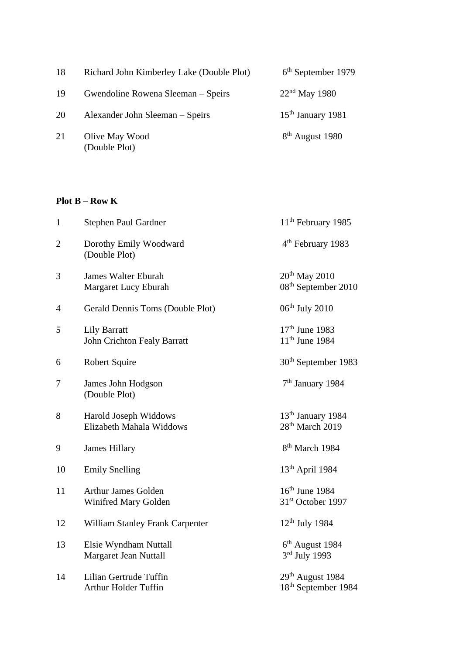| 18 | Richard John Kimberley Lake (Double Plot) | $6th$ September 1979 |
|----|-------------------------------------------|----------------------|
| 19 | Gwendoline Rowena Sleeman – Speirs        | $22nd$ May 1980      |
| 20 | Alexander John Sleeman – Speirs           | $15th$ January 1981  |
| 21 | Olive May Wood<br>(Double Plot)           | $8th$ August 1980    |

## **Plot B – Row K**

| $\mathbf{1}$   | Stephen Paul Gardner                                  | 11 <sup>th</sup> February 1985                               |
|----------------|-------------------------------------------------------|--------------------------------------------------------------|
| $\overline{2}$ | Dorothy Emily Woodward<br>(Double Plot)               | 4 <sup>th</sup> February 1983                                |
| 3              | <b>James Walter Eburah</b><br>Margaret Lucy Eburah    | $20th$ May 2010<br>08 <sup>th</sup> September 2010           |
| $\overline{4}$ | Gerald Dennis Toms (Double Plot)                      | $06th$ July 2010                                             |
| 5              | <b>Lily Barratt</b><br>John Crichton Fealy Barratt    | $17th$ June 1983<br>$11th$ June 1984                         |
| 6              | <b>Robert Squire</b>                                  | 30 <sup>th</sup> September 1983                              |
| 7              | James John Hodgson<br>(Double Plot)                   | 7 <sup>th</sup> January 1984                                 |
| 8              | Harold Joseph Widdows<br>Elizabeth Mahala Widdows     | 13 <sup>th</sup> January 1984<br>28 <sup>th</sup> March 2019 |
| 9              | <b>James Hillary</b>                                  | 8 <sup>th</sup> March 1984                                   |
| 10             | <b>Emily Snelling</b>                                 | 13 <sup>th</sup> April 1984                                  |
| 11             | <b>Arthur James Golden</b><br>Winifred Mary Golden    | $16th$ June 1984<br>31 <sup>st</sup> October 1997            |
| 12             | <b>William Stanley Frank Carpenter</b>                | $12th$ July 1984                                             |
| 13             | Elsie Wyndham Nuttall<br>Margaret Jean Nuttall        | $6th$ August 1984<br>$3rd$ July 1993                         |
| 14             | Lilian Gertrude Tuffin<br><b>Arthur Holder Tuffin</b> | $29th$ August 1984<br>18th September 1984                    |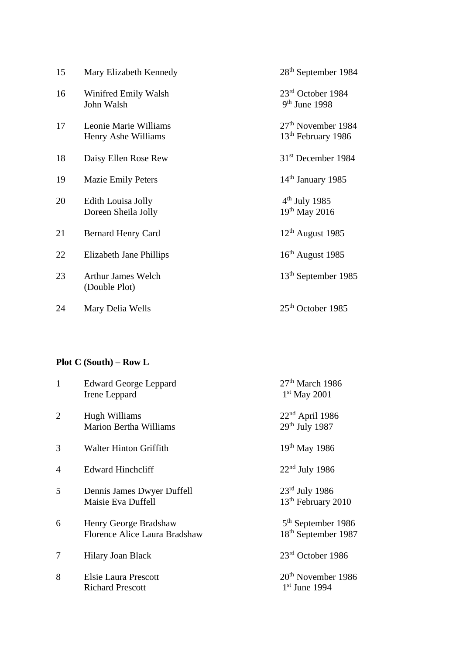| 15 | Mary Elizabeth Kennedy                       | 28 <sup>th</sup> September 1984                                  |
|----|----------------------------------------------|------------------------------------------------------------------|
| 16 | Winifred Emily Walsh<br>John Walsh           | $23rd$ October 1984<br>$9th$ June 1998                           |
| 17 | Leonie Marie Williams<br>Henry Ashe Williams | 27 <sup>th</sup> November 1984<br>13 <sup>th</sup> February 1986 |
| 18 | Daisy Ellen Rose Rew                         | 31 <sup>st</sup> December 1984                                   |
| 19 | <b>Mazie Emily Peters</b>                    | 14 <sup>th</sup> January 1985                                    |
| 20 | Edith Louisa Jolly<br>Doreen Sheila Jolly    | $4th$ July 1985<br>$19^{th}$ May 2016                            |
| 21 | Bernard Henry Card                           | $12th$ August 1985                                               |
| 22 | Elizabeth Jane Phillips                      | $16th$ August 1985                                               |
| 23 | <b>Arthur James Welch</b><br>(Double Plot)   | 13 <sup>th</sup> September 1985                                  |
| 24 | Mary Delia Wells                             | $25th$ October 1985                                              |

# **Plot C (South) – Row L**

| $\mathbf{1}$   | <b>Edward George Leppard</b><br>Irene Leppard          | $27th$ March 1986<br>$1st$ May 2001                     |
|----------------|--------------------------------------------------------|---------------------------------------------------------|
| $\overline{2}$ | Hugh Williams<br><b>Marion Bertha Williams</b>         | $22nd$ April 1986<br>29th July 1987                     |
| 3              | <b>Walter Hinton Griffith</b>                          | 19 <sup>th</sup> May 1986                               |
| $\overline{4}$ | <b>Edward Hinchcliff</b>                               | $22nd$ July 1986                                        |
| 5              | Dennis James Dwyer Duffell<br>Maisie Eva Duffell       | $23rd$ July 1986<br>13 <sup>th</sup> February 2010      |
| 6              | Henry George Bradshaw<br>Florence Alice Laura Bradshaw | $5th$ September 1986<br>18 <sup>th</sup> September 1987 |
| 7              | Hilary Joan Black                                      | $23rd$ October 1986                                     |
| 8              | <b>Elsie Laura Prescott</b><br><b>Richard Prescott</b> | 20 <sup>th</sup> November 1986<br>$1st$ June 1994       |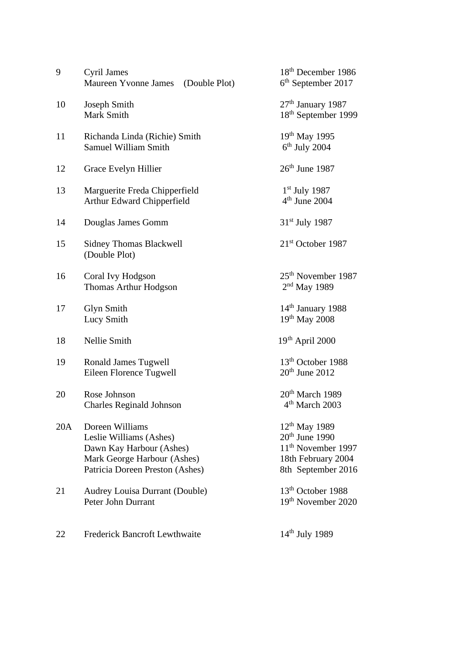| 9   | Cyril James<br>Maureen Yvonne James<br>(Double Plot)                                                                                     | 18 <sup>th</sup> December 1986<br>$6th$ September 2017                                                               |
|-----|------------------------------------------------------------------------------------------------------------------------------------------|----------------------------------------------------------------------------------------------------------------------|
| 10  | Joseph Smith<br>Mark Smith                                                                                                               | 27 <sup>th</sup> January 1987<br>18th September 1999                                                                 |
| 11  | Richanda Linda (Richie) Smith<br>Samuel William Smith                                                                                    | 19 <sup>th</sup> May 1995<br>$6th$ July 2004                                                                         |
| 12  | Grace Evelyn Hillier                                                                                                                     | $26th$ June 1987                                                                                                     |
| 13  | Marguerite Freda Chipperfield<br>Arthur Edward Chipperfield                                                                              | $1st$ July 1987<br>$4th$ June 2004                                                                                   |
| 14  | Douglas James Gomm                                                                                                                       | $31st$ July 1987                                                                                                     |
| 15  | <b>Sidney Thomas Blackwell</b><br>(Double Plot)                                                                                          | 21 <sup>st</sup> October 1987                                                                                        |
| 16  | Coral Ivy Hodgson<br>Thomas Arthur Hodgson                                                                                               | 25 <sup>th</sup> November 1987<br>$2nd$ May 1989                                                                     |
| 17  | <b>Glyn Smith</b><br>Lucy Smith                                                                                                          | 14 <sup>th</sup> January 1988<br>19th May 2008                                                                       |
| 18  | Nellie Smith                                                                                                                             | 19th April 2000                                                                                                      |
| 19  | <b>Ronald James Tugwell</b><br>Eileen Florence Tugwell                                                                                   | 13 <sup>th</sup> October 1988<br>$20th$ June $2012$                                                                  |
| 20  | Rose Johnson<br><b>Charles Reginald Johnson</b>                                                                                          | 20 <sup>th</sup> March 1989<br>4 <sup>th</sup> March 2003                                                            |
| 20A | Doreen Williams<br>Leslie Williams (Ashes)<br>Dawn Kay Harbour (Ashes)<br>Mark George Harbour (Ashes)<br>Patricia Doreen Preston (Ashes) | $12^{th}$ May 1989<br>$20th$ June 1990<br>11 <sup>th</sup> November 1997<br>18th February 2004<br>8th September 2016 |
| 21  | Audrey Louisa Durrant (Double)<br>Peter John Durrant                                                                                     | 13 <sup>th</sup> October 1988<br>19 <sup>th</sup> November 2020                                                      |
| 22  | <b>Frederick Bancroft Lewthwaite</b>                                                                                                     | 14 <sup>th</sup> July 1989                                                                                           |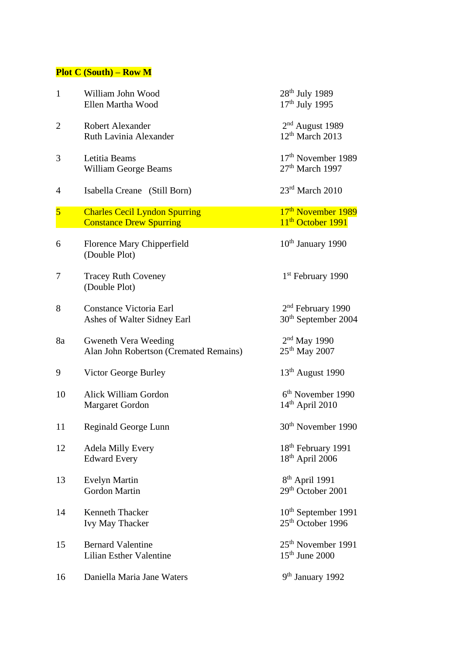## **Plot C (South) – Row M**

| $\mathbf{1}$   | William John Wood<br>Ellen Martha Wood                                 | 28 <sup>th</sup> July 1989<br>17 <sup>th</sup> July 1995         |
|----------------|------------------------------------------------------------------------|------------------------------------------------------------------|
| $\overline{2}$ | <b>Robert Alexander</b><br>Ruth Lavinia Alexander                      | $2nd$ August 1989<br>$12th$ March 2013                           |
| 3              | Letitia Beams<br><b>William George Beams</b>                           | 17 <sup>th</sup> November 1989<br>$27th$ March 1997              |
| 4              | Isabella Creane (Still Born)                                           | $23rd$ March $2010$                                              |
| $\overline{5}$ | <b>Charles Cecil Lyndon Spurring</b><br><b>Constance Drew Spurring</b> | 17 <sup>th</sup> November 1989<br>11 <sup>th</sup> October 1991  |
| 6              | Florence Mary Chipperfield<br>(Double Plot)                            | $10th$ January 1990                                              |
| 7              | <b>Tracey Ruth Coveney</b><br>(Double Plot)                            | 1 <sup>st</sup> February 1990                                    |
| 8              | <b>Constance Victoria Earl</b><br>Ashes of Walter Sidney Earl          | 2 <sup>nd</sup> February 1990<br>30 <sup>th</sup> September 2004 |
| 8a             | Gweneth Vera Weeding<br>Alan John Robertson (Cremated Remains)         | $2nd$ May 1990<br>$25^{th}$ May 2007                             |
| 9              | Victor George Burley                                                   | $13th$ August 1990                                               |
| 10             | Alick William Gordon<br><b>Margaret Gordon</b>                         | 6 <sup>th</sup> November 1990<br>$14^{\text{th}}$ April 2010     |
| 11             | Reginald George Lunn                                                   | 30 <sup>th</sup> November 1990                                   |
| 12             | <b>Adela Milly Every</b><br><b>Edward Every</b>                        | 18th February 1991<br>$18^{\text{th}}$ April 2006                |
| 13             | <b>Evelyn Martin</b><br><b>Gordon Martin</b>                           | 8 <sup>th</sup> April 1991<br>29 <sup>th</sup> October 2001      |
| 14             | Kenneth Thacker<br>Ivy May Thacker                                     | 10 <sup>th</sup> September 1991<br>25 <sup>th</sup> October 1996 |
| 15             | <b>Bernard Valentine</b><br><b>Lilian Esther Valentine</b>             | 25 <sup>th</sup> November 1991<br>$15th$ June 2000               |
| 16             | Daniella Maria Jane Waters                                             | 9 <sup>th</sup> January 1992                                     |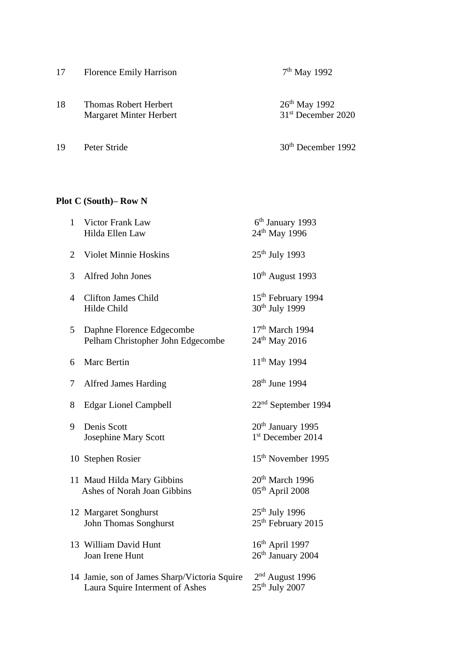| 17 | <b>Florence Emily Harrison</b>                          | $7th$ May 1992                                       |
|----|---------------------------------------------------------|------------------------------------------------------|
| 18 | <b>Thomas Robert Herbert</b><br>Margaret Minter Herbert | $26^{th}$ May 1992<br>31 <sup>st</sup> December 2020 |
| 19 | Peter Stride                                            | 30 <sup>th</sup> December 1992                       |

## **Plot C (South)– Row N**

| $\mathbf{1}$   | Victor Frank Law<br>Hilda Ellen Law                                             | 6 <sup>th</sup> January 1993<br>24 <sup>th</sup> May 1996    |
|----------------|---------------------------------------------------------------------------------|--------------------------------------------------------------|
| $\overline{2}$ | <b>Violet Minnie Hoskins</b>                                                    | 25 <sup>th</sup> July 1993                                   |
| 3              | Alfred John Jones                                                               | $10th$ August 1993                                           |
| 4              | <b>Clifton James Child</b><br>Hilde Child                                       | 15 <sup>th</sup> February 1994<br>30 <sup>th</sup> July 1999 |
| 5              | Daphne Florence Edgecombe<br>Pelham Christopher John Edgecombe                  | $17th$ March 1994<br>24 <sup>th</sup> May 2016               |
| 6              | Marc Bertin                                                                     | $11^{th}$ May 1994                                           |
| 7              | <b>Alfred James Harding</b>                                                     | 28 <sup>th</sup> June 1994                                   |
| 8              | <b>Edgar Lionel Campbell</b>                                                    | 22 <sup>nd</sup> September 1994                              |
| 9              | Denis Scott<br><b>Josephine Mary Scott</b>                                      | 20 <sup>th</sup> January 1995<br>1st December 2014           |
|                | 10 Stephen Rosier                                                               | 15 <sup>th</sup> November 1995                               |
|                | 11 Maud Hilda Mary Gibbins<br>Ashes of Norah Joan Gibbins                       | 20 <sup>th</sup> March 1996<br>$05th$ April 2008             |
|                | 12 Margaret Songhurst<br>John Thomas Songhurst                                  | $25th$ July 1996<br>25 <sup>th</sup> February 2015           |
|                | 13 William David Hunt<br>Joan Irene Hunt                                        | $16th$ April 1997<br>26 <sup>th</sup> January 2004           |
|                | 14 Jamie, son of James Sharp/Victoria Squire<br>Laura Squire Interment of Ashes | $2nd$ August 1996<br>$25th$ July 2007                        |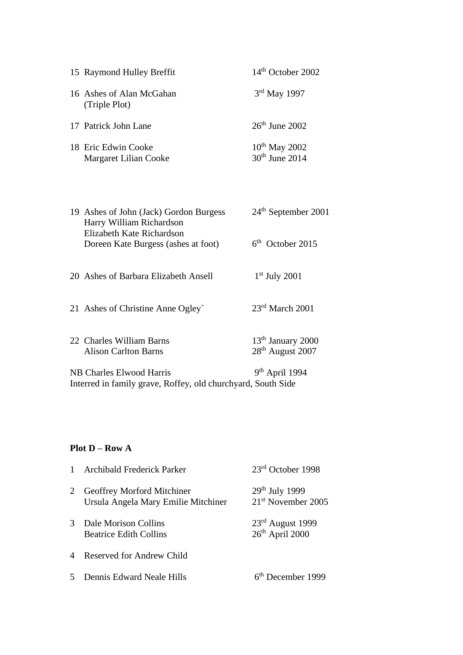| 15 Raymond Hulley Breffit                    | $14th$ October 2002                    |
|----------------------------------------------|----------------------------------------|
| 16 Ashes of Alan McGahan<br>(Triple Plot)    | 3rd May 1997                           |
| 17 Patrick John Lane                         | $26th$ June 2002                       |
| 18 Eric Edwin Cooke<br>Margaret Lilian Cooke | $10^{th}$ May 2002<br>$30th$ June 2014 |

| 19 Ashes of John (Jack) Gordon Burgess | $24th$ September 2001 |
|----------------------------------------|-----------------------|
| Harry William Richardson               |                       |
| Elizabeth Kate Richardson              |                       |
| Doreen Kate Burgess (ashes at foot)    | $6th$ October 2015    |
|                                        |                       |

20 Ashes of Barbara Elizabeth Ansell 1  $1<sup>st</sup>$  July 2001

21 Ashes of Christine Anne Ogley` 23rd March 2001

22 Charles William Barns 13<sup>th</sup> January 2000<br>Alison Carlton Barns 28<sup>th</sup> August 2007 Alison Carlton Barns

NB Charles Elwood Harris 9<sup>th</sup> April 1994 Interred in family grave, Roffey, old churchyard, South Side

#### **Plot D – Row A**

| $\mathbf{1}$  | Archibald Frederick Parker                                        | $23rd$ October 1998                      |
|---------------|-------------------------------------------------------------------|------------------------------------------|
| 2             | Geoffrey Morford Mitchiner<br>Ursula Angela Mary Emilie Mitchiner | $29th$ July 1999<br>$21st$ November 2005 |
| $\mathcal{R}$ | Dale Morison Collins<br><b>Beatrice Edith Collins</b>             | $23rd$ August 1999<br>$26th$ April 2000  |
| $\Delta$      | <b>Reserved for Andrew Child</b>                                  |                                          |
| 5             | Dennis Edward Neale Hills                                         | 6 <sup>th</sup> December 1999            |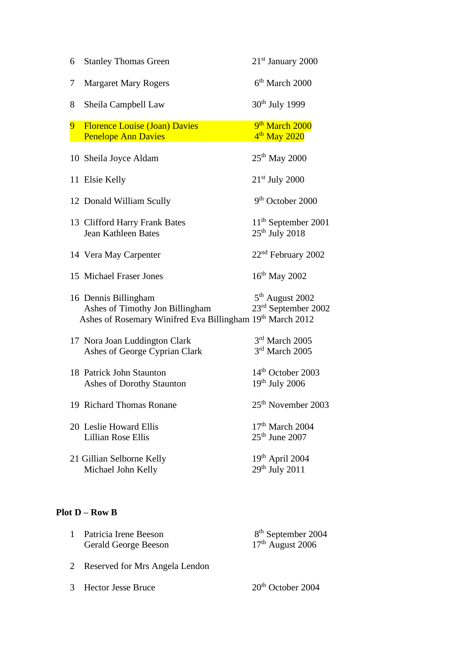| 6              | <b>Stanley Thomas Green</b>                                                                                          | $21st$ January 2000                                            |
|----------------|----------------------------------------------------------------------------------------------------------------------|----------------------------------------------------------------|
| 7              | <b>Margaret Mary Rogers</b>                                                                                          | $6th$ March 2000                                               |
| 8              | Sheila Campbell Law                                                                                                  | 30 <sup>th</sup> July 1999                                     |
| 9 <sup>°</sup> | <b>Florence Louise (Joan) Davies</b><br><b>Penelope Ann Davies</b>                                                   | 9 <sup>th</sup> March 2000<br>4 <sup>th</sup> May 2020         |
|                | 10 Sheila Joyce Aldam                                                                                                | $25th$ May 2000                                                |
|                | 11 Elsie Kelly                                                                                                       | 21 <sup>st</sup> July 2000                                     |
|                | 12 Donald William Scully                                                                                             | 9 <sup>th</sup> October 2000                                   |
|                | 13 Clifford Harry Frank Bates<br><b>Jean Kathleen Bates</b>                                                          | $11th$ September 2001<br>25 <sup>th</sup> July 2018            |
|                | 14 Vera May Carpenter                                                                                                | 22 <sup>nd</sup> February 2002                                 |
|                | 15 Michael Fraser Jones                                                                                              | $16^{th}$ May 2002                                             |
|                | 16 Dennis Billingham<br>Ashes of Timothy Jon Billingham<br>Ashes of Rosemary Winifred Eva Billingham 19th March 2012 | 5 <sup>th</sup> August 2002<br>23 <sup>rd</sup> September 2002 |
|                | 17 Nora Joan Luddington Clark<br>Ashes of George Cyprian Clark                                                       | 3rd March 2005<br>3rd March 2005                               |
|                | 18 Patrick John Staunton<br>Ashes of Dorothy Staunton                                                                | 14 <sup>th</sup> October 2003<br>$19th$ July 2006              |
|                | 19 Richard Thomas Ronane                                                                                             | 25 <sup>th</sup> November 2003                                 |
|                | 20 Leslie Howard Ellis<br><b>Lillian Rose Ellis</b>                                                                  | 17 <sup>th</sup> March 2004<br>$25th$ June 2007                |
|                | 21 Gillian Selborne Kelly<br>Michael John Kelly                                                                      | 19th April 2004<br>$29th$ July 2011                            |

## **Plot D – Row B**

| Patricia Irene Beeson<br><b>Gerald George Beeson</b> | 8 <sup>th</sup> September 2004<br>$17th$ August 2006 |
|------------------------------------------------------|------------------------------------------------------|
| Reserved for Mrs Angela Lendon                       |                                                      |

3 Hector Jesse Bruce 20<sup>th</sup> October 2004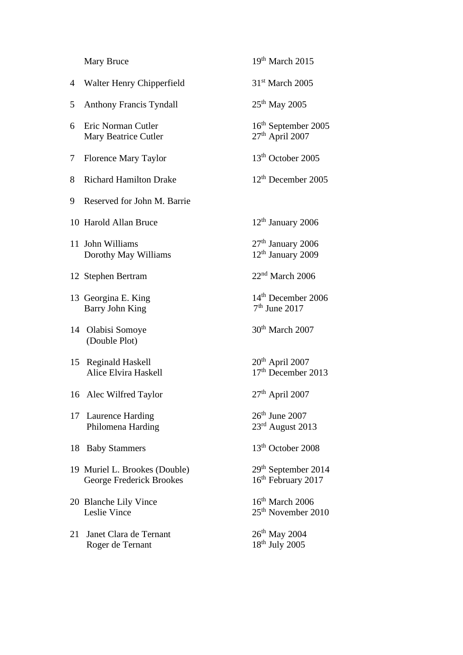|    | Mary Bruce                                                | $19th$ March 2015                                              |
|----|-----------------------------------------------------------|----------------------------------------------------------------|
| 4  | Walter Henry Chipperfield                                 | $31st$ March 2005                                              |
| 5  | <b>Anthony Francis Tyndall</b>                            | $25th$ May 2005                                                |
| 6  | Eric Norman Cutler<br>Mary Beatrice Cutler                | 16 <sup>th</sup> September 2005<br>27 <sup>th</sup> April 2007 |
| 7  | Florence Mary Taylor                                      | 13 <sup>th</sup> October 2005                                  |
| 8  | <b>Richard Hamilton Drake</b>                             | $12th$ December 2005                                           |
| 9  | Reserved for John M. Barrie                               |                                                                |
|    | 10 Harold Allan Bruce                                     | $12th$ January 2006                                            |
|    | 11 John Williams<br>Dorothy May Williams                  | 27 <sup>th</sup> January 2006<br>12 <sup>th</sup> January 2009 |
|    | 12 Stephen Bertram                                        | $22nd$ March 2006                                              |
|    | 13 Georgina E. King<br><b>Barry John King</b>             | 14 <sup>th</sup> December 2006<br>$7th$ June 2017              |
| 14 | Olabisi Somoye<br>(Double Plot)                           | $30th$ March 2007                                              |
| 15 | <b>Reginald Haskell</b><br>Alice Elvira Haskell           | 20 <sup>th</sup> April 2007<br>17 <sup>th</sup> December 2013  |
|    | 16 Alec Wilfred Taylor                                    | $27th$ April 2007                                              |
|    | 17 Laurence Harding<br>Philomena Harding                  | $26th$ June 2007<br>23 <sup>rd</sup> August 2013               |
| 18 | <b>Baby Stammers</b>                                      | 13 <sup>th</sup> October 2008                                  |
|    | 19 Muriel L. Brookes (Double)<br>George Frederick Brookes | 29 <sup>th</sup> September 2014<br>16th February 2017          |
|    | 20 Blanche Lily Vince<br>Leslie Vince                     | $16th$ March 2006<br>25 <sup>th</sup> November 2010            |
| 21 | Janet Clara de Ternant<br>Roger de Ternant                | $26^{th}$ May 2004<br>18 <sup>th</sup> July 2005               |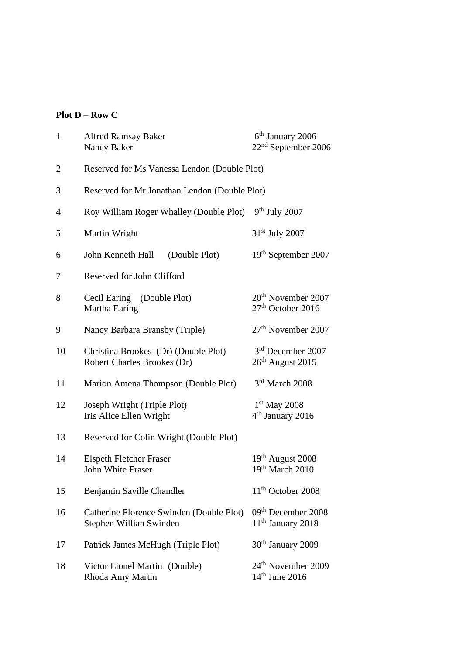## **Plot D – Row C**

| $\mathbf{1}$ | <b>Alfred Ramsay Baker</b><br>Nancy Baker                           | 6 <sup>th</sup> January 2006<br>$22nd$ September 2006           |  |
|--------------|---------------------------------------------------------------------|-----------------------------------------------------------------|--|
| 2            | Reserved for Ms Vanessa Lendon (Double Plot)                        |                                                                 |  |
| 3            | Reserved for Mr Jonathan Lendon (Double Plot)                       |                                                                 |  |
| 4            | Roy William Roger Whalley (Double Plot)                             | $9th$ July 2007                                                 |  |
| 5            | Martin Wright                                                       | 31 <sup>st</sup> July 2007                                      |  |
| 6            | John Kenneth Hall<br>(Double Plot)                                  | 19 <sup>th</sup> September 2007                                 |  |
| 7            | Reserved for John Clifford                                          |                                                                 |  |
| 8            | Cecil Earing (Double Plot)<br>Martha Earing                         | 20 <sup>th</sup> November 2007<br>27 <sup>th</sup> October 2016 |  |
| 9            | Nancy Barbara Bransby (Triple)                                      | 27 <sup>th</sup> November 2007                                  |  |
| 10           | Christina Brookes (Dr) (Double Plot)<br>Robert Charles Brookes (Dr) | 3 <sup>rd</sup> December 2007<br>26 <sup>th</sup> August 2015   |  |
| 11           | Marion Amena Thompson (Double Plot)                                 | 3rd March 2008                                                  |  |
| 12           | Joseph Wright (Triple Plot)<br>Iris Alice Ellen Wright              | $1st$ May 2008<br>4 <sup>th</sup> January 2016                  |  |
| 13           | Reserved for Colin Wright (Double Plot)                             |                                                                 |  |
| 14           | <b>Elspeth Fletcher Fraser</b><br><b>John White Fraser</b>          | $19th$ August 2008<br>19th March 2010                           |  |
| 15           | Benjamin Saville Chandler                                           | $11th$ October 2008                                             |  |
| 16           | Catherine Florence Swinden (Double Plot)<br>Stephen Willian Swinden | 09 <sup>th</sup> December 2008<br>11 <sup>th</sup> January 2018 |  |
| 17           | Patrick James McHugh (Triple Plot)                                  | $30th$ January 2009                                             |  |
| 18           | Victor Lionel Martin (Double)<br>Rhoda Amy Martin                   | 24 <sup>th</sup> November 2009<br>$14th$ June 2016              |  |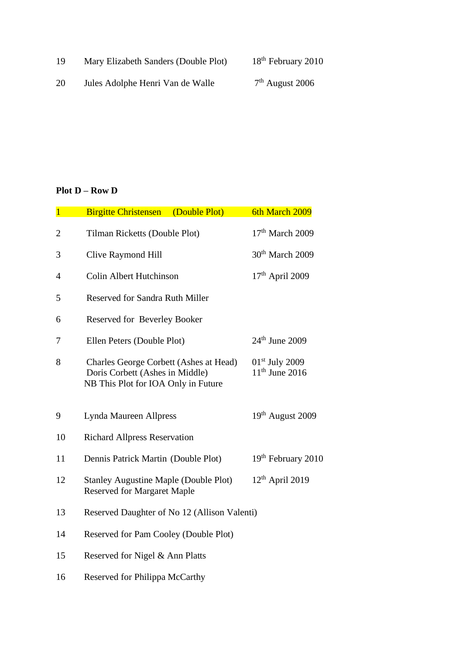19 Mary Elizabeth Sanders (Double Plot) 18<sup>th</sup> February 2010

20 Jules Adolphe Henri Van de Walle  $7^{\rm th}$  August 2006

## **Plot D – Row D**

| $\overline{1}$ | (Double Plot)<br><b>Birgitte Christensen</b>                                                                     | 6th March 2009                       |
|----------------|------------------------------------------------------------------------------------------------------------------|--------------------------------------|
| 2              | Tilman Ricketts (Double Plot)                                                                                    | $17th$ March 2009                    |
| 3              | Clive Raymond Hill                                                                                               | 30 <sup>th</sup> March 2009          |
| $\overline{4}$ | <b>Colin Albert Hutchinson</b>                                                                                   | $17th$ April 2009                    |
| 5              | <b>Reserved for Sandra Ruth Miller</b>                                                                           |                                      |
| 6              | Reserved for Beverley Booker                                                                                     |                                      |
| 7              | Ellen Peters (Double Plot)                                                                                       | $24th$ June 2009                     |
| 8              | Charles George Corbett (Ashes at Head)<br>Doris Corbett (Ashes in Middle)<br>NB This Plot for IOA Only in Future | $01st$ July 2009<br>$11th$ June 2016 |
| 9              | Lynda Maureen Allpress                                                                                           | 19 <sup>th</sup> August 2009         |
| 10             | <b>Richard Allpress Reservation</b>                                                                              |                                      |
| 11             | Dennis Patrick Martin (Double Plot)                                                                              | 19 <sup>th</sup> February 2010       |
| 12             | <b>Stanley Augustine Maple (Double Plot)</b><br><b>Reserved for Margaret Maple</b>                               | $12th$ April 2019                    |
| 13             | Reserved Daughter of No 12 (Allison Valenti)                                                                     |                                      |
| 14             | Reserved for Pam Cooley (Double Plot)                                                                            |                                      |
| 15             | Reserved for Nigel & Ann Platts                                                                                  |                                      |
| 16             | Reserved for Philippa McCarthy                                                                                   |                                      |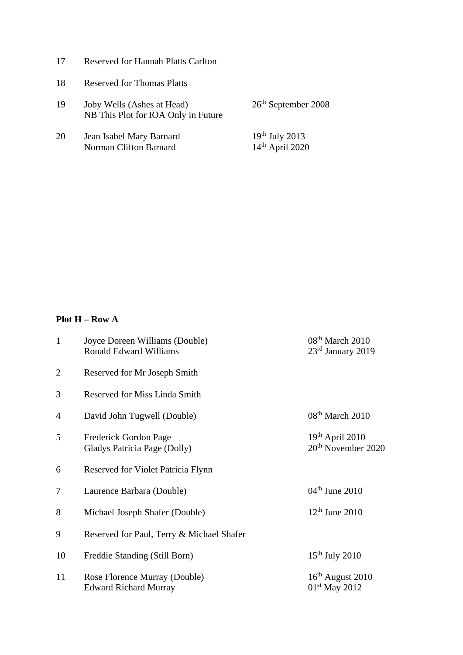| 17 | <b>Reserved for Hannah Platts Carlton</b> |  |  |  |  |
|----|-------------------------------------------|--|--|--|--|
|----|-------------------------------------------|--|--|--|--|

- 18 Reserved for Thomas Platts
- 19 Joby Wells (Ashes at Head) 26<sup>th</sup> September 2008 NB This Plot for IOA Only in Future
- 20 Jean Isabel Mary Barnard 19th July 2013 Norman Clifton Barnard 14<sup>th</sup> April 2020

#### **Plot H – Row A**

| $\mathbf{1}$   | Joyce Doreen Williams (Double)<br><b>Ronald Edward Williams</b> | 08 <sup>th</sup> March 2010<br>$23rd$ January 2019  |
|----------------|-----------------------------------------------------------------|-----------------------------------------------------|
| $\overline{2}$ | Reserved for Mr Joseph Smith                                    |                                                     |
| 3              | <b>Reserved for Miss Linda Smith</b>                            |                                                     |
| $\overline{4}$ | David John Tugwell (Double)                                     | 08 <sup>th</sup> March 2010                         |
| 5              | Frederick Gordon Page<br>Gladys Patricia Page (Dolly)           | $19th$ April 2010<br>20 <sup>th</sup> November 2020 |
| 6              | Reserved for Violet Patricia Flynn                              |                                                     |
| 7              | Laurence Barbara (Double)                                       | $04th$ June 2010                                    |
| 8              | Michael Joseph Shafer (Double)                                  | $12th$ June 2010                                    |
| 9              | Reserved for Paul, Terry & Michael Shafer                       |                                                     |
| 10             | Freddie Standing (Still Born)                                   | $15th$ July 2010                                    |
| 11             | Rose Florence Murray (Double)<br><b>Edward Richard Murray</b>   | $16th$ August 2010<br>$01st$ May 2012               |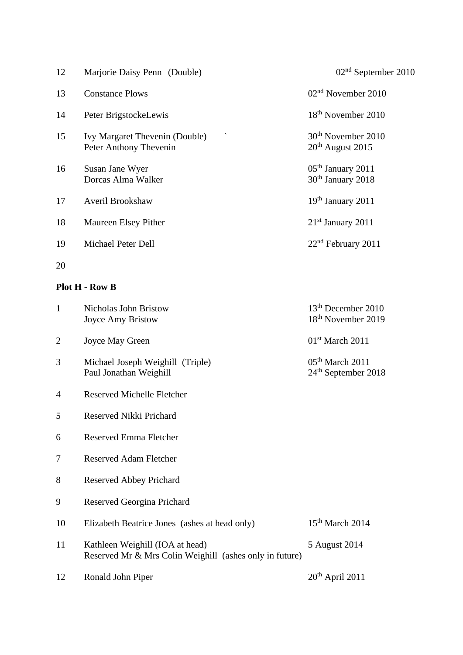| 12 | Marjorie Daisy Penn (Double)                                             | $02nd$ September 2010                                |
|----|--------------------------------------------------------------------------|------------------------------------------------------|
| 13 | <b>Constance Plows</b>                                                   | $02nd$ November 2010                                 |
| 14 | Peter BrigstockeLewis                                                    | 18 <sup>th</sup> November 2010                       |
| 15 | $\checkmark$<br>Ivy Margaret Thevenin (Double)<br>Peter Anthony Thevenin | 30 <sup>th</sup> November 2010<br>$20th$ August 2015 |
| 16 | Susan Jane Wyer<br>Dorcas Alma Walker                                    | $05th$ January 2011<br>30 <sup>th</sup> January 2018 |
| 17 | Averil Brookshaw                                                         | $19th$ January 2011                                  |
| 18 | Maureen Elsey Pither                                                     | $21st$ January 2011                                  |
| 19 | Michael Peter Dell                                                       | $22nd$ February 2011                                 |
| 20 |                                                                          |                                                      |

#### **Plot H - Row B**

| $\mathbf{1}$   | <b>Nicholas John Bristow</b><br>Joyce Amy Bristow                                          | 13 <sup>th</sup> December 2010<br>18 <sup>th</sup> November 2019 |
|----------------|--------------------------------------------------------------------------------------------|------------------------------------------------------------------|
| $\overline{2}$ | Joyce May Green                                                                            | $01st$ March 2011                                                |
| 3              | Michael Joseph Weighill (Triple)<br>Paul Jonathan Weighill                                 | 05 <sup>th</sup> March 2011<br>$24th$ September 2018             |
| $\overline{4}$ | <b>Reserved Michelle Fletcher</b>                                                          |                                                                  |
| 5              | Reserved Nikki Prichard                                                                    |                                                                  |
| 6              | <b>Reserved Emma Fletcher</b>                                                              |                                                                  |
| 7              | <b>Reserved Adam Fletcher</b>                                                              |                                                                  |
| 8              | <b>Reserved Abbey Prichard</b>                                                             |                                                                  |
| 9              | Reserved Georgina Prichard                                                                 |                                                                  |
| 10             | Elizabeth Beatrice Jones (ashes at head only)                                              | $15th$ March 2014                                                |
| 11             | Kathleen Weighill (IOA at head)<br>Reserved Mr & Mrs Colin Weighill (ashes only in future) | 5 August 2014                                                    |
| 12             | Ronald John Piper                                                                          | $20th$ April 2011                                                |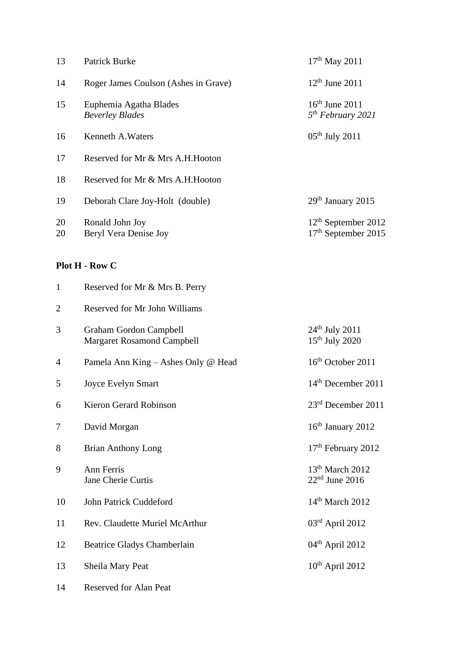| 13             | <b>Patrick Burke</b>                                               | $17th$ May 2011                                          |
|----------------|--------------------------------------------------------------------|----------------------------------------------------------|
| 14             | Roger James Coulson (Ashes in Grave)                               | $12th$ June 2011                                         |
| 15             | Euphemia Agatha Blades<br><b>Beverley Blades</b>                   | $16th$ June 2011<br>5 <sup>th</sup> February 2021        |
| 16             | Kenneth A. Waters                                                  | $05th$ July 2011                                         |
| 17             | Reserved for Mr & Mrs A.H. Hooton                                  |                                                          |
| 18             | Reserved for Mr & Mrs A.H.Hooton                                   |                                                          |
| 19             | Deborah Clare Joy-Holt (double)                                    | 29 <sup>th</sup> January 2015                            |
| 20<br>20       | Ronald John Joy<br>Beryl Vera Denise Joy                           | $12th$ September 2012<br>17 <sup>th</sup> September 2015 |
|                | Plot H - Row C                                                     |                                                          |
| $\mathbf{1}$   | Reserved for Mr & Mrs B. Perry                                     |                                                          |
| $\overline{2}$ | <b>Reserved for Mr John Williams</b>                               |                                                          |
| 3              | <b>Graham Gordon Campbell</b><br><b>Margaret Rosamond Campbell</b> | $24th$ July 2011<br>$15th$ July 2020                     |
| 4              | Pamela Ann King - Ashes Only @ Head                                | $16th$ October 2011                                      |
| 5              | <b>Joyce Evelyn Smart</b>                                          | $14th$ December 2011                                     |
| 6              | <b>Kieron Gerard Robinson</b>                                      | 23 <sup>rd</sup> December 2011                           |
| 7              | David Morgan                                                       | 16 <sup>th</sup> January 2012                            |
| 8              | <b>Brian Anthony Long</b>                                          | 17 <sup>th</sup> February 2012                           |
| 9              | Ann Ferris<br>Jane Cherie Curtis                                   | 13 <sup>th</sup> March 2012<br>$22nd$ June 2016          |
| 10             | John Patrick Cuddeford                                             | $14th$ March 2012                                        |
| 11             | Rev. Claudette Muriel McArthur                                     | $03rd$ April 2012                                        |
| 12             | <b>Beatrice Gladys Chamberlain</b>                                 | $04th$ April 2012                                        |

- 13 Sheila Mary Peat 10<sup>th</sup> April 2012
- 14 Reserved for Alan Peat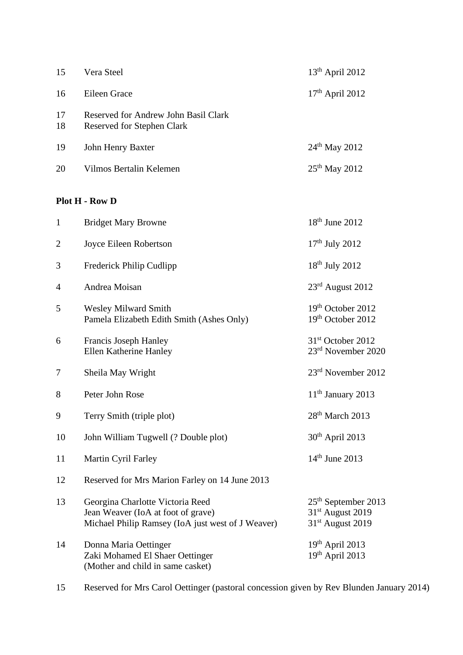| 15             | Vera Steel                                                                                                                  | $13th$ April 2012                                                                     |
|----------------|-----------------------------------------------------------------------------------------------------------------------------|---------------------------------------------------------------------------------------|
| 16             | Eileen Grace                                                                                                                | $17th$ April 2012                                                                     |
| 17<br>18       | Reserved for Andrew John Basil Clark<br><b>Reserved for Stephen Clark</b>                                                   |                                                                                       |
| 19             | John Henry Baxter                                                                                                           | $24th$ May 2012                                                                       |
| 20             | Vilmos Bertalin Kelemen                                                                                                     | 25 <sup>th</sup> May 2012                                                             |
|                | Plot H - Row D                                                                                                              |                                                                                       |
| $\mathbf{1}$   | <b>Bridget Mary Browne</b>                                                                                                  | $18th$ June 2012                                                                      |
| $\overline{2}$ | Joyce Eileen Robertson                                                                                                      | $17th$ July 2012                                                                      |
| 3              | Frederick Philip Cudlipp                                                                                                    | $18th$ July 2012                                                                      |
| 4              | Andrea Moisan                                                                                                               | 23rd August 2012                                                                      |
| 5              | <b>Wesley Milward Smith</b><br>Pamela Elizabeth Edith Smith (Ashes Only)                                                    | 19th October 2012<br>19th October 2012                                                |
| 6              | Francis Joseph Hanley<br>Ellen Katherine Hanley                                                                             | 31 <sup>st</sup> October 2012<br>23rd November 2020                                   |
| 7              | Sheila May Wright                                                                                                           | 23 <sup>rd</sup> November 2012                                                        |
| 8              | Peter John Rose                                                                                                             | $11th$ January 2013                                                                   |
| 9              | Terry Smith (triple plot)                                                                                                   | 28 <sup>th</sup> March 2013                                                           |
| 10             | John William Tugwell (? Double plot)                                                                                        | $30th$ April 2013                                                                     |
| 11             | Martin Cyril Farley                                                                                                         | $14th$ June 2013                                                                      |
| 12             | Reserved for Mrs Marion Farley on 14 June 2013                                                                              |                                                                                       |
| 13             | Georgina Charlotte Victoria Reed<br>Jean Weaver (IoA at foot of grave)<br>Michael Philip Ramsey (IoA just west of J Weaver) | $25th$ September 2013<br>31 <sup>st</sup> August 2019<br>31 <sup>st</sup> August 2019 |
| 14             | Donna Maria Oettinger<br>Zaki Mohamed El Shaer Oettinger<br>(Mother and child in same casket)                               | $19th$ April 2013<br>$19th$ April 2013                                                |

15 Reserved for Mrs Carol Oettinger (pastoral concession given by Rev Blunden January 2014)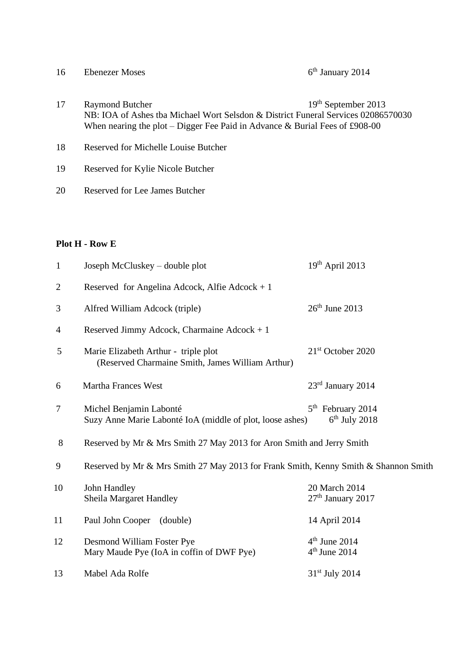| 16 | <b>Ebenezer Moses</b>                                                                                                                                                                      | $6th$ January 2014    |
|----|--------------------------------------------------------------------------------------------------------------------------------------------------------------------------------------------|-----------------------|
| 17 | <b>Raymond Butcher</b><br>NB: IOA of Ashes tba Michael Wort Selsdon & District Funeral Services 02086570030<br>When nearing the plot – Digger Fee Paid in Advance & Burial Fees of £908-00 | $19th$ September 2013 |
| 18 | Reserved for Michelle Louise Butcher                                                                                                                                                       |                       |
| 19 | Reserved for Kylie Nicole Butcher                                                                                                                                                          |                       |
| 20 | Reserved for Lee James Butcher                                                                                                                                                             |                       |

## **Plot H - Row E**

| $\mathbf{1}$   | Joseph McCluskey – double plot                                                           | $19th$ April 2013                      |
|----------------|------------------------------------------------------------------------------------------|----------------------------------------|
| $\overline{2}$ | Reserved for Angelina Adcock, Alfie Adcock + $1$                                         |                                        |
| 3              | Alfred William Adcock (triple)                                                           | $26th$ June 2013                       |
| $\overline{4}$ | Reserved Jimmy Adcock, Charmaine Adcock + $1$                                            |                                        |
| 5              | Marie Elizabeth Arthur - triple plot<br>(Reserved Charmaine Smith, James William Arthur) | 21 <sup>st</sup> October 2020          |
| 6              | <b>Martha Frances West</b>                                                               | 23rd January 2014                      |
| $\tau$         | Michel Benjamin Labonté<br>Suzy Anne Marie Labonté IoA (middle of plot, loose ashes)     | $5th$ February 2014<br>$6th$ July 2018 |
| 8              | Reserved by Mr & Mrs Smith 27 May 2013 for Aron Smith and Jerry Smith                    |                                        |
| 9              | Reserved by Mr & Mrs Smith 27 May 2013 for Frank Smith, Kenny Smith & Shannon Smith      |                                        |
| 10             | John Handley<br><b>Sheila Margaret Handley</b>                                           | 20 March 2014<br>$27th$ January 2017   |
| 11             | Paul John Cooper<br>(double)                                                             | 14 April 2014                          |
| 12             | Desmond William Foster Pye<br>Mary Maude Pye (IoA in coffin of DWF Pye)                  | $4th$ June 2014<br>$4th$ June 2014     |
| 13             | Mabel Ada Rolfe                                                                          | $31st$ July 2014                       |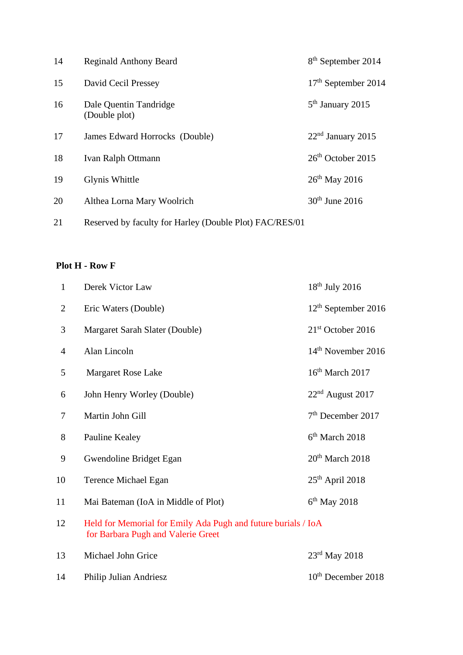| 14 | <b>Reginald Anthony Beard</b>                           | 8 <sup>th</sup> September 2014 |
|----|---------------------------------------------------------|--------------------------------|
| 15 | David Cecil Pressey                                     | $17th$ September 2014          |
| 16 | Dale Quentin Tandridge<br>(Double plot)                 | $5th$ January 2015             |
| 17 | James Edward Horrocks (Double)                          | $22nd$ January 2015            |
| 18 | <b>Ivan Ralph Ottmann</b>                               | $26th$ October 2015            |
| 19 | Glynis Whittle                                          | $26th$ May 2016                |
| 20 | Althea Lorna Mary Woolrich                              | $30th$ June 2016               |
| 21 | Reserved by faculty for Harley (Double Plot) FAC/RES/01 |                                |

#### **Plot H - Row F**

| $\mathbf{1}$   | Derek Victor Law                                                                                    | $18th$ July 2016                |
|----------------|-----------------------------------------------------------------------------------------------------|---------------------------------|
| $\overline{2}$ | Eric Waters (Double)                                                                                | 12 <sup>th</sup> September 2016 |
| 3              | Margaret Sarah Slater (Double)                                                                      | 21 <sup>st</sup> October 2016   |
| $\overline{4}$ | Alan Lincoln                                                                                        | 14 <sup>th</sup> November 2016  |
| 5              | Margaret Rose Lake                                                                                  | 16 <sup>th</sup> March 2017     |
| 6              | John Henry Worley (Double)                                                                          | $22nd$ August 2017              |
| 7              | Martin John Gill                                                                                    | 7 <sup>th</sup> December 2017   |
| 8              | Pauline Kealey                                                                                      | 6 <sup>th</sup> March 2018      |
| 9              | Gwendoline Bridget Egan                                                                             | 20 <sup>th</sup> March 2018     |
| 10             | Terence Michael Egan                                                                                | 25 <sup>th</sup> April 2018     |
| 11             | Mai Bateman (IoA in Middle of Plot)                                                                 | $6th$ May 2018                  |
| 12             | Held for Memorial for Emily Ada Pugh and future burials / IoA<br>for Barbara Pugh and Valerie Greet |                                 |
| 13             | Michael John Grice                                                                                  | $23rd$ May 2018                 |
| 14             | Philip Julian Andriesz                                                                              | 10 <sup>th</sup> December 2018  |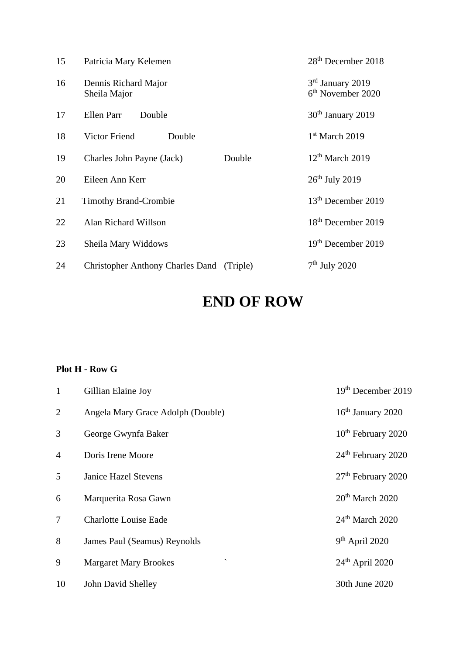| 15 | Patricia Mary Kelemen                   |          | 28 <sup>th</sup> December 2018                    |
|----|-----------------------------------------|----------|---------------------------------------------------|
| 16 | Dennis Richard Major<br>Sheila Major    |          | 3rd January 2019<br>6 <sup>th</sup> November 2020 |
| 17 | Ellen Parr<br>Double                    |          | 30 <sup>th</sup> January 2019                     |
| 18 | <b>Victor Friend</b><br>Double          |          | $1st$ March 2019                                  |
| 19 | Charles John Payne (Jack)               | Double   | 12 <sup>th</sup> March 2019                       |
| 20 | Eileen Ann Kerr                         |          | $26th$ July 2019                                  |
| 21 | <b>Timothy Brand-Crombie</b>            |          | 13 <sup>th</sup> December 2019                    |
| 22 | Alan Richard Willson                    |          | 18 <sup>th</sup> December 2019                    |
| 23 | Sheila Mary Widdows                     |          | 19 <sup>th</sup> December 2019                    |
| 24 | <b>Christopher Anthony Charles Dand</b> | (Triple) | $7th$ July 2020                                   |

# **END OF ROW**

## **Plot H - Row G**

| $\mathbf{1}$   | Gillian Elaine Joy                           | 19 <sup>th</sup> December 2019 |
|----------------|----------------------------------------------|--------------------------------|
| $\overline{2}$ | Angela Mary Grace Adolph (Double)            | $16th$ January 2020            |
| 3              | George Gwynfa Baker                          | 10 <sup>th</sup> February 2020 |
| $\overline{4}$ | Doris Irene Moore                            | 24 <sup>th</sup> February 2020 |
| 5              | <b>Janice Hazel Stevens</b>                  | 27 <sup>th</sup> February 2020 |
| 6              | Marquerita Rosa Gawn                         | $20th$ March 2020              |
| 7              | <b>Charlotte Louise Eade</b>                 | $24th$ March 2020              |
| 8              | James Paul (Seamus) Reynolds                 | $9th$ April 2020               |
| 9              | $\checkmark$<br><b>Margaret Mary Brookes</b> | $24th$ April 2020              |
| 10             | John David Shelley                           | 30th June 2020                 |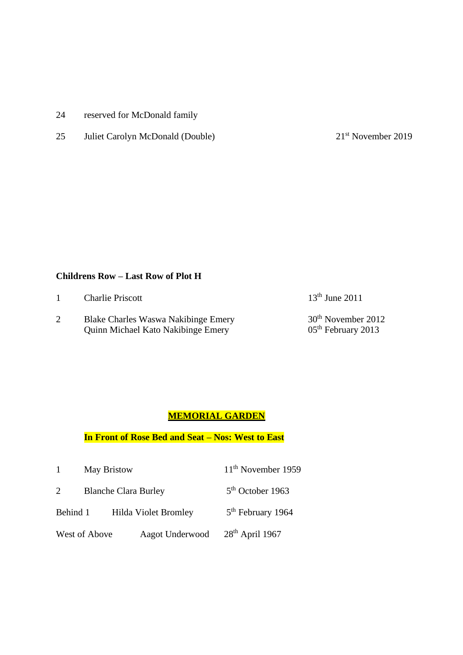- 24 reserved for McDonald family
- 25 Juliet Carolyn McDonald (Double) 21<sup>st</sup> November 2019

#### **Childrens Row – Last Row of Plot H**

| <b>Charlie Priscott</b>                                                                 | $13th$ June 2011                                       |
|-----------------------------------------------------------------------------------------|--------------------------------------------------------|
| <b>Blake Charles Waswa Nakibinge Emery</b><br><b>Quinn Michael Kato Nakibinge Emery</b> | 30 <sup>th</sup> November 2012<br>$05th$ February 2013 |

#### **MEMORIAL GARDEN**

## **In Front of Rose Bed and Seat – Nos: West to East**

|                | <b>May Bristow</b> |                             | $11th$ November 1959          |
|----------------|--------------------|-----------------------------|-------------------------------|
| $\overline{2}$ |                    | <b>Blanche Clara Burley</b> | $5th$ October 1963            |
| Behind 1       |                    | Hilda Violet Bromley        | 5 <sup>th</sup> February 1964 |
|                | West of Above      | Aagot Underwood             | $28th$ April 1967             |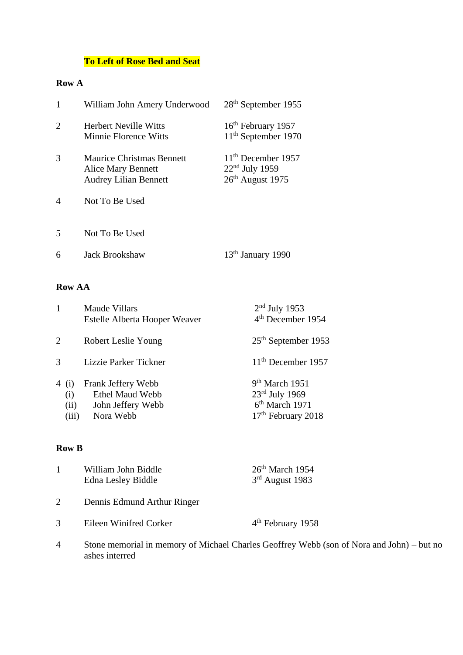# **To Left of Rose Bed and Seat**

## **Row A**

| $\mathbf{1}$            | William John Amery Underwood                                                           | $28th$ September 1955                                             |
|-------------------------|----------------------------------------------------------------------------------------|-------------------------------------------------------------------|
| 2                       | <b>Herbert Neville Witts</b><br><b>Minnie Florence Witts</b>                           | 16 <sup>th</sup> February 1957<br>11 <sup>th</sup> September 1970 |
| 3                       | <b>Maurice Christmas Bennett</b><br>Alice Mary Bennett<br><b>Audrey Lilian Bennett</b> | $11th$ December 1957<br>$22nd$ July 1959<br>$26th$ August 1975    |
| $\overline{4}$          | Not To Be Used                                                                         |                                                                   |
| $\overline{\mathbf{5}}$ | Not To Be Used                                                                         |                                                                   |
| 6                       | <b>Jack Brookshaw</b>                                                                  | $13th$ January 1990                                               |

## **Row AA**

|       |                      | <b>Maude Villars</b><br>Estelle Alberta Hooper Weaver                          | $2nd$ July 1953<br>4 <sup>th</sup> December 1954                                                               |
|-------|----------------------|--------------------------------------------------------------------------------|----------------------------------------------------------------------------------------------------------------|
| 2     |                      | Robert Leslie Young                                                            | 25 <sup>th</sup> September 1953                                                                                |
| 3     |                      | Lizzie Parker Tickner                                                          | $11th$ December 1957                                                                                           |
| 4 (i) | (i)<br>(ii)<br>(iii) | Frank Jeffery Webb<br><b>Ethel Maud Webb</b><br>John Jeffery Webb<br>Nora Webb | 9 <sup>th</sup> March 1951<br>$23rd$ July 1969<br>6 <sup>th</sup> March 1971<br>17 <sup>th</sup> February 2018 |

## **Row B**

|   | William John Biddle<br>Edna Lesley Biddle | $26th$ March 1954<br>$3rd$ August 1983                                                    |
|---|-------------------------------------------|-------------------------------------------------------------------------------------------|
|   | Dennis Edmund Arthur Ringer               |                                                                                           |
|   | Eileen Winifred Corker                    | $4th$ February 1958                                                                       |
| 4 | ashes interred                            | Stone memorial in memory of Michael Charles Geoffrey Webb (son of Nora and John) – but no |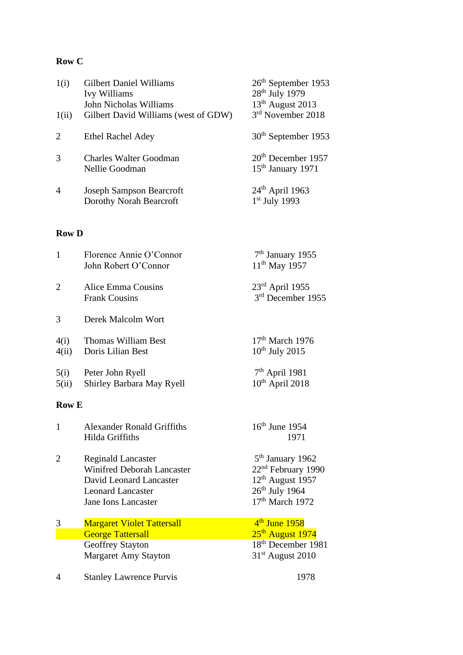# **Row C**

| 1(i)<br>1(ii)               | <b>Gilbert Daniel Williams</b><br>Ivy Williams<br>John Nicholas Williams<br>Gilbert David Williams (west of GDW) | $26th$ September 1953<br>28 <sup>th</sup> July 1979<br>13 <sup>th</sup> August 2013<br>3rd November 2018 |
|-----------------------------|------------------------------------------------------------------------------------------------------------------|----------------------------------------------------------------------------------------------------------|
| $\mathcal{D}_{\mathcal{L}}$ | <b>Ethel Rachel Adey</b>                                                                                         | 30 <sup>th</sup> September 1953                                                                          |
| 3                           | Charles Walter Goodman<br>Nellie Goodman                                                                         | $20th$ December 1957<br>15 <sup>th</sup> January 1971                                                    |
| $\overline{4}$              | <b>Joseph Sampson Bearcroft</b><br>Dorothy Norah Bearcroft                                                       | $24th$ April 1963<br>$1st$ July 1993                                                                     |

## **Row D**

| $\overline{1}$ | Florence Annie O'Connor<br>John Robert O'Connor                                           | 7 <sup>th</sup> January 1955<br>$11^{th}$ May 1957                                 |
|----------------|-------------------------------------------------------------------------------------------|------------------------------------------------------------------------------------|
| $\overline{2}$ | Alice Emma Cousins<br><b>Frank Cousins</b>                                                | $23^{\text{rd}}$ April 1955<br>3rd December 1955                                   |
| 3              | Derek Malcolm Wort                                                                        |                                                                                    |
| 4(i)<br>4(ii)  | <b>Thomas William Best</b><br>Doris Lilian Best                                           | $17th$ March 1976<br>$10^{th}$ July 2015                                           |
| 5(i)<br>5(ii)  | Peter John Ryell<br>Shirley Barbara May Ryell                                             | $7th$ April 1981<br>$10th$ April 2018                                              |
| <b>Row E</b>   |                                                                                           |                                                                                    |
| $\mathbf{1}$   | <b>Alexander Ronald Griffiths</b><br>Hilda Griffiths                                      | 16 <sup>th</sup> June 1954<br>1971                                                 |
| $\overline{2}$ | <b>Reginald Lancaster</b><br><b>Winifred Deborah Lancaster</b><br>David Leonard Lancaster | 5 <sup>th</sup> January 1962<br>22 <sup>nd</sup> February 1990                     |
|                | <b>Leonard Lancaster</b><br>Jane Ions Lancaster                                           | 12 <sup>th</sup> August 1957<br>$26^{th}$ July 1964<br>17 <sup>th</sup> March 1972 |
| 3              | <b>Margaret Violet Tattersall</b>                                                         | $4th$ June 1958                                                                    |
|                | <b>George Tattersall</b>                                                                  | 25 <sup>th</sup> August 1974                                                       |
|                | Geoffrey Stayton                                                                          | 18 <sup>th</sup> December 1981                                                     |
|                | Margaret Amy Stayton                                                                      | 31 <sup>st</sup> August 2010                                                       |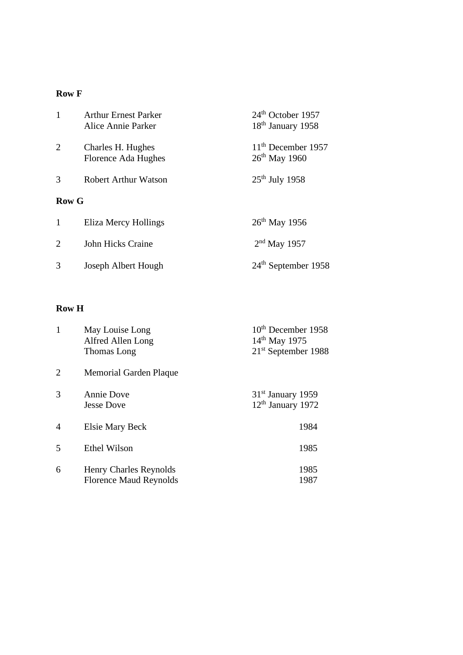## **Row F**

| 1             | <b>Arthur Ernest Parker</b><br>Alice Annie Parker | $24th$ October 1957<br>18 <sup>th</sup> January 1958 |
|---------------|---------------------------------------------------|------------------------------------------------------|
| 2             | Charles H. Hughes<br>Florence Ada Hughes          | $11th$ December 1957<br>$26th$ May 1960              |
| $\mathcal{R}$ | Robert Arthur Watson                              | $25th$ July 1958                                     |
| Row G         |                                                   |                                                      |
| 1             | Eliza Mercy Hollings                              | $26^{th}$ May 1956                                   |
| 2             | John Hicks Craine                                 | $2nd$ May 1957                                       |
| 3             | Joseph Albert Hough                               | $24th$ September 1958                                |

## **Row H**

| 1              | May Louise Long<br>Alfred Allen Long<br>Thomas Long     | 10 <sup>th</sup> December 1958<br>14 <sup>th</sup> May 1975<br>21 <sup>st</sup> September 1988 |
|----------------|---------------------------------------------------------|------------------------------------------------------------------------------------------------|
| $\overline{2}$ | Memorial Garden Plaque                                  |                                                                                                |
| 3              | <b>Annie Dove</b><br><b>Jesse Dove</b>                  | 31 <sup>st</sup> January 1959<br>12 <sup>th</sup> January 1972                                 |
| $\overline{4}$ | Elsie Mary Beck                                         | 1984                                                                                           |
| 5              | <b>Ethel Wilson</b>                                     | 1985                                                                                           |
| 6              | Henry Charles Reynolds<br><b>Florence Maud Reynolds</b> | 1985<br>1987                                                                                   |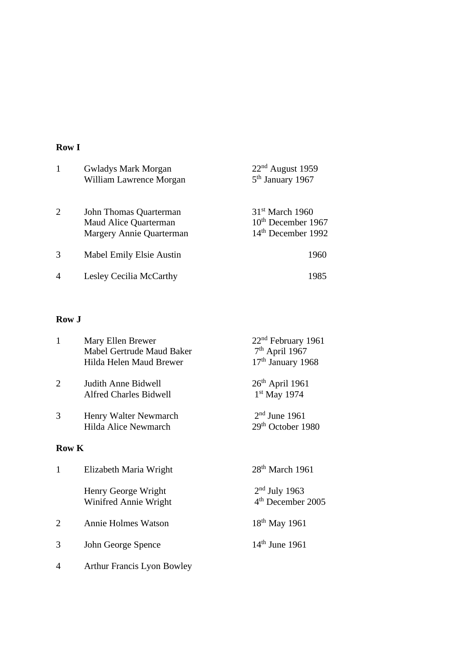#### **Row I**

| $\mathbf{1}$ | <b>Gwladys Mark Morgan</b><br>William Lawrence Morgan                       | $22nd$ August 1959<br>5 <sup>th</sup> January 1967                          |
|--------------|-----------------------------------------------------------------------------|-----------------------------------------------------------------------------|
| 2            | John Thomas Quarterman<br>Maud Alice Quarterman<br>Margery Annie Quarterman | $31st$ March 1960<br>$10th$ December 1967<br>14 <sup>th</sup> December 1992 |
| 3            | Mabel Emily Elsie Austin                                                    | 1960                                                                        |
| 4            | Lesley Cecilia McCarthy                                                     | 1985                                                                        |

#### **Row J**

| $\mathbf{1}$   | Mary Ellen Brewer<br>Mabel Gertrude Maud Baker<br>Hilda Helen Maud Brewer | 22 <sup>nd</sup> February 1961<br>$7th$ April 1967<br>17 <sup>th</sup> January 1968 |
|----------------|---------------------------------------------------------------------------|-------------------------------------------------------------------------------------|
| $\overline{2}$ | Judith Anne Bidwell<br><b>Alfred Charles Bidwell</b>                      | $26th$ April 1961<br>1 <sup>st</sup> May 1974                                       |
| 3              | Henry Walter Newmarch<br>Hilda Alice Newmarch                             | $2nd$ June 1961<br>29 <sup>th</sup> October 1980                                    |
| <b>Row K</b>   |                                                                           |                                                                                     |
| $\mathbf{1}$   | Elizabeth Maria Wright                                                    | $28th$ March 1961                                                                   |
|                | Henry George Wright<br>Winifred Annie Wright                              | $2nd$ July 1963<br>4 <sup>th</sup> December 2005                                    |
| $\overline{2}$ | <b>Annie Holmes Watson</b>                                                | 18 <sup>th</sup> May 1961                                                           |
| 3              | John George Spence                                                        | $14th$ June 1961                                                                    |
| 4              | <b>Arthur Francis Lyon Bowley</b>                                         |                                                                                     |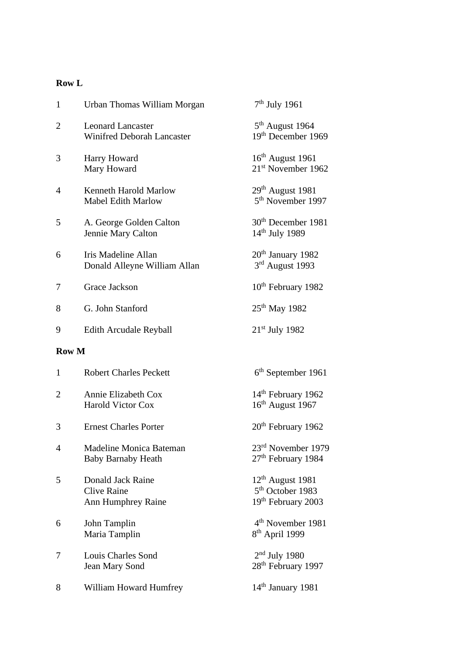## **Row L**

| $\mathbf{1}$   | Urban Thomas William Morgan                                          | $7th$ July 1961                                                                    |
|----------------|----------------------------------------------------------------------|------------------------------------------------------------------------------------|
| $\overline{2}$ | <b>Leonard Lancaster</b><br><b>Winifred Deborah Lancaster</b>        | 5 <sup>th</sup> August 1964<br>19th December 1969                                  |
| 3              | Harry Howard<br>Mary Howard                                          | 16 <sup>th</sup> August 1961<br>21 <sup>st</sup> November 1962                     |
| $\overline{4}$ | Kenneth Harold Marlow<br><b>Mabel Edith Marlow</b>                   | 29 <sup>th</sup> August 1981<br>5 <sup>th</sup> November 1997                      |
| 5              | A. George Golden Calton<br>Jennie Mary Calton                        | 30 <sup>th</sup> December 1981<br>14 <sup>th</sup> July 1989                       |
| 6              | Iris Madeline Allan<br>Donald Alleyne William Allan                  | 20 <sup>th</sup> January 1982<br>3rd August 1993                                   |
| 7              | Grace Jackson                                                        | 10 <sup>th</sup> February 1982                                                     |
| 8              | G. John Stanford                                                     | 25 <sup>th</sup> May 1982                                                          |
| 9              | <b>Edith Arcudale Reyball</b>                                        | $21st$ July 1982                                                                   |
| <b>Row M</b>   |                                                                      |                                                                                    |
| $\mathbf{1}$   | <b>Robert Charles Peckett</b>                                        | 6 <sup>th</sup> September 1961                                                     |
| $\overline{2}$ | Annie Elizabeth Cox<br><b>Harold Victor Cox</b>                      | 14 <sup>th</sup> February 1962<br>16 <sup>th</sup> August 1967                     |
| 3              | <b>Ernest Charles Porter</b>                                         | 20 <sup>th</sup> February 1962                                                     |
| 4              | Madeline Monica Bateman<br><b>Baby Barnaby Heath</b>                 | 23rd November 1979<br>27 <sup>th</sup> February 1984                               |
| 5              | Donald Jack Raine<br><b>Clive Raine</b><br><b>Ann Humphrey Raine</b> | 12 <sup>th</sup> August 1981<br>5 <sup>th</sup> October 1983<br>19th February 2003 |
| 6              | John Tamplin<br>Maria Tamplin                                        | 4 <sup>th</sup> November 1981<br>8 <sup>th</sup> April 1999                        |
| 7              | Louis Charles Sond<br>Jean Mary Sond                                 | $2nd$ July 1980<br>28 <sup>th</sup> February 1997                                  |
| 8              | William Howard Humfrey                                               | $14th$ January 1981                                                                |
|                |                                                                      |                                                                                    |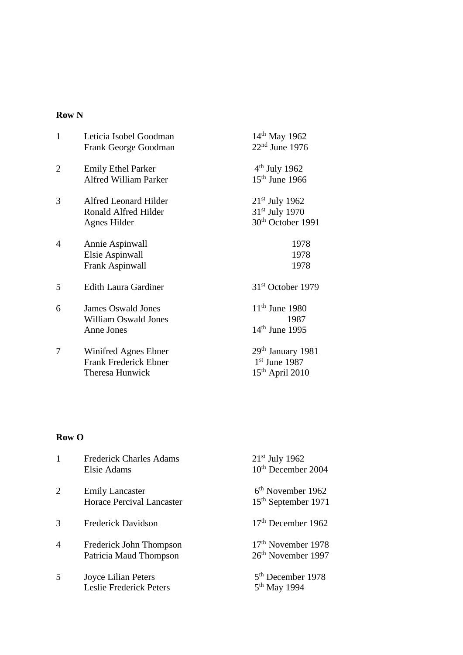#### **Row N**

| $\mathbf{1}$   | Leticia Isobel Goodman<br>Frank George Goodman                          | 14 <sup>th</sup> May 1962<br>$22nd$ June 1976                                   |
|----------------|-------------------------------------------------------------------------|---------------------------------------------------------------------------------|
| $\overline{2}$ | <b>Emily Ethel Parker</b><br><b>Alfred William Parker</b>               | $4th$ July 1962<br>$15th$ June 1966                                             |
| 3              | Alfred Leonard Hilder<br>Ronald Alfred Hilder<br>Agnes Hilder           | $21st$ July 1962<br>31 <sup>st</sup> July 1970<br>30 <sup>th</sup> October 1991 |
| $\overline{4}$ | Annie Aspinwall<br>Elsie Aspinwall<br>Frank Aspinwall                   | 1978<br>1978<br>1978                                                            |
| 5              | <b>Edith Laura Gardiner</b>                                             | 31 <sup>st</sup> October 1979                                                   |
| 6              | <b>James Oswald Jones</b><br><b>William Oswald Jones</b><br>Anne Jones  | $11th$ June 1980<br>1987<br>$14th$ June 1995                                    |
| 7              | Winifred Agnes Ebner<br><b>Frank Frederick Ebner</b><br>Theresa Hunwick | 29 <sup>th</sup> January 1981<br>$1st$ June 1987<br>$15th$ April 2010           |

## **Row O**

| 1 | <b>Frederick Charles Adams</b><br>Elsie Adams       | $21st$ July 1962<br>10 <sup>th</sup> December 2004               |
|---|-----------------------------------------------------|------------------------------------------------------------------|
| 2 | <b>Emily Lancaster</b><br>Horace Percival Lancaster | $6th$ November 1962<br>15 <sup>th</sup> September 1971           |
| 3 | <b>Frederick Davidson</b>                           | $17th$ December 1962                                             |
| 4 | Frederick John Thompson<br>Patricia Maud Thompson   | 17 <sup>th</sup> November 1978<br>26 <sup>th</sup> November 1997 |
| 5 | Joyce Lilian Peters<br>Leslie Frederick Peters      | 5 <sup>th</sup> December 1978<br>5 <sup>th</sup> May 1994        |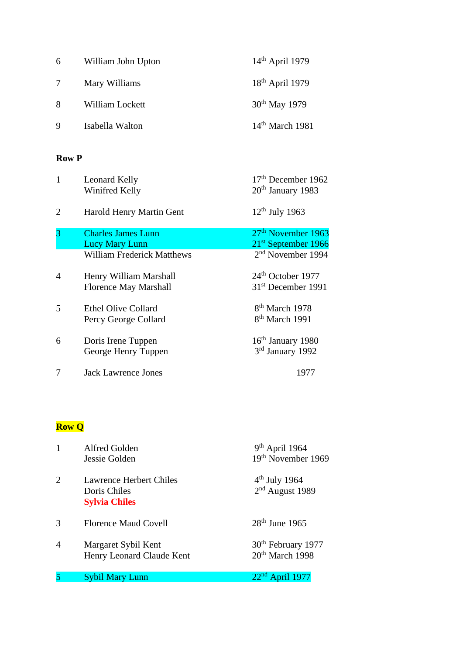| 6          | William John Upton | $14th$ April 1979         |
|------------|--------------------|---------------------------|
| $7\degree$ | Mary Williams      | $18th$ April 1979         |
| 8          | William Lockett    | 30 <sup>th</sup> May 1979 |
| 9          | Isabella Walton    | $14th$ March 1981         |

#### **Row P**

| $\mathbf{1}$   | Leonard Kelly<br>Winifred Kelly                        | $17th$ December 1962<br>20 <sup>th</sup> January 1983             |
|----------------|--------------------------------------------------------|-------------------------------------------------------------------|
| $\overline{2}$ | Harold Henry Martin Gent                               | $12th$ July 1963                                                  |
| 3              | <b>Charles James Lunn</b><br><b>Lucy Mary Lunn</b>     | 27 <sup>th</sup> November 1963<br>21 <sup>st</sup> September 1966 |
|                | <b>William Frederick Matthews</b>                      | $2nd$ November 1994                                               |
| $\overline{4}$ | Henry William Marshall<br><b>Florence May Marshall</b> | $24th$ October 1977<br>31 <sup>st</sup> December 1991             |
| 5              | <b>Ethel Olive Collard</b><br>Percy George Collard     | 8 <sup>th</sup> March 1978<br>8 <sup>th</sup> March 1991          |
| 6              | Doris Irene Tuppen<br>George Henry Tuppen              | $16th$ January 1980<br>3rd January 1992                           |
| 7              | <b>Jack Lawrence Jones</b>                             | 1977                                                              |

# **Row Q**

| 1              | Alfred Golden<br>Jessie Golden                                  | $9th$ April 1964<br>19 <sup>th</sup> November 1969            |
|----------------|-----------------------------------------------------------------|---------------------------------------------------------------|
| 2              | Lawrence Herbert Chiles<br>Doris Chiles<br><b>Sylvia Chiles</b> | $4^{\text{th}}$ July 1964<br>$2nd$ August 1989                |
| 3              | <b>Florence Maud Covell</b>                                     | $28th$ June 1965                                              |
| $\overline{4}$ | Margaret Sybil Kent<br>Henry Leonard Claude Kent                | 30 <sup>th</sup> February 1977<br>20 <sup>th</sup> March 1998 |
| 5              | <b>Sybil Mary Lunn</b>                                          | $22nd$ April 1977                                             |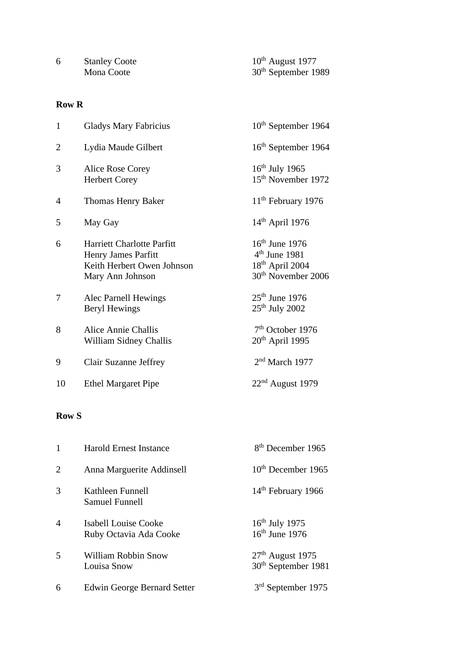| <b>Stanley Coote</b> | $10^{th}$ August 1977           |
|----------------------|---------------------------------|
| Mona Coote           | 30 <sup>th</sup> September 1989 |

#### **Row R**

| $\mathbf{1}$   | <b>Gladys Mary Fabricius</b>                                                                               | $10th$ September 1964                                                                         |
|----------------|------------------------------------------------------------------------------------------------------------|-----------------------------------------------------------------------------------------------|
| $\overline{2}$ | Lydia Maude Gilbert                                                                                        | 16 <sup>th</sup> September 1964                                                               |
| 3              | Alice Rose Corey<br><b>Herbert Corey</b>                                                                   | $16th$ July 1965<br>15 <sup>th</sup> November 1972                                            |
| $\overline{4}$ | Thomas Henry Baker                                                                                         | 11 <sup>th</sup> February 1976                                                                |
| 5              | May Gay                                                                                                    | $14th$ April 1976                                                                             |
| 6              | <b>Harriett Charlotte Parfitt</b><br>Henry James Parfitt<br>Keith Herbert Owen Johnson<br>Mary Ann Johnson | $16th$ June 1976<br>$4th$ June 1981<br>$18^{th}$ April 2004<br>30 <sup>th</sup> November 2006 |
| 7              | Alec Parnell Hewings<br>Beryl Hewings                                                                      | $25th$ June 1976<br>$25th$ July 2002                                                          |
| 8              | <b>Alice Annie Challis</b><br>William Sidney Challis                                                       | $7th$ October 1976<br>$20th$ April 1995                                                       |
| 9              | Clair Suzanne Jeffrey                                                                                      | $2nd$ March 1977                                                                              |
| 10             | <b>Ethel Margaret Pipe</b>                                                                                 | $22nd$ August 1979                                                                            |

## **Row S**

| 1              | <b>Harold Ernest Instance</b>                         | 8 <sup>th</sup> December 1965                         |
|----------------|-------------------------------------------------------|-------------------------------------------------------|
| 2              | Anna Marguerite Addinsell                             | $10th$ December 1965                                  |
| 3              | Kathleen Funnell<br><b>Samuel Funnell</b>             | 14 <sup>th</sup> February 1966                        |
| $\overline{4}$ | <b>Isabell Louise Cooke</b><br>Ruby Octavia Ada Cooke | $16th$ July 1975<br>$16th$ June 1976                  |
| 5              | <b>William Robbin Snow</b><br>Louisa Snow             | $27th$ August 1975<br>30 <sup>th</sup> September 1981 |
| 6              | <b>Edwin George Bernard Setter</b>                    | $3rd$ September 1975                                  |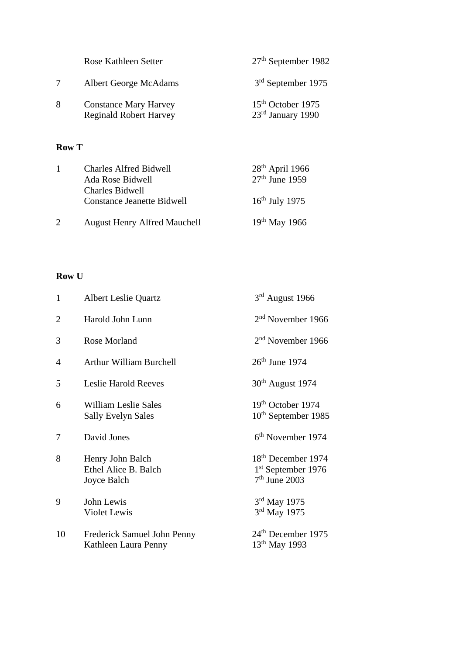|   | Rose Kathleen Setter                                          | $27th$ September 1982                              |
|---|---------------------------------------------------------------|----------------------------------------------------|
|   | <b>Albert George McAdams</b>                                  | $3rd$ September 1975                               |
| 8 | <b>Constance Mary Harvey</b><br><b>Reginald Robert Harvey</b> | 15 <sup>th</sup> October 1975<br>23rd January 1990 |

## **Row T**

| <b>Charles Alfred Bidwell</b><br>Ada Rose Bidwell           | $28th$ April 1966<br>$27th$ June 1959 |
|-------------------------------------------------------------|---------------------------------------|
| <b>Charles Bidwell</b><br><b>Constance Jeanette Bidwell</b> | $16th$ July 1975                      |
| <b>August Henry Alfred Mauchell</b>                         | $19^{th}$ May 1966                    |

### **Row U**

| $\mathbf{1}$   | <b>Albert Leslie Quartz</b>                              | $3rd$ August 1966                                                         |
|----------------|----------------------------------------------------------|---------------------------------------------------------------------------|
| $\overline{2}$ | Harold John Lunn                                         | $2nd$ November 1966                                                       |
| 3              | Rose Morland                                             | $2nd$ November 1966                                                       |
| 4              | <b>Arthur William Burchell</b>                           | $26th$ June 1974                                                          |
| 5              | <b>Leslie Harold Reeves</b>                              | $30th$ August 1974                                                        |
| 6              | <b>William Leslie Sales</b><br><b>Sally Evelyn Sales</b> | 19 <sup>th</sup> October 1974<br>10 <sup>th</sup> September 1985          |
| 7              | David Jones                                              | 6 <sup>th</sup> November 1974                                             |
| 8              | Henry John Balch<br>Ethel Alice B. Balch<br>Joyce Balch  | 18 <sup>th</sup> December 1974<br>$1st$ September 1976<br>$7th$ June 2003 |
| 9              | John Lewis<br>Violet Lewis                               | 3rd May 1975<br>$3rd$ May 1975                                            |
| 10             | Frederick Samuel John Penny<br>Kathleen Laura Penny      | 24 <sup>th</sup> December 1975<br>$13^{th}$ May 1993                      |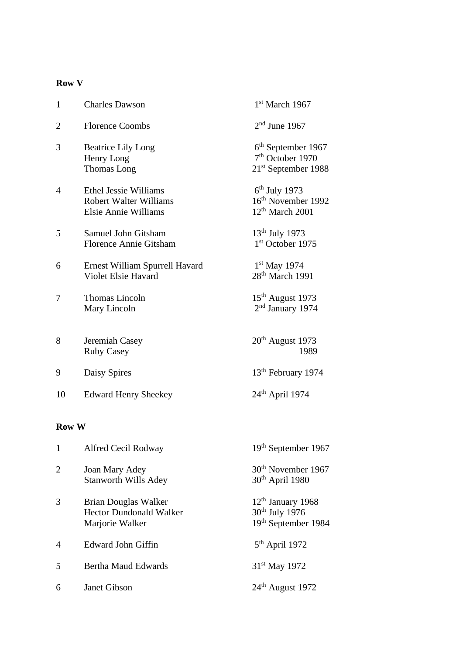## **Row V**

| $\mathbf{1}$   | <b>Charles Dawson</b>                                                                 | 1st March 1967                                                                        |
|----------------|---------------------------------------------------------------------------------------|---------------------------------------------------------------------------------------|
| $\overline{2}$ | <b>Florence Coombs</b>                                                                | $2nd$ June 1967                                                                       |
| 3              | <b>Beatrice Lily Long</b><br>Henry Long<br>Thomas Long                                | 6 <sup>th</sup> September 1967<br>7 <sup>th</sup> October 1970<br>21st September 1988 |
| $\overline{4}$ | Ethel Jessie Williams<br><b>Robert Walter Williams</b><br><b>Elsie Annie Williams</b> | $6th$ July 1973<br>16th November 1992<br>$12th$ March 2001                            |
| 5              | Samuel John Gitsham<br><b>Florence Annie Gitsham</b>                                  | $13th$ July 1973<br>1st October 1975                                                  |
| 6              | Ernest William Spurrell Havard<br>Violet Elsie Havard                                 | $1st$ May 1974<br>28 <sup>th</sup> March 1991                                         |
| 7              | <b>Thomas Lincoln</b><br>Mary Lincoln                                                 | $15th$ August 1973<br>2 <sup>nd</sup> January 1974                                    |
| 8              | Jeremiah Casey<br><b>Ruby Casey</b>                                                   | $20th$ August 1973<br>1989                                                            |
| 9              | Daisy Spires                                                                          | 13 <sup>th</sup> February 1974                                                        |
| 10             | <b>Edward Henry Sheekey</b>                                                           | $24th$ April 1974                                                                     |

### **Row W**

| $\mathbf{1}$            | Alfred Cecil Rodway                                                       | 19 <sup>th</sup> September 1967                                          |
|-------------------------|---------------------------------------------------------------------------|--------------------------------------------------------------------------|
| 2                       | Joan Mary Adey<br><b>Stanworth Wills Adey</b>                             | 30 <sup>th</sup> November 1967<br>$30th$ April 1980                      |
| 3                       | Brian Douglas Walker<br><b>Hector Dundonald Walker</b><br>Marjorie Walker | $12th$ January 1968<br>30 <sup>th</sup> July 1976<br>19th September 1984 |
| $\overline{4}$          | Edward John Giffin                                                        | $5th$ April 1972                                                         |
| $\overline{\mathbf{5}}$ | <b>Bertha Maud Edwards</b>                                                | 31 <sup>st</sup> May 1972                                                |
| 6                       | Janet Gibson                                                              | $24th$ August 1972                                                       |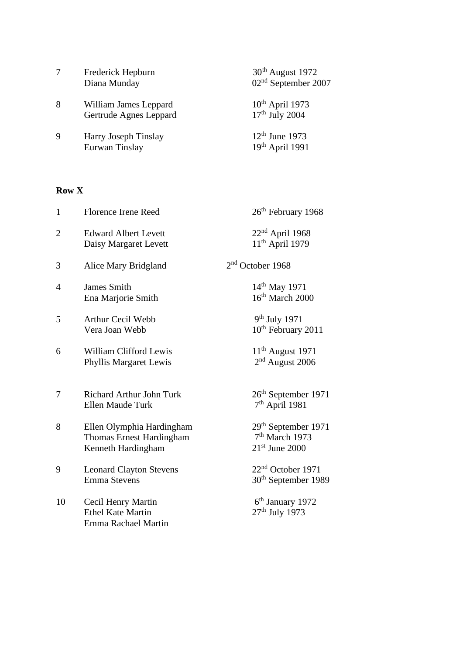|   | Frederick Hepburn<br>Diana Munday               | $30th$ August 1972<br>02 <sup>nd</sup> September 2007 |
|---|-------------------------------------------------|-------------------------------------------------------|
| 8 | William James Leppard<br>Gertrude Agnes Leppard | $10th$ April 1973<br>$17th$ July 2004                 |
| 9 | Harry Joseph Tinslay<br>Eurwan Tinslay          | $12th$ June 1973<br>$19th$ April 1991                 |

## **Row X**

| $\mathbf{1}$   | <b>Florence Irene Reed</b>                                                         | 26 <sup>th</sup> February 1968                                                    |
|----------------|------------------------------------------------------------------------------------|-----------------------------------------------------------------------------------|
| $\overline{2}$ | <b>Edward Albert Levett</b><br>Daisy Margaret Levett                               | 22 <sup>nd</sup> April 1968<br>$11th$ April 1979                                  |
| 3              | Alice Mary Bridgland                                                               | 2 <sup>nd</sup> October 1968                                                      |
| 4              | <b>James Smith</b><br>Ena Marjorie Smith                                           | $14^{th}$ May 1971<br>16 <sup>th</sup> March 2000                                 |
| 5              | <b>Arthur Cecil Webb</b><br>Vera Joan Webb                                         | 9th July 1971<br>10 <sup>th</sup> February 2011                                   |
| 6              | William Clifford Lewis<br><b>Phyllis Margaret Lewis</b>                            | $11th$ August 1971<br>$2nd$ August 2006                                           |
| 7              | <b>Richard Arthur John Turk</b><br>Ellen Maude Turk                                | 26 <sup>th</sup> September 1971<br>$7th$ April 1981                               |
| 8              | Ellen Olymphia Hardingham<br><b>Thomas Ernest Hardingham</b><br>Kenneth Hardingham | 29 <sup>th</sup> September 1971<br>7 <sup>th</sup> March 1973<br>$21st$ June 2000 |
| 9              | <b>Leonard Clayton Stevens</b><br><b>Emma Stevens</b>                              | $22nd$ October 1971<br>30 <sup>th</sup> September 1989                            |
| 10             | Cecil Henry Martin<br><b>Ethel Kate Martin</b><br>Emma Rachael Martin              | 6 <sup>th</sup> January 1972<br>27 <sup>th</sup> July 1973                        |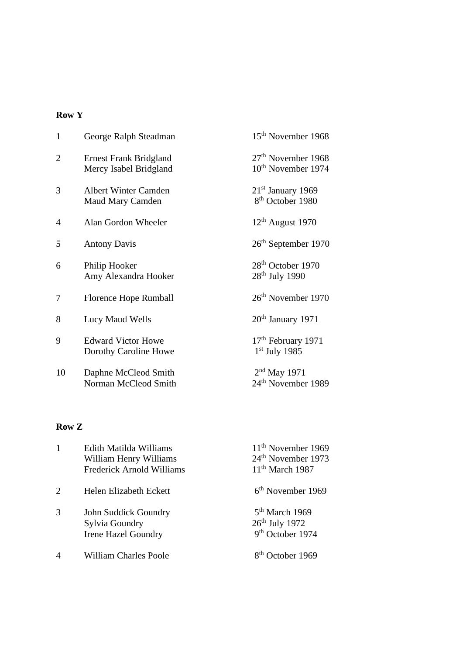#### **Row Y**

| $\mathbf{1}$   | George Ralph Steadman                                   | 15 <sup>th</sup> November 1968                                   |
|----------------|---------------------------------------------------------|------------------------------------------------------------------|
| $\overline{2}$ | <b>Ernest Frank Bridgland</b><br>Mercy Isabel Bridgland | 27 <sup>th</sup> November 1968<br>10 <sup>th</sup> November 1974 |
| 3              | <b>Albert Winter Camden</b><br><b>Maud Mary Camden</b>  | $21st$ January 1969<br>8 <sup>th</sup> October 1980              |
| $\overline{4}$ | Alan Gordon Wheeler                                     | $12th$ August 1970                                               |
| 5              | <b>Antony Davis</b>                                     | $26th$ September 1970                                            |
| 6              | Philip Hooker<br>Amy Alexandra Hooker                   | 28 <sup>th</sup> October 1970<br>$28th$ July 1990                |
| 7              | Florence Hope Rumball                                   | 26 <sup>th</sup> November 1970                                   |
| 8              | Lucy Maud Wells                                         | $20th$ January 1971                                              |
| 9              | <b>Edward Victor Howe</b><br>Dorothy Caroline Howe      | 17 <sup>th</sup> February 1971<br>$1st$ July 1985                |
| 10             | Daphne McCleod Smith<br>Norman McCleod Smith            | $2nd$ May 1971<br>24 <sup>th</sup> November 1989                 |

#### **Row Z**

|                             | Edith Matilda Williams           | $11th$ November 1969           |
|-----------------------------|----------------------------------|--------------------------------|
|                             | William Henry Williams           | 24 <sup>th</sup> November 1973 |
|                             | <b>Frederick Arnold Williams</b> | $11th$ March 1987              |
| $\mathcal{D}_{\mathcal{L}}$ | Helen Elizabeth Eckett           | $6th$ November 1969            |
| 3                           | John Suddick Goundry             | $5th$ March 1969               |
|                             | Sylvia Goundry                   | $26th$ July 1972               |
|                             | <b>Irene Hazel Goundry</b>       | 9 <sup>th</sup> October 1974   |
|                             | <b>William Charles Poole</b>     | October 1969                   |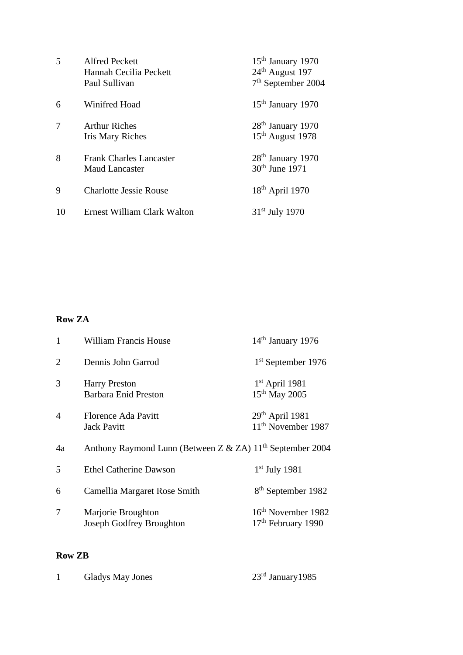| $\overline{\mathcal{L}}$ | <b>Alfred Peckett</b><br>Hannah Cecilia Peckett<br>Paul Sullivan | $15th$ January 1970<br>24 <sup>th</sup> August 197<br>7 <sup>th</sup> September 2004 |
|--------------------------|------------------------------------------------------------------|--------------------------------------------------------------------------------------|
| 6                        | Winifred Hoad                                                    | 15 <sup>th</sup> January 1970                                                        |
| 7                        | <b>Arthur Riches</b><br><b>Iris Mary Riches</b>                  | 28 <sup>th</sup> January 1970<br>15 <sup>th</sup> August 1978                        |
| 8                        | <b>Frank Charles Lancaster</b><br><b>Maud Lancaster</b>          | 28 <sup>th</sup> January 1970<br>30 <sup>th</sup> June 1971                          |
| $\mathbf Q$              | <b>Charlotte Jessie Rouse</b>                                    | $18th$ April 1970                                                                    |
| 10                       | Ernest William Clark Walton                                      | $31st$ July 1970                                                                     |

#### **Row ZA**

| $\mathbf{1}$   | <b>William Francis House</b>                                          | $14th$ January 1976                                              |
|----------------|-----------------------------------------------------------------------|------------------------------------------------------------------|
| $\overline{2}$ | Dennis John Garrod                                                    | $1st$ September 1976                                             |
| 3              | <b>Harry Preston</b><br><b>Barbara Enid Preston</b>                   | $1st$ April 1981<br>15 <sup>th</sup> May 2005                    |
| $\overline{4}$ | <b>Florence Ada Pavitt</b><br><b>Jack Pavitt</b>                      | 29th April 1981<br>11 <sup>th</sup> November 1987                |
| 4a             | Anthony Raymond Lunn (Between Z & ZA) 11 <sup>th</sup> September 2004 |                                                                  |
| 5              | <b>Ethel Catherine Dawson</b>                                         | $1st$ July 1981                                                  |
| 6              | Camellia Margaret Rose Smith                                          | 8 <sup>th</sup> September 1982                                   |
| 7              | Marjorie Broughton<br><b>Joseph Godfrey Broughton</b>                 | 16 <sup>th</sup> November 1982<br>17 <sup>th</sup> February 1990 |

#### **Row ZB**

|  | Gladys May Jones | $23rd$ January 1985 |
|--|------------------|---------------------|
|--|------------------|---------------------|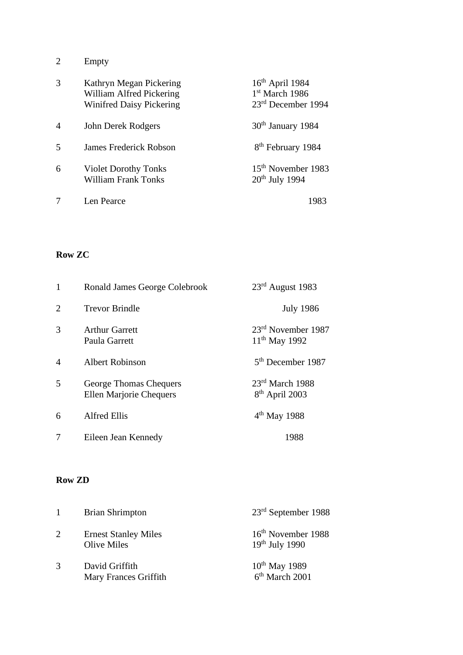2 Empty

| 3              | Kathryn Megan Pickering<br>William Alfred Pickering<br><b>Winifred Daisy Pickering</b> | $16th$ April 1984<br>$1st$ March 1986<br>$23rd$ December 1994 |
|----------------|----------------------------------------------------------------------------------------|---------------------------------------------------------------|
| $\overline{4}$ | John Derek Rodgers                                                                     | $30th$ January 1984                                           |
| 5              | <b>James Frederick Robson</b>                                                          | 8 <sup>th</sup> February 1984                                 |
| 6              | <b>Violet Dorothy Tonks</b><br><b>William Frank Tonks</b>                              | 15 <sup>th</sup> November 1983<br>$20th$ July 1994            |
|                | Len Pearce                                                                             | 1983                                                          |

## **Row ZC**

| 1 | Ronald James George Colebrook                            | $23rd$ August 1983                              |
|---|----------------------------------------------------------|-------------------------------------------------|
| 2 | <b>Trevor Brindle</b>                                    | <b>July 1986</b>                                |
| 3 | <b>Arthur Garrett</b><br>Paula Garrett                   | $23rd$ November 1987<br>$11^{th}$ May 1992      |
| 4 | <b>Albert Robinson</b>                                   | 5 <sup>th</sup> December 1987                   |
| 5 | George Thomas Chequers<br><b>Ellen Marjorie Chequers</b> | $23rd$ March 1988<br>8 <sup>th</sup> April 2003 |
| 6 | <b>Alfred Ellis</b>                                      | $4th$ May 1988                                  |
| 7 | Eileen Jean Kennedy                                      | 1988                                            |

#### **Row ZD**

|   | <b>Brian Shrimpton</b>                            | $23rd$ September 1988                                   |
|---|---------------------------------------------------|---------------------------------------------------------|
| 2 | <b>Ernest Stanley Miles</b><br><b>Olive Miles</b> | 16 <sup>th</sup> November 1988<br>$19th$ July 1990      |
| 3 | David Griffith<br>Mary Frances Griffith           | 10 <sup>th</sup> May 1989<br>6 <sup>th</sup> March 2001 |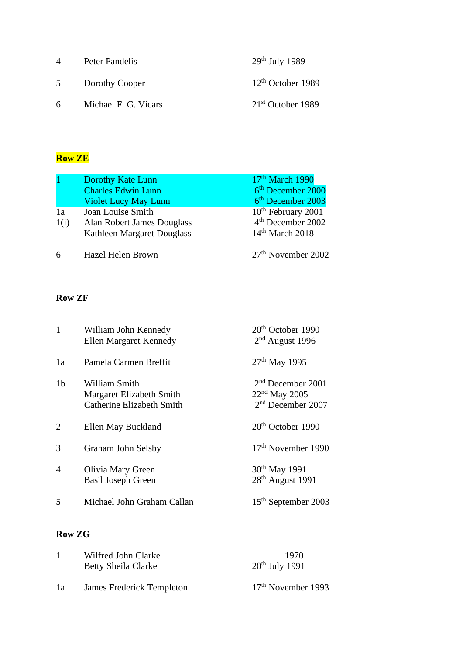| $\overline{4}$ | Peter Pandelis       | $29th$ July 1989    |
|----------------|----------------------|---------------------|
| 5              | Dorothy Cooper       | $12th$ October 1989 |
| 6              | Michael F. G. Vicars | $21st$ October 1989 |

## **Row ZE**

|      | <b>Dorothy Kate Lunn</b>    | $17th$ March 1990              |
|------|-----------------------------|--------------------------------|
|      | <b>Charles Edwin Lunn</b>   | 6 <sup>th</sup> December 2000  |
|      | <b>Violet Lucy May Lunn</b> | 6 <sup>th</sup> December 2003  |
| 1a   | Joan Louise Smith           | 10 <sup>th</sup> February 2001 |
| 1(i) | Alan Robert James Douglass  | 4 <sup>th</sup> December 2002  |
|      | Kathleen Margaret Douglass  | $14th$ March 2018              |
| 6    | Hazel Helen Brown           | 27 <sup>th</sup> November 2002 |

## **Row ZF**

| $\mathbf{1}$   | William John Kennedy<br><b>Ellen Margaret Kennedy</b>                         | $20th$ October 1990<br>$2nd$ August 1996                                |
|----------------|-------------------------------------------------------------------------------|-------------------------------------------------------------------------|
| 1a             | Pamela Carmen Breffit                                                         | $27th$ May 1995                                                         |
| 1 <sub>b</sub> | William Smith<br>Margaret Elizabeth Smith<br><b>Catherine Elizabeth Smith</b> | $2nd$ December 2001<br>$22nd$ May 2005<br>2 <sup>nd</sup> December 2007 |
| 2              | Ellen May Buckland                                                            | $20th$ October 1990                                                     |
| $\mathcal{R}$  | Graham John Selsby                                                            | 17 <sup>th</sup> November 1990                                          |
| $\overline{A}$ | Olivia Mary Green<br><b>Basil Joseph Green</b>                                | 30 <sup>th</sup> May 1991<br>$28th$ August 1991                         |
| 5              | Michael John Graham Callan                                                    | 15 <sup>th</sup> September 2003                                         |
|                |                                                                               |                                                                         |

## **Row ZG**

|    | Wilfred John Clarke<br><b>Betty Sheila Clarke</b> | 1970<br>$20th$ July 1991 |
|----|---------------------------------------------------|--------------------------|
| 1a | James Frederick Templeton                         | $17th$ November 1993     |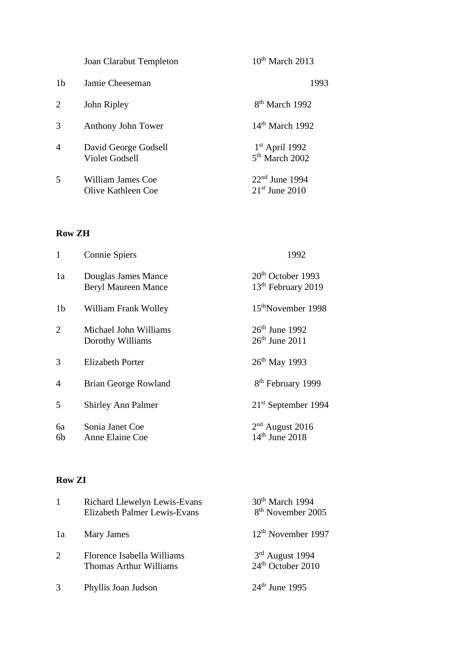|                | Joan Clarabut Templeton                 | $10^{th}$ March 2013                           |
|----------------|-----------------------------------------|------------------------------------------------|
| 1 <sub>b</sub> | Jamie Cheeseman                         | 1993                                           |
| 2              | John Ripley                             | 8 <sup>th</sup> March 1992                     |
| 3              | Anthony John Tower                      | $14th$ March 1992                              |
| 4              | David George Godsell<br>Violet Godsell  | $1st$ April 1992<br>5 <sup>th</sup> March 2002 |
| 5              | William James Coe<br>Olive Kathleen Coe | $22nd$ June 1994<br>$21st$ June 2010           |

#### **Row ZH**

| $\mathbf{1}$   | Connie Spiers                                     | 1992                                                  |
|----------------|---------------------------------------------------|-------------------------------------------------------|
| 1a             | Douglas James Mance<br><b>Beryl Maureen Mance</b> | $20th$ October 1993<br>13 <sup>th</sup> February 2019 |
| 1 <sub>b</sub> | William Frank Wolley                              | 15 <sup>th</sup> November 1998                        |
| 2              | Michael John Williams<br>Dorothy Williams         | $26th$ June 1992<br>$26th$ June 2011                  |
| 3              | <b>Elizabeth Porter</b>                           | $26^{th}$ May 1993                                    |
| $\overline{4}$ | Brian George Rowland                              | 8 <sup>th</sup> February 1999                         |
| 5              | <b>Shirley Ann Palmer</b>                         | $21st$ September 1994                                 |
| бa<br>6b       | Sonia Janet Coe<br>Anne Elaine Coe                | $2nd$ August 2016<br>$14th$ June 2018                 |

#### **Row ZI**

| 1  | Richard Llewelyn Lewis-Evans<br>Elizabeth Palmer Lewis-Evans | 30 <sup>th</sup> March 1994<br>8 <sup>th</sup> November 2005 |
|----|--------------------------------------------------------------|--------------------------------------------------------------|
| 1a | Mary James                                                   | 12 <sup>th</sup> November 1997                               |
| 2  | Florence Isabella Williams<br>Thomas Arthur Williams         | $3rd$ August 1994<br>24 <sup>th</sup> October 2010           |
| 3  | Phyllis Joan Judson                                          | $24th$ June 1995                                             |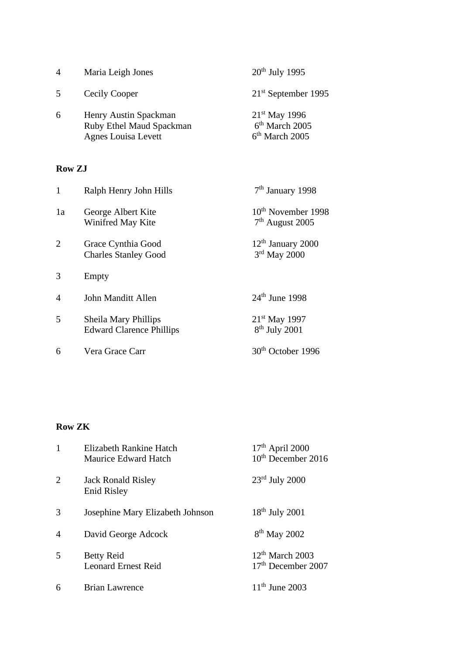| $\boldsymbol{\Lambda}$ | Maria Leigh Jones                                                               | $20th$ July 1995                                                     |
|------------------------|---------------------------------------------------------------------------------|----------------------------------------------------------------------|
| 5                      | Cecily Cooper                                                                   | $21st$ September 1995                                                |
| 6                      | Henry Austin Spackman<br>Ruby Ethel Maud Spackman<br><b>Agnes Louisa Levett</b> | $21^{st}$ May 1996<br>6 <sup>th</sup> March 2005<br>$6th$ March 2005 |

## **Row ZJ**

| $\mathbf{1}$   | Ralph Henry John Hills                                  | $7th$ January 1998                                  |
|----------------|---------------------------------------------------------|-----------------------------------------------------|
| 1a             | George Albert Kite<br>Winifred May Kite                 | 10 <sup>th</sup> November 1998<br>$7th$ August 2005 |
| $\overline{2}$ | Grace Cynthia Good<br><b>Charles Stanley Good</b>       | $12th$ January 2000<br>$3rd$ May 2000               |
| 3              | Empty                                                   |                                                     |
| $\overline{4}$ | John Manditt Allen                                      | $24th$ June 1998                                    |
| 5              | Sheila Mary Phillips<br><b>Edward Clarence Phillips</b> | $21^{st}$ May 1997<br>$8th$ July 2001               |
| 6              | Vera Grace Carr                                         | 30 <sup>th</sup> October 1996                       |
|                |                                                         |                                                     |

## **Row ZK**

| 1              | Elizabeth Rankine Hatch<br>Maurice Edward Hatch | $17th$ April 2000<br>10 <sup>th</sup> December 2016 |
|----------------|-------------------------------------------------|-----------------------------------------------------|
| $\overline{2}$ | <b>Jack Ronald Risley</b><br><b>Enid Risley</b> | $23rd$ July 2000                                    |
| 3              | Josephine Mary Elizabeth Johnson                | $18th$ July 2001                                    |
| 4              | David George Adcock                             | $8th$ May 2002                                      |
| 5              | <b>Betty Reid</b><br><b>Leonard Ernest Reid</b> | $12th$ March 2003<br>17 <sup>th</sup> December 2007 |
| 6              | <b>Brian Lawrence</b>                           | $11^{th}$ June 2003                                 |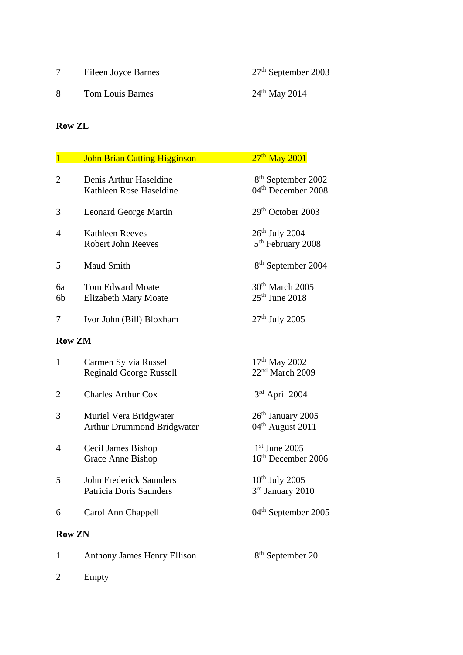|   | Eileen Joyce Barnes | $27th$ September 2003     |
|---|---------------------|---------------------------|
| 8 | Tom Louis Barnes    | $24^{\text{th}}$ May 2014 |

## **Row ZL**

| $\overline{1}$ | <b>John Brian Cutting Higginson</b>                         | $27th$ May 2001                                                  |
|----------------|-------------------------------------------------------------|------------------------------------------------------------------|
| $\overline{2}$ | Denis Arthur Haseldine<br>Kathleen Rose Haseldine           | 8 <sup>th</sup> September 2002<br>04 <sup>th</sup> December 2008 |
| 3              | Leonard George Martin                                       | 29 <sup>th</sup> October 2003                                    |
| 4              | <b>Kathleen Reeves</b><br><b>Robert John Reeves</b>         | $26^{\text{th}}$ July 2004<br>$5^{\text{th}}$ February 2008      |
| 5              | Maud Smith                                                  | 8 <sup>th</sup> September 2004                                   |
| 6a<br>6b       | <b>Tom Edward Moate</b><br><b>Elizabeth Mary Moate</b>      | 30 <sup>th</sup> March 2005<br>$25th$ June 2018                  |
| 7              | Ivor John (Bill) Bloxham                                    | $27th$ July 2005                                                 |
| <b>Row ZM</b>  |                                                             |                                                                  |
| 1              | Carmen Sylvia Russell<br><b>Reginald George Russell</b>     | 17 <sup>th</sup> May 2002<br>22 <sup>nd</sup> March 2009         |
| $\overline{2}$ | <b>Charles Arthur Cox</b>                                   | 3rd April 2004                                                   |
| 3              | Muriel Vera Bridgwater<br><b>Arthur Drummond Bridgwater</b> | 26 <sup>th</sup> January 2005<br>04 <sup>th</sup> August 2011    |
| $\overline{4}$ | Cecil James Bishop<br><b>Grace Anne Bishop</b>              | $1st$ June 2005<br>16 <sup>th</sup> December 2006                |
| 5              | <b>John Frederick Saunders</b><br>Patricia Doris Saunders   | $10^{th}$ July 2005<br>3 <sup>rd</sup> January 2010              |
| 6              | Carol Ann Chappell                                          | 04 <sup>th</sup> September 2005                                  |
| <b>Row ZN</b>  |                                                             |                                                                  |
| 1              | <b>Anthony James Henry Ellison</b>                          | 8 <sup>th</sup> September 20                                     |
| $\overline{2}$ | Empty                                                       |                                                                  |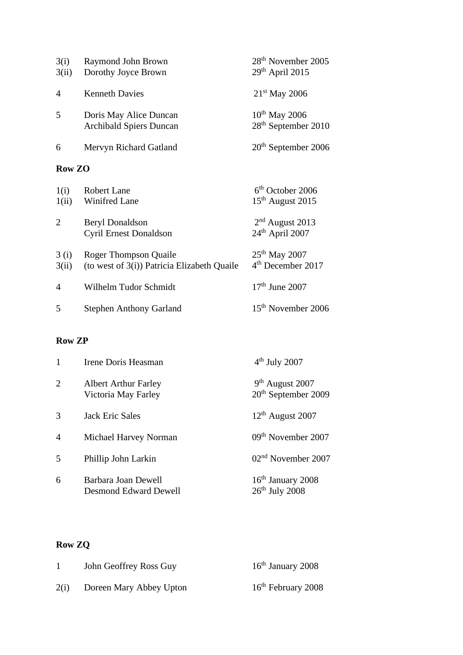| Raymond John Brown             | 28 <sup>th</sup> November 2005  |
|--------------------------------|---------------------------------|
| Dorothy Joyce Brown            | $29th$ April 2015               |
| <b>Kenneth Davies</b>          | $21st$ May 2006                 |
| Doris May Alice Duncan         | $10th$ May 2006                 |
| <b>Archibald Spiers Duncan</b> | 28 <sup>th</sup> September 2010 |
| Mervyn Richard Gatland         | $20th$ September 2006           |
| <b>Row ZO</b>                  |                                 |
| Robert Lane                    | $6th$ October 2006              |
| <b>Winifred Lane</b>           | $15th$ August 2015              |
| <b>Beryl Donaldson</b>         | $2nd$ August 2013               |
| <b>Cyril Ernest Donaldson</b>  | $24th$ April 2007               |
|                                |                                 |

| 3(i)<br>3(ii)  | <b>Roger Thompson Quaile</b><br>(to west of $3(i)$ ) Patricia Elizabeth Quaile | $25th$ May 2007<br>4 <sup>th</sup> December 2017 |
|----------------|--------------------------------------------------------------------------------|--------------------------------------------------|
| $\overline{4}$ | Wilhelm Tudor Schmidt                                                          | $17th$ June 2007                                 |
| .5             | <b>Stephen Anthony Garland</b>                                                 | 15 <sup>th</sup> November 2006                   |

## **Row ZP**

| 1              | Irene Doris Heasman                                 | $4th$ July 2007                                      |
|----------------|-----------------------------------------------------|------------------------------------------------------|
| 2              | <b>Albert Arthur Farley</b><br>Victoria May Farley  | $9th$ August 2007<br>20 <sup>th</sup> September 2009 |
| 3              | <b>Jack Eric Sales</b>                              | $12th$ August 2007                                   |
| $\overline{4}$ | Michael Harvey Norman                               | 09 <sup>th</sup> November 2007                       |
| 5              | Phillip John Larkin                                 | 02 <sup>nd</sup> November 2007                       |
| 6              | Barbara Joan Dewell<br><b>Desmond Edward Dewell</b> | $16th$ January 2008<br>$26th$ July 2008              |

# **Row ZQ**

|      | John Geoffrey Ross Guy  | $16th$ January 2008  |
|------|-------------------------|----------------------|
| 2(i) | Doreen Mary Abbey Upton | $16th$ February 2008 |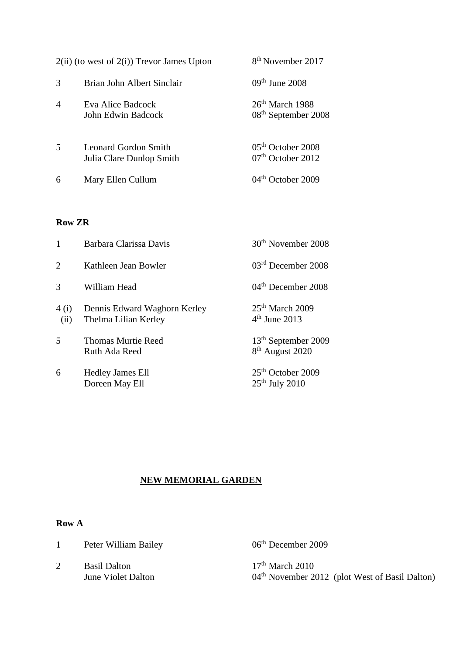|                | $2(ii)$ (to west of $2(i)$ ) Trevor James Upton  | 8 <sup>th</sup> November 2017                        |
|----------------|--------------------------------------------------|------------------------------------------------------|
| $\mathcal{R}$  | Brian John Albert Sinclair                       | $09th$ June 2008                                     |
| $\overline{4}$ | Eva Alice Badcock<br>John Edwin Badcock          | $26th$ March 1988<br>08 <sup>th</sup> September 2008 |
| 5              | Leonard Gordon Smith<br>Julia Clare Dunlop Smith | $05th$ October 2008<br>07 <sup>th</sup> October 2012 |
| 6              | Mary Ellen Cullum                                | 04 <sup>th</sup> October 2009                        |

#### **Row ZR**

| 1              | Barbara Clarissa Davis                               | 30 <sup>th</sup> November 2008                                 |
|----------------|------------------------------------------------------|----------------------------------------------------------------|
| $\overline{2}$ | Kathleen Jean Bowler                                 | $03rd$ December 2008                                           |
| 3              | William Head                                         | 04 <sup>th</sup> December 2008                                 |
| 4 (i)<br>(ii)  | Dennis Edward Waghorn Kerley<br>Thelma Lilian Kerley | $25th$ March 2009<br>$4th$ June 2013                           |
| 5              | <b>Thomas Murtie Reed</b><br>Ruth Ada Reed           | 13 <sup>th</sup> September 2009<br>8 <sup>th</sup> August 2020 |
| 6              | <b>Hedley James Ell</b><br>Doreen May Ell            | $25th$ October 2009<br>$25th$ July 2010                        |

#### **NEW MEMORIAL GARDEN**

#### **Row A**

|  |  | Peter William Bailey |  |
|--|--|----------------------|--|
|--|--|----------------------|--|

2 Basil Dalton 17<sup>th</sup> March 2010<br>June Violet Dalton 04<sup>th</sup> November 20

06<sup>th</sup> December 2009

04<sup>th</sup> November 2012 (plot West of Basil Dalton)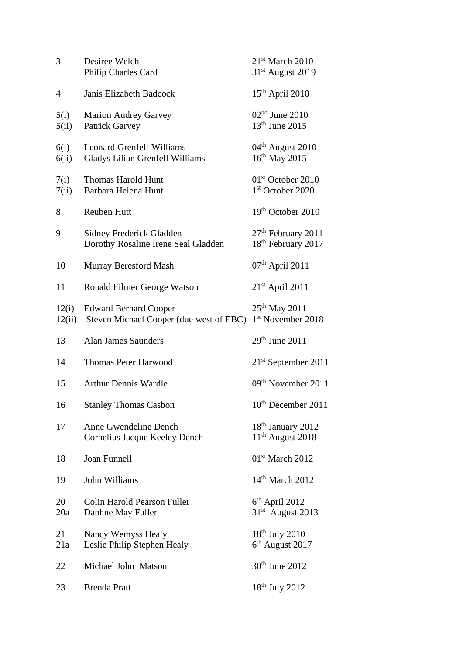| 3               | Desiree Welch<br>Philip Charles Card                                       | $21st$ March 2010<br>31 <sup>st</sup> August 2019                |
|-----------------|----------------------------------------------------------------------------|------------------------------------------------------------------|
| 4               | Janis Elizabeth Badcock                                                    | $15th$ April 2010                                                |
| 5(i)<br>5(ii)   | <b>Marion Audrey Garvey</b><br><b>Patrick Garvey</b>                       | $02nd$ June 2010<br>$13th$ June 2015                             |
| 6(i)<br>6(ii)   | <b>Leonard Grenfell-Williams</b><br><b>Gladys Lilian Grenfell Williams</b> | $04th$ August 2010<br>16 <sup>th</sup> May 2015                  |
| 7(i)<br>7(ii)   | <b>Thomas Harold Hunt</b><br>Barbara Helena Hunt                           | 01 <sup>st</sup> October 2010<br>1st October 2020                |
| 8               | Reuben Hutt                                                                | 19 <sup>th</sup> October 2010                                    |
| 9               | Sidney Frederick Gladden<br>Dorothy Rosaline Irene Seal Gladden            | 27 <sup>th</sup> February 2011<br>18 <sup>th</sup> February 2017 |
| 10              | Murray Beresford Mash                                                      | 07 <sup>th</sup> April 2011                                      |
| 11              | Ronald Filmer George Watson                                                | $21st$ April 2011                                                |
| 12(i)<br>12(ii) | <b>Edward Bernard Cooper</b><br>Steven Michael Cooper (due west of EBC)    | 25 <sup>th</sup> May 2011<br>1st November 2018                   |
| 13              | <b>Alan James Saunders</b>                                                 | $29th$ June $2011$                                               |
| 14              | <b>Thomas Peter Harwood</b>                                                | $21st$ September 2011                                            |
| 15              | <b>Arthur Dennis Wardle</b>                                                | 09 <sup>th</sup> November 2011                                   |
| 16              | <b>Stanley Thomas Casbon</b>                                               | $10^{\text{th}}$ December 2011                                   |
| 17              | Anne Gwendeline Dench<br>Cornelius Jacque Keeley Dench                     | 18 <sup>th</sup> January 2012<br>$11th$ August 2018              |
| 18              | <b>Joan Funnell</b>                                                        | $01st$ March 2012                                                |
| 19              | John Williams                                                              | $14th$ March 2012                                                |
| 20<br>20a       | Colin Harold Pearson Fuller<br>Daphne May Fuller                           | $6th$ April 2012<br>$31st$ August 2013                           |
| 21<br>21a       | Nancy Wemyss Healy<br>Leslie Philip Stephen Healy                          | $18th$ July 2010<br>6 <sup>th</sup> August 2017                  |
| 22              | Michael John Matson                                                        | $30th$ June 2012                                                 |
| 23              | <b>Brenda Pratt</b>                                                        | $18th$ July 2012                                                 |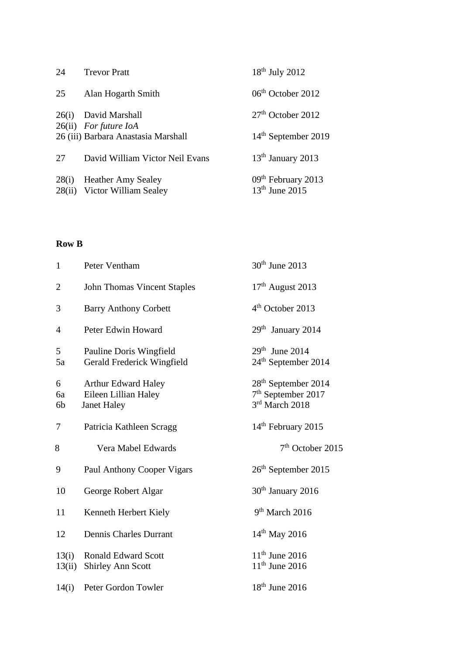| 24    | <b>Trevor Pratt</b>                                          | $18th$ July 2012                                   |
|-------|--------------------------------------------------------------|----------------------------------------------------|
| 25    | Alan Hogarth Smith                                           | 06 <sup>th</sup> October 2012                      |
| 26(i) | David Marshall                                               | $27th$ October 2012                                |
|       | 26(ii) For future IoA<br>26 (iii) Barbara Anastasia Marshall | $14th$ September 2019                              |
| 27    | David William Victor Neil Evans                              | $13th$ January 2013                                |
|       | 28(i) Heather Amy Sealey<br>28(ii) Victor William Sealey     | 09 <sup>th</sup> February 2013<br>$13th$ June 2015 |

#### **Row B**

| $\mathbf{1}$    | Peter Ventham                                                            | 30 <sup>th</sup> June 2013                                                |
|-----------------|--------------------------------------------------------------------------|---------------------------------------------------------------------------|
| $\mathbf{2}$    | <b>John Thomas Vincent Staples</b>                                       | $17th$ August 2013                                                        |
| 3               | <b>Barry Anthony Corbett</b>                                             | 4 <sup>th</sup> October 2013                                              |
| 4               | Peter Edwin Howard                                                       | $29th$ January 2014                                                       |
| 5<br>5a         | Pauline Doris Wingfield<br>Gerald Frederick Wingfield                    | $29th$ June 2014<br>24 <sup>th</sup> September 2014                       |
| 6<br>6a<br>6b   | <b>Arthur Edward Haley</b><br>Eileen Lillian Haley<br><b>Janet Haley</b> | 28 <sup>th</sup> September 2014<br>$7th$ September 2017<br>3rd March 2018 |
| 7               | Patricia Kathleen Scragg                                                 | 14 <sup>th</sup> February 2015                                            |
| 8               | Vera Mabel Edwards                                                       | $7th$ October 2015                                                        |
| 9               | Paul Anthony Cooper Vigars                                               | 26 <sup>th</sup> September 2015                                           |
| 10              | George Robert Algar                                                      | 30 <sup>th</sup> January 2016                                             |
| 11              | Kenneth Herbert Kiely                                                    | 9 <sup>th</sup> March 2016                                                |
| 12              | Dennis Charles Durrant                                                   | $14^{th}$ May 2016                                                        |
| 13(i)<br>13(ii) | <b>Ronald Edward Scott</b><br><b>Shirley Ann Scott</b>                   | $11th$ June 2016<br>$11th$ June 2016                                      |
| 14(i)           | Peter Gordon Towler                                                      | $18th$ June 2016                                                          |